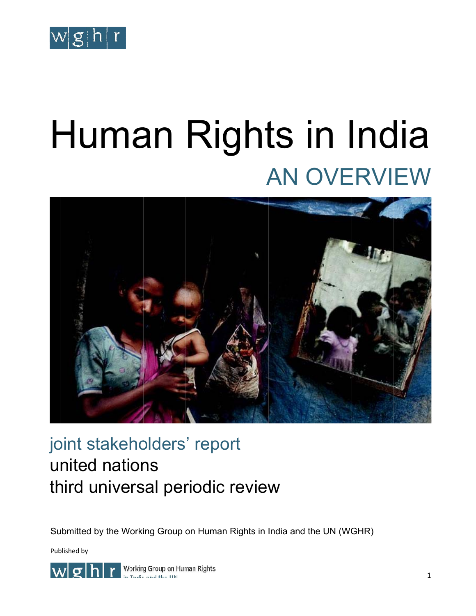

# Human Rights in India AN OVERVIEW



# joint stakeholders' report united nations third universal periodic review third universal periodic review<br>Submitted by the Working Group on Human Rights in India and the UN (WGHR)

Pub blished by



Working Group on Human Rights in India and the UN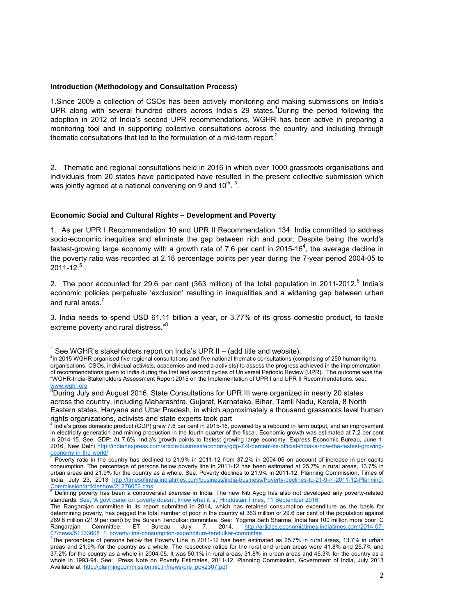#### **Introduction (Methodology and Consultation Process)**

1.Since 2009 a collection of CSOs has been actively monitoring and making submissions on India's UPR along with several hundred others across India's 29 states.<sup>1</sup>During the period following the adoption in 2012 of India's second UPR recommendations, WGHR has been active in preparing a monitoring tool and in supporting collective consultations across the country and including through thematic consultations that led to the formulation of a mid-term report.<sup>2</sup>

2. Thematic and regional consultations held in 2016 in which over 1000 grassroots organisations and individuals from 20 states have participated have resulted in the present collective submission which was jointly agreed at a national convening on 9 and 10<sup>th</sup>.<sup>3</sup>.

#### **Economic Social and Cultural Rights – Development and Poverty**

1. As per UPR I Recommendation 10 and UPR II Recommendation 134, India committed to address socio-economic inequities and eliminate the gap between rich and poor. Despite being the world's fastest-growing large economy with a growth rate of 7.6 per cent in 2015-16<sup>4</sup>, the average decline in the poverty ratio was recorded at 2.18 percentage points per year during the 7-year period 2004-05 to  $2011$ -12. $^5$  .

2. The poor accounted for 29.6 per cent (363 million) of the total population in 2011-2012.<sup>6</sup> India's economic policies perpetuate 'exclusion' resulting in inequalities and a widening gap between urban and rural areas.<sup>7</sup>

3. India needs to spend USD 61.11 billion a year, or 3.77% of its gross domestic product, to tackle extreme poverty and rural distress."<sup>8</sup>

 1 See WGHR's stakeholders report on India's UPR II – (add title and website).

<sup>&</sup>lt;sup>2</sup>In 2015 WGHR organised five regional consultations and five national thematic consultations (comprising of 250 human rights organisations, CSOs, individual activists, academics and media activists) to assess the progress achieved in the implementation of recommendations given to India during the first and second cycles of Universal Periodic Review (UPR). The outcome was the "WGHR-India-Stakeholders Assessment Report 2015 on the Implementation of UPR I and UPR II Recommendations. see: www.wghr.org

<sup>&</sup>lt;sup>3</sup>During July and August 2016, State Consultations for UPR III were organized in nearly 20 states across the country, including Maharashtra, Gujarat, Karnataka, Bihar, Tamil Nadu, Kerala, 8 North Eastern states, Haryana and Uttar Pradesh, in which approximately a thousand grassroots level human rights organizations, activists and state experts took part

<sup>4</sup> India's gross domestic product (GDP) grew 7.6 per cent in 2015-16, powered by a rebound in farm output, and an improvement in electricity generation and mining production in the fourth quarter of the fiscal. Economic growth was estimated at 7.2 per cent in 2014-15. See: GDP: At 7.6%, India's growth points to fastest growing large economy, Express Economic Bureau, June 1, 2016, New Delhi http://indianexpress.com/article/business/economy/gdp-7-9-percent-its-official-india-is-now-the-fastest-growing-

economy-in-the-world/<br><sup>5</sup> Poverty ratio in the country has declined to 21.9% in 2011-12 from 37.2% in 2004-05 on account of increase in per capita consumption. The percentage of persons below poverty line in 2011-12 has been estimated at 25.7% in rural areas, 13.7% in urban areas and 21.9% for the country as a whole. See: Poverty declines to 21.9% in 2011-12: Planning Commission, Times of India, July 23, 2013 http://timesofindia.indiatimes.com/business/india-business/Poverty-declines-to-21-9-in-2011-12-Planning-Commission/articleshow/21276053.cms<br><sup>6</sup> Defining poverty has been a controversial exercise in India. The new Niti Ayog has also not developed any poverty-related

standards. See, 'A govt panel on poverty doesn't know what it is,' Hindustan Times, 11 September 2016.

The Rangarajan committee in its report submitted in 2014, which has retained consumption expenditure as the basis for determining poverty, has pegged the total number of poor in the country at 363 million or 29.6 per cent of the population against 269.8 million (21.9 per cent) by the Suresh Tendulkar committee. See: Yogima Seth Sharma, India has 100 million more poor: C Rangarajan Committee, ET Bureau July 7, 2014. http://articles.economictimes.indiatimes.com/2014-07-

<sup>07/</sup>news/51133608\_1\_poverty-line-consumption-expenditure-tendulkar-committee<br><sup>7</sup>The percentage of persons below the Poverty Line in 2011-12 has been estimated as 25.7% in rural areas, 13.7% in urban areas and 21.9% for the country as a whole. The respective ratios for the rural and urban areas were 41.8% and 25.7% and 37.2% for the country as a whole in 2004-05. It was 50.1% in rural areas, 31.8% in urban areas and 45.3% for the country as a whole in 1993-94. See: Press Note on Poverty Estimates, 2011-12, Planning Commission, Government of India, July 2013 Available at http://planningcommission.nic.in/news/pre\_pov2307.pdf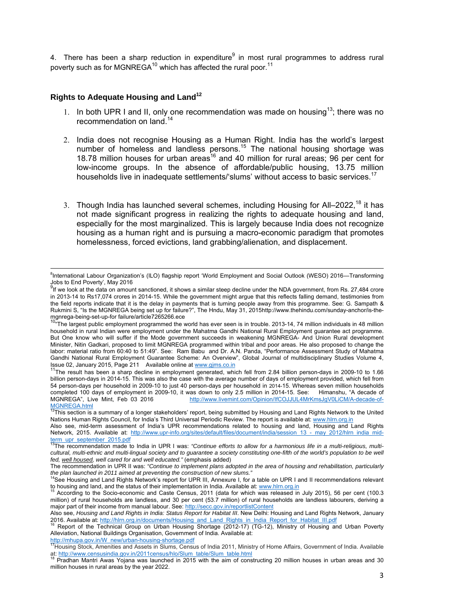4. There has been a sharp reduction in expenditure $9$  in most rural programmes to address rural poverty such as for MGNREGA $^{10}$  which has affected the rural poor.<sup>11</sup>

#### **Rights to Adequate Housing and Land12**

- 1. In both UPR I and II, only one recommendation was made on housing<sup>13</sup>; there was no recommendation on land.<sup>14</sup>
- 2. India does not recognise Housing as a Human Right. India has the world's largest number of homeless and landless persons.<sup>15</sup> The national housing shortage was 18.78 million houses for urban areas<sup>16</sup> and 40 million for rural areas; 96 per cent for low-income groups. In the absence of affordable/public housing, 13.75 million households live in inadequate settlements/'slums' without access to basic services.<sup>17</sup>
- 3. Though India has launched several schemes, including Housing for All–2022,<sup>18</sup> it has not made significant progress in realizing the rights to adequate housing and land, especially for the most marginalized. This is largely because India does not recognize housing as a human right and is pursuing a macro-economic paradigm that promotes homelessness, forced evictions, land grabbing/alienation, and displacement.

billion person-days in 2014-15. This was also the case with the average number of days of employment provided, which fell from 54 person-days per household in 2009-10 to just 40 person-days per household in 2014-15. Whereas seven million households completed 100 days of employment in 2009-10, it was down to only 2.5 million in 2014-15. See: Himanshu, "A decade of<br>MGNREGA", Live Mint, Feb 03 2016 http://www.livemint.com/Opinion/IfCOJJUL4MrKmsJgV0LiCM/A-decade-ofhttp://www.livemint.com/Opinion/IfCOJJUL4MrKmsJgV0LiCM/A-decade-of-MGNREGA.html

 <sup>8</sup> International Labour Organization's (ILO) flagship report 'World Employment and Social Outlook (WESO) 2016—Transforming Jobs to End Poverty', May 2016

<sup>&</sup>lt;sup>9</sup>If we look at the data on amount sanctioned, it shows a similar steep decline under the NDA government, from Rs. 27,484 crore in 2013-14 to Rs17,074 crores in 2014-15. While the government might argue that this reflects falling demand, testimonies from the field reports indicate that it is the delay in payments that is turning people away from this programme. See: G. Sampath & Rukmini S, "Is the MGNREGA being set up for failure?", The Hndu, May 31, 2015http://www.thehindu.com/sunday-anchor/is-themgnrega-being-set-up-for failure/article7265266.ece

The largest public employment programmed the world has ever seen is in trouble. 2013-14, 74 million individuals in 48 million household in rural Indian were employment under the Mahatma Gandhi National Rural Employment guarantee act programme. But One know who will suffer if the Mode government succeeds in weakening MGNREGA- And Union Rural development Minister, Nitin Gadkari, proposed to limit MGNREGA programmed within tribal and poor areas. He also proposed to change the labor: material ratio from 60:40 to 51:49". See: Ram Babu and Dr. A.N. Panda, "Performance Assessment Study of Mahatma Gandhi National Rural Employment Guarantee Scheme: An Overview", Global Journal of multidisciplinary Studies Volume 4, Issue 02, January 2015, Page 211 Available online at www.gims.co.in 11The result has been as a sharp decline in employment generated, which fell from 2.84 billion person-days in 2009-10 to 1.66

**<sup>12</sup>This section is a summary of a longer stakeholders' report, being submitted by Housing and Land Rights Network to the United** Nations Human Rights Council, for India's Third Universal Periodic Review. The report is available at: www.hlrn.org.in

Also see, mid-term assessment of India's UPR recommendations related to housing and land, Housing and Land Rights Network, 2015. Available at: http://www.upr-info.org/sites/default/files/document/india/session 13 - may 2012/hlrn\_india\_mid-

term\_upr\_september\_2015.pdf<br><sup>13</sup>The recommendation made to India in UPR I was: *"Continue efforts to allow for a harmonious life in a multi-religious, multi*cultural, multi-ethnic and multi-lingual society and to guarantee a society constituting one-fifth of the world's population to be well *fed, well housed, well cared for and well educated."* (emphasis added)

The recommendation in UPR II was: *"Continue to implement plans adopted in the area of housing and rehabilitation, particularly the plan launched in 2011 aimed at preventing the construction of new slums."*

<sup>14</sup>See Housing and Land Rights Network's report for UPR III, Annexure I, for a table on UPR I and II recommendations relevant<br>to housing and land, and the status of their implementation in India. Available at: www.hlrn.org.

According to the Socio-economic and Caste Census, 2011 (data for which was released in July 2015), 56 per cent (100.3 million) of rural households are landless, and 30 per cent (53.7 million) of rural households are landless labourers, deriving a major part of their income from manual labour. See: http://secc.gov.in/reportlistContent

Also see, *Housing and Land Rights in India: Status Report for Habitat III*. New Delhi: Housing and Land Rights Network, January<br>2016. Available at: http://hlrn.org.in/documents/Housing and Land Rights in India Report for

Report of the Technical Group on Urban Housing Shortage (2012-17) (TG-12), Ministry of Housing and Urban Poverty Alleviation, National Buildings Organisation, Government of India. Available at:

http://mhupa.gov.in/W\_new/urban-housing-shortage.pdf<br><sup>17</sup>Housing Stock, Amenities and Assets in Slums, Census of India 2011, Ministry of Home Affairs, Government of India. Available at: http://www.censusindia.gov.in/2011census/hlo/Slum\_table/Slum\_table.html 18 Pradhan Mantri Awas Yojana was launched in 2015 with the aim of constructing 20 million houses in urban areas and 30

million houses in rural areas by the year 2022.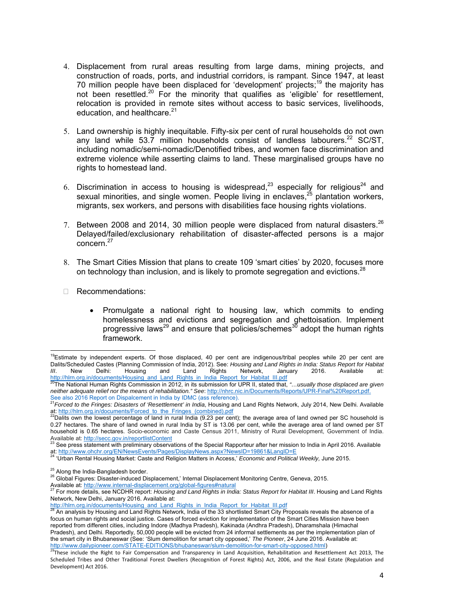- 4. Displacement from rural areas resulting from large dams, mining projects, and construction of roads, ports, and industrial corridors, is rampant. Since 1947, at least 70 million people have been displaced for 'development' projects;<sup>19</sup> the majority has not been resettled.<sup>20</sup> For the minority that qualifies as 'eligible' for resettlement, relocation is provided in remote sites without access to basic services, livelihoods, education, and healthcare. $21$
- 5. Land ownership is highly inequitable. Fifty-six per cent of rural households do not own any land while 53.7 million households consist of landless labourers.<sup>22</sup> SC/ST, including nomadic/semi-nomadic/Denotified tribes, and women face discrimination and extreme violence while asserting claims to land. These marginalised groups have no rights to homestead land.
- 6. Discrimination in access to housing is widespread,<sup>23</sup> especially for religious<sup>24</sup> and sexual minorities, and single women. People living in enclaves,<sup>25</sup> plantation workers, migrants, sex workers, and persons with disabilities face housing rights violations.
- 7. Between 2008 and 2014, 30 million people were displaced from natural disasters.<sup>26</sup> Delayed/failed/exclusionary rehabilitation of disaster-affected persons is a major concern.27
- 8. The Smart Cities Mission that plans to create 109 'smart cities' by 2020, focuses more on technology than inclusion, and is likely to promote segregation and evictions.<sup>28</sup>
- Recommendations:

• Promulgate a national right to housing law, which commits to ending homelessness and evictions and segregation and ghettoisation. Implement progressive laws<sup>29</sup> and ensure that policies/schemes<sup>30</sup> adopt the human rights framework.

<sup>&</sup>lt;sup>19</sup>Estimate by independent experts. Of those displaced, 40 per cent are indigenous/tribal peoples while 20 per cent are Dalits/Scheduled Castes (Planning Commission of India, 2012). See: *Housing and Land Rights in India: Status Report for Habitat III*. New Delhi: Housing and Land Rights Network, January 2016. Available at:

http://hlrn.org.in/documents/Housing\_and\_Land\_Rights\_in\_India\_Report\_for\_Habitat\_III.pdf<br><sup>20</sup>The National Human Rights Commission in 2012, in its submission for UPR II, stated that, *"…usually those displaced are given neither adequate relief nor the means of rehabilitation." See*: http://nhrc.nic.in/Documents/Reports/UPR-Final%20Report.pdf.

See also 2016 Report on Dispalcement in India by IDMC (ass reference).<br><sup>21</sup>*Forced to the Fringes: Disasters of 'Resettlement' in India*, Housing and Land Rights Network, July 2014, New Delhi. Available at: http://hlrn.org.in/documents/Forced to the Fringes (combined).pdf<br><sup>22</sup>Dalits own the lowest percentage of land in rural India (9.23 per cent); the average area of land owned per SC household is

<sup>0.27</sup> hectares. The share of land owned in rural India by ST is 13.06 per cent, while the average area of land owned per ST household is 0.65 hectares. Socio-economic and Caste Census 2011, Ministry of Rural Development, Government of India.<br>Available at: http://secc.gov.in/reportlistContent

<sup>&</sup>lt;sup>23</sup> See press statement with preliminary observations of the Special Rapporteur after her mission to India in April 2016. Available<br>at: http://www.ohchr.org/EN/NewsEvents/Pages/DisplayNews.aspx?NewsID=19861&LangID=E

<sup>&</sup>lt;sup>1</sup> Urban Rental Housing Market: Caste and Religion Matters in Access,' *Economic and Political Weekly*, June 2015.

 $^{25}$  Along the India-Bangladesh border.<br><sup>26</sup> Global Figures: Disaster-induced Displacement,' Internal Displacement Monitoring Centre, Geneva, 2015.

Available at: http://www.internal-displacement.org/global-figures#natural *morecomes* conserved conserved.<br><sup>27</sup> For more details, see NCDHR report: *Housing and Land Rights in India: Status Report for Habitat III*. Housing Network, New Delhi, January 2016. Available at:

http://hlrn.org.in/documents/Housing\_and\_Land\_Rights\_in\_India\_Report\_for\_Habitat\_III.pdf<br><sup>28</sup> An analysis by Housing and Land Rights Network, India of the 33 shortlisted Smart City Proposals reveals the absence of a focus on human rights and social justice. Cases of forced eviction for implementation of the Smart Cities Mission have been reported from different cities, including Indore (Madhya Pradesh), Kakinada (Andhra Pradesh), Dharamshala (Himachal Pradesh), and Delhi. Reportedly, 50,000 people will be evicted from 24 informal settlements as per the implementation plan of the smart city in Bhubaneswar (See: 'Slum demolition for smart city opposed,' *The Pioneer*, 24 June 2016. Available at:

<sup>&</sup>lt;u>http://www.dailypioneer.com/STATE-EDITIONS/bhubaneswar/slum-demolition-for-smart-city-opposed.html</u>)<br><sup>29</sup>These include the Right to Fair Compensation and Transparency in Land Acquisition, Rehabilitation and Resettlement A Scheduled Tribes and Other Traditional Forest Dwellers (Recognition of Forest Rights) Act, 2006, and the Real Estate (Regulation and Development) Act 2016.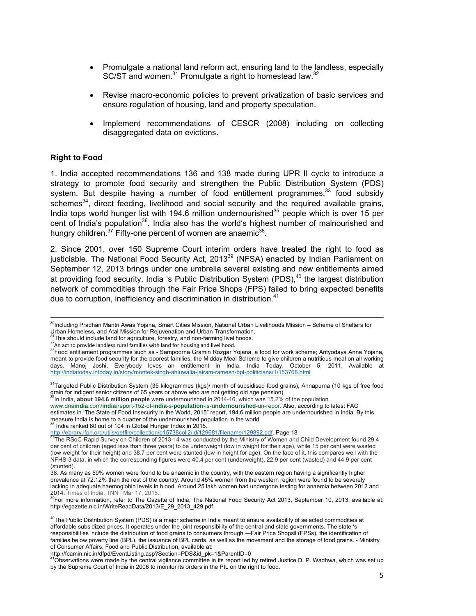- Promulgate a national land reform act, ensuring land to the landless, especially SC/ST and women.<sup>31</sup> Promulgate a right to homestead law.<sup>32</sup>
- Revise macro-economic policies to prevent privatization of basic services and ensure regulation of housing, land and property speculation.
- Implement recommendations of CESCR (2008) including on collecting disaggregated data on evictions.

#### **Right to Food**

1. India accepted recommendations 136 and 138 made during UPR II cycle to introduce a strategy to promote food security and strengthen the Public Distribution System (PDS) system. But despite having a number of food entitlement programmes,  $33$  food subsidy schemes $34$ , direct feeding, livelihood and social security and the required available grains, India tops world hunger list with 194.6 million undernourished<sup>35</sup> people which is over 15 per cent of India's population<sup>36</sup>. India also has the world's highest number of malnourished and hungry children. $37$  Fifty-one percent of women are anaemic<sup>38</sup>.

2. Since 2001, over 150 Supreme Court interim orders have treated the right to food as justiciable. The National Food Security Act, 2013<sup>39</sup> (NFSA) enacted by Indian Parliament on September 12, 2013 brings under one umbrella several existing and new entitlements aimed at providing food security. India 's Public Distribution System (PDS),<sup>40</sup> the largest distribution network of commodities through the Fair Price Shops (FPS) failed to bring expected benefits due to corruption, inefficiency and discrimination in distribution.<sup>41</sup>

35In India, **about 194.6 million people** were undernourished in 2014-16, which was 15.2% of the population.

www.dna**india**.com/**india**/report-152-of-**india**-s-**population**-is-**undernourished**-un-repor. Also, according to latest FAO estimates in 'The State of Food Insecurity in the World, 2015" report, 194.6 million people are undernourished in India. By this measure India is home to a quarter of the undernourished population in the world <sup>36</sup> India ranked 80 out of 104 in Global Hunger Index in 2015.

http://fcamin.nic.in/dfpd/EventListing.asp?Section=PDS&id\_pk=1&ParentID=0

 $^{41}$ Observations were made by the central vigilance committee in its report led by retired Justice D. P. Wadhwa, which was set up by the Supreme Court of India in 2006 to monitor its orders in the PIL on the right to food.

<sup>&</sup>lt;sup>30</sup>Including Pradhan Mantri Awas Yojana, Smart Cities Mission, National Urban Livelihoods Mission – Scheme of Shelters for Urban Homeless, and Atal Mission for Rejuvenation and Urban Transformation.

 $31$ This should include land for agriculture, forestry, and non-farming livelihoods.<br> $32$ An act to provide landless rural families with land for housing and livelihood.

<sup>33</sup>Food entitlement programmes such as - Sampoorna Gramin Rozgar Yojana, a food for work scheme; Antyodaya Anna Yojana, meant to provide food security for the poorest families; the Midday Meal Scheme to give children a nutritious meal on all working days. Manoj Joshi, Everybody loves an entitlement in India, India Today, October 5, 2011, Available at http://indiatoday.intoday.in/story/montek-singh-ahluwalia-jairam-ramesh-bpl-politicians/1/153768.html

<sup>&</sup>lt;sup>34</sup>Targeted Public Distribution System (35 kilogrammes (kgs)/ month of subsidised food grains), Annapurna (10 kgs of free food grain for indigent senior citizens of 65 years or above who are not getting old age pension)

http://ebrary.ifpri.org/utils/getfile/collection/p15738coll2/id/129681/filename/129892.pdf. Page 18<br><sup>37</sup>The RSoC-Rapid Survey on Children of 2013-14 was conducted by the Ministry of Women and Child Development found 29.4 per cent of children (aged less than three years) to be underweight (low in weight for their age), while 15 per cent were wasted (low weight for their height) and 38.7 per cent were stunted (low in height for age). On the face of it, this compares well with the NFHS-3 data, in which the corresponding figures were 40.4 per cent (underweight), 22.9 per cent (wasted) and 44.9 per cent (stunted).

<sup>38.</sup> As many as 59% women were found to be anaemic in the country, with the eastern region having a significantly higher prevalence at 72.12% than the rest of the country. Around 45% women from the western region were found to be severely lacking in adequate haemoglobin levels in blood. Around 25 lakh women had undergone testing for anaemia between 2012 and 2014. Times of India, TNN | Mar 17, 2015.<br>39For more information, refer to The Gazette of India, The National Food Security Act 2013, September 10, 2013, available at:

http://egazette.nic.in/WriteReadData/2013/E\_29\_2013\_429.pdf

 $40$ The Public Distribution System (PDS) is a major scheme in India meant to ensure availability of selected commodities at affordable subsidized prices. It operates under the joint responsibility of the central and state governments. The state 's responsibilities include the distribution of food grains to consumers through ―Fair Price Shopsǁ (FPSs), the identification of families below poverty line (BPL), the issuance of BPL cards, as well as the movement and the storage of food grains. - Ministry of Consumer Affairs, Food and Public Distribution, available at: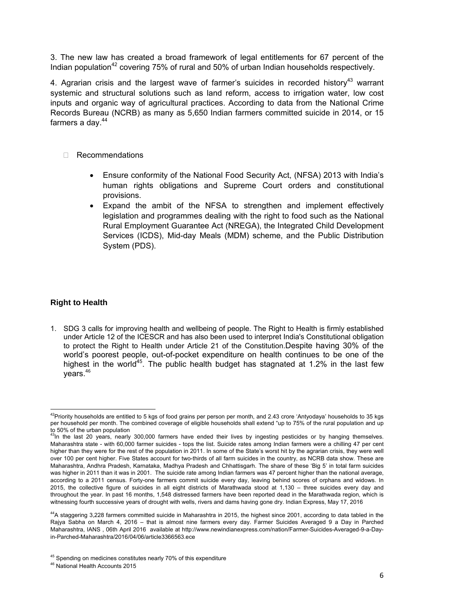3. The new law has created a broad framework of legal entitlements for 67 percent of the Indian population<sup>42</sup> covering 75% of rural and 50% of urban Indian households respectively.

4. Agrarian crisis and the largest wave of farmer's suicides in recorded history<sup>43</sup> warrant systemic and structural solutions such as land reform, access to irrigation water, low cost inputs and organic way of agricultural practices. According to data from the National Crime Records Bureau (NCRB) as many as 5,650 Indian farmers committed suicide in 2014, or 15 farmers a day. $44$ 

- □ Recommendations
	- Ensure conformity of the National Food Security Act, (NFSA) 2013 with India's human rights obligations and Supreme Court orders and constitutional provisions.
	- Expand the ambit of the NFSA to strengthen and implement effectively legislation and programmes dealing with the right to food such as the National Rural Employment Guarantee Act (NREGA), the Integrated Child Development Services (ICDS), Mid-day Meals (MDM) scheme, and the Public Distribution System (PDS).

#### **Right to Health**

1. SDG 3 calls for improving health and wellbeing of people. The Right to Health is firmly established under Article 12 of the ICESCR and has also been used to interpret India's Constitutional obligation to protect the Right to Health under Article 21 of the Constitution.Despite having 30% of the world's poorest people, out-of-pocket expenditure on health continues to be one of the highest in the world<sup>45</sup>. The public health budget has stagnated at 1.2% in the last few  $vears.<sup>46</sup>$ 

 $^{42}$ Priority households are entitled to 5 kgs of food grains per person per month, and 2.43 crore 'Antyodaya' households to 35 kgs per household per month. The combined coverage of eligible households shall extend "up to 75% of the rural population and up to 50% of the urban population

<sup>&</sup>lt;sup>3</sup>In the last 20 years, nearly 300,000 farmers have ended their lives by ingesting pesticides or by hanging themselves. Maharashtra state - with 60,000 farmer suicides - tops the list. Suicide rates among Indian farmers were a chilling 47 per cent higher than they were for the rest of the population in 2011. In some of the State's worst hit by the agrarian crisis, they were well over 100 per cent higher. Five States account for two-thirds of all farm suicides in the country, as NCRB data show. These are Maharashtra, Andhra Pradesh, Karnataka, Madhya Pradesh and Chhattisgarh. The share of these 'Big 5' in total farm suicides was higher in 2011 than it was in 2001. The suicide rate among Indian farmers was 47 percent higher than the national average, according to a 2011 census. Forty-one farmers commit suicide every day, leaving behind scores of orphans and widows. In 2015, the collective figure of suicides in all eight districts of Marathwada stood at 1,130 – three suicides every day and throughout the year. In past 16 months, 1,548 distressed farmers have been reported dead in the Marathwada region, which is witnessing fourth successive years of drought with wells, rivers and dams having gone dry. Indian Express, May 17, 2016

<sup>44</sup>A staggering 3,228 farmers committed suicide in Maharashtra in 2015, the highest since 2001, according to data tabled in the Rajya Sabha on March 4, 2016 – that is almost nine farmers every day. Farmer Suicides Averaged 9 a Day in Parched Maharashtra, IANS , 06th April 2016 available at http://www.newindianexpress.com/nation/Farmer-Suicides-Averaged-9-a-Dayin-Parched-Maharashtra/2016/04/06/article3366563.ece

<sup>&</sup>lt;sup>45</sup> Spending on medicines constitutes nearly 70% of this expenditure

<sup>46</sup> National Health Accounts 2015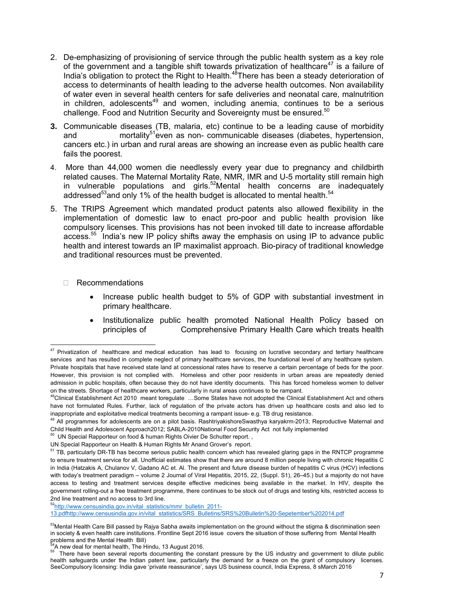- 2. De-emphasizing of provisioning of service through the public health system as a key role of the government and a tangible shift towards privatization of healthcare<sup>47</sup> is a failure of India's obligation to protect the Right to Health.<sup>48</sup>There has been a steady deterioration of access to determinants of health leading to the adverse health outcomes. Non availability of water even in several health centers for safe deliveries and neonatal care, malnutrition in children, adolescents<sup>49</sup> and women, including anemia, continues to be a serious challenge. Food and Nutrition Security and Sovereignty must be ensured. $50$
- **3.** Communicable diseases (TB, malaria, etc) continue to be a leading cause of morbidity and mortality<sup>51</sup>even as non- communicable diseases (diabetes, hypertension, cancers etc.) in urban and rural areas are showing an increase even as public health care fails the poorest.
- 4. More than 44,000 women die needlessly every year due to pregnancy and childbirth related causes. The Maternal Mortality Rate, NMR, IMR and U-5 mortality still remain high in vulnerable populations and girls.<sup>52</sup>Mental health concerns are inadequately addressed<sup>53</sup>and only 1% of the health budget is allocated to mental health.<sup>5</sup>
- 5. The TRIPS Agreement which mandated product patents also allowed flexibility in the implementation of domestic law to enact pro-poor and public health provision like compulsory licenses. This provisions has not been invoked till date to increase affordable access.55 India's new IP policy shifts away the emphasis on using IP to advance public health and interest towards an IP maximalist approach. Bio-piracy of traditional knowledge and traditional resources must be prevented.
	- Recommendations

- Increase public health budget to 5% of GDP with substantial investment in primary healthcare.
- Institutionalize public health promoted National Health Policy based on principles of Comprehensive Primary Health Care which treats health

52http://www.censusindia.gov.in/vital\_statistics/mmr\_bulletin\_2011-

13.pdfhttp://www.censusindia.gov.in/vital\_statistics/SRS\_Bulletins/SRS%20Bulletin%20-Sepetember%202014.pdf

 $47$  Privatization of healthcare and medical education has lead to focusing on lucrative secondary and tertiary healthcare services and has resulted in complete neglect of primary healthcare services, the foundational level of any healthcare system. Private hospitals that have received state land at concessional rates have to reserve a certain percentage of beds for the poor. However, this provision is not complied with. Homeless and other poor residents in urban areas are repeatedly denied admission in public hospitals, often because they do not have identity documents. This has forced homeless women to deliver on the streets. Shortage of healthcare workers, particularly in rural areas continues to be rampant.

<sup>48</sup>Clinical Establishment Act 2010 meant toregulate ...Some States have not adopted the Clinical Establishment Act and others have not formulated Rules. Further, lack of regulation of the private actors has driven up healthcare costs and also led to inappropriate and exploitative medical treatments becoming a rampant issue- e.g. TB drug resistance.

<sup>&</sup>lt;sup>49</sup> All programmes for adolescents are on a pilot basis. RashtrivakishoreSwasthya karyakrm-2013; Reproductive Maternal and Child Health and Adolescent Approach2012; SABLA-2010National Food Security Act not fully implemented

 $50$  UN Special Rapporteur on food & human Rights Oivier De Schutter report.,

UN Special Rapporteur on Health & Human Rights Mr Anand Grover's report.

<sup>&</sup>lt;sup>51</sup> TB, particularly DR-TB has become serious public health concern which has revealed glaring gaps in the RNTCP programme to ensure treatment service for all. Unofficial estimates show that there are around 8 million people living with chronic Hepatitis C in India (Hatzakis A, Chulanov V, Gadano AC et. Al. The present and future disease burden of hepatitis C virus (HCV) infections with today's treatment paradigm – volume 2 Journal of Viral Hepatitis, 2015, 22, (Suppl. S1), 26–45.) but a majority do not have access to testing and treatment services despite effective medicines being available in the market. In HIV, despite the government rolling-out a free treatment programme, there continues to be stock out of drugs and testing kits, restricted access to 2nd line treatment and no access to 3rd line.

<sup>&</sup>lt;sup>53</sup>Mental Health Care Bill passed by Rajya Sabha awaits implementation on the ground without the stigma & discrimination seen in society & even health care institutions. Frontline Sept 2016 issue covers the situation of those suffering from Mental Health problems and the Mental Health Bill)<br><sup>54</sup>A new deal for mental health, The Hindu, 13 August 2016.

A new deal for mental health, The Hindu, The Hindu, The Hindu, The Hindu, The Hindu street and government to dilute public<br><sup>55</sup> There have been several reports documenting the constant pressure by the US industry and gover health safeguards under the Indian patent law, particularly the demand for a freeze on the grant of compulsory licenses. SeeCompulsory licensing: India gave 'private reassurance', says US business council, India Express, 8 sMarch 2016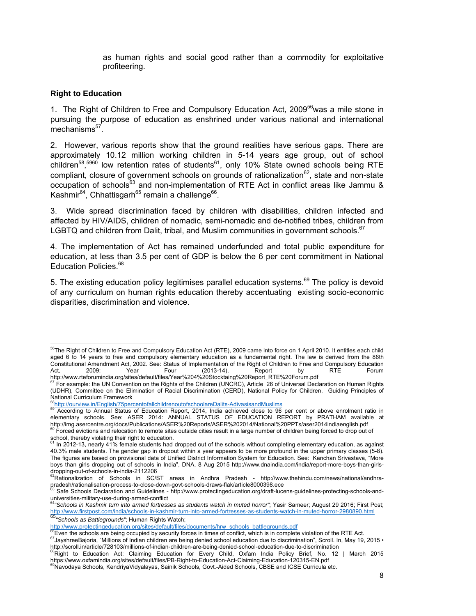as human rights and social good rather than a commodity for exploitative profiteering.

#### **Right to Education**

1. The Right of Children to Free and Compulsory Education Act, 2009 $^{56}$ was a mile stone in pursuing the purpose of education as enshrined under various national and international mechanisms<sup>57</sup>.

2. However, various reports show that the ground realities have serious gaps. There are approximately 10.12 million working children in 5-14 years age group, out of school children<sup>58</sup>,<sup>5960</sup> low retention rates of students<sup>61</sup>, only 10% State owned schools being RTE compliant, closure of government schools on grounds of rationalization $^{62}$ , state and non-state occupation of schools<sup>63</sup> and non-implementation of RTE Act in conflict areas like Jammu & Kashmir $^{64}$ , Chhattisgarh<sup>65</sup> remain a challenge<sup>66</sup>.

3. Wide spread discrimination faced by children with disabilities, children infected and affected by HIV/AIDS, children of nomadic, semi-nomadic and de-notified tribes, children from LGBTQ and children from Dalit, tribal, and Muslim communities in government schools. $67$ 

4. The implementation of Act has remained underfunded and total public expenditure for education, at less than 3.5 per cent of GDP is below the 6 per cent commitment in National Education Policies.<sup>68</sup>

5. The existing education policy legitimises parallel education systems. $69$  The policy is devoid of any curriculum on human rights education thereby accentuating existing socio-economic disparities, discrimination and violence.

 <sup>56</sup>The Right of Children to Free and Compulsory Education Act (RTE), 2009 came into force on 1 April 2010. It entitles each child aged 6 to 14 years to free and compulsory elementary education as a fundamental right. The law is derived from the 86th Constitutional Amendment Act, 2002. See: Status of Implementation of the Right of Children to Free and Compulsory Education<br>Act, 2009: Year Four (2013-14), Report by RTE Forum Act, 2009: Year Four (2013-14), Report by RTE Forum http://www.rteforumindia.org/sites/default/files/Year%204%20Stocktaing%20Report\_RTE%20Forum.pdf

 $57$  For example: the UN Convention on the Rights of the Children (UNCRC), Article  $26$  of Universal Declaration on Human Rights (UDHR), Committee on the Elimination of Racial Discrimination (CERD), National Policy for Children, Guiding Principles of National Curriculum Framework

<sup>&</sup>lt;sup>58</sup>http://ourview.in/English/75percentofallchildrenoutofschoolareDalits-AdivasisandMuslims<br><sup>59</sup> According to Annual Status of Education Report, 2014, India achieved close to 96 per cent or above enrolment ratio in elementary schools. See: ASER 2014: ANNUAL STATUS OF EDUCATION REPORT by PRATHAM available at http://img.asercentre.org/docs/Publications/ASER%20Reports/ASER%202014/National%20PPTs/aser2014indiaenglish.pdf<br><sup>60</sup> Forced evictions and relocation to remote sites outside cities result in a large number of children being

school, thereby violating their right to education. 61 In 2012-13, nearly 41% female students had dropped out of the schools without completing elementary education, as against

<sup>40.3%</sup> male students. The gender gap in dropout within a year appears to be more profound in the upper primary classes (5-8). The figures are based on provisional data of Unified District Information System for Education. See: Kanchan Srivastava, "More boys than girls dropping out of schools in India", DNA, 8 Aug 2015 http://www.dnaindia.com/india/report-more-boys-than-girlsdropping-out-of-schools-in-india-2112206

<sup>&</sup>lt;sup>62</sup>Rationalization of Schools in SC/ST areas in Andhra Pradesh - http://www.thehindu.com/news/national/andhrapradesh/rationalisation-process-to-close-down-govt-schools-draws-flak/article8000398.ece<br><sup>63</sup> Safe Schools Declaration and Guidelines - http://www.protectingeducation.org/draft-lucens-guidelines-protecting-schools-and-

universities-military-use-during-armed-conflict

<sup>64</sup>*"Schools in Kashmir turn into armed fortresses as students watch in muted horror"*; Yasir Sameer; August 29 2016; First Post; http://www.firstpost.com/india/schools-in-kashmir-turn-into-armed-fortresses-as-students-watch-in-muted-horror-2980890.html<br>65<br>http://www.protectingeducation.org/sites/default/files/documents/hrw\_schools\_battlegrounds.pdf<br>

<sup>&</sup>lt;sup>66</sup>Even the schools are being occupied by security forces in times of conflict, which is in complete violation of the RTE Act.<br><sup>67</sup>JayshreeBajoria, "Millions of Indian children are being denied school education due to dis http://scroll.in/article/728103/millions-of-indian-children-are-being-denied-school-education-due-to-discrimination

**<sup>68</sup>Right to Education Act: Claiming Education for Every Child, Oxfam India Policy Brief, No. 12 | March 2015** https://www.oxfamindia.org/sites/default/files/PB-Right-to-Education-Act-Claiming-Education-120315-EN.pdf

 $^{69}$ Navodaya Schools, KendriyaVidyalayas, Sainik Schools, Govt.-Aided Schools, CBSE and ICSE Curricula etc.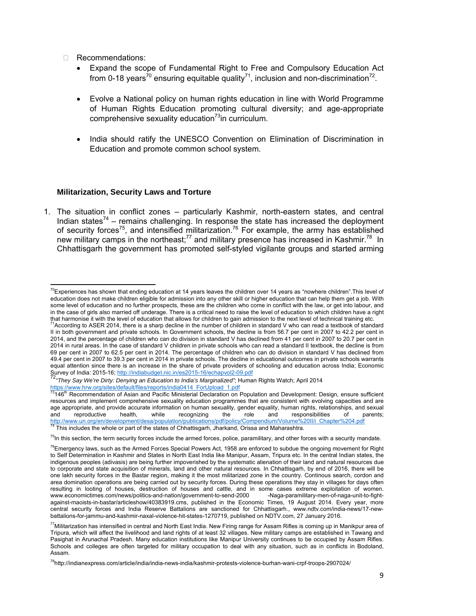Recommendations:

- Expand the scope of Fundamental Right to Free and Compulsory Education Act from 0-18 years<sup>70</sup> ensuring equitable quality<sup>71</sup>, inclusion and non-discrimination<sup>72</sup>.
- Evolve a National policy on human rights education in line with World Programme of Human Rights Education promoting cultural diversity; and age-appropriate comprehensive sexuality education<sup>73</sup>in curriculum.
- India should ratify the UNESCO Convention on Elimination of Discrimination in Education and promote common school system.

#### **Militarization, Security Laws and Torture**

1. The situation in conflict zones – particularly Kashmir, north-eastern states, and central Indian states<sup>74</sup> – remains challenging. In response the state has increased the deployment of security forces<sup>75</sup>, and intensified militarization.<sup>76</sup> For example, the army has established new military camps in the northeast;<sup>77</sup> and military presence has increased in Kashmir.<sup>78</sup> In Chhattisgarh the government has promoted self-styled vigilante groups and started arming

 $^{70}$ Experiences has shown that ending education at 14 years leaves the children over 14 years as "nowhere children". This level of education does not make children eligible for admission into any other skill or higher education that can help them get a job. With some level of education and no further prospects, these are the children who come in conflict with the law, or get into labour, and in the case of girls also married off underage. There is a critical need to raise the level of education to which children have a right

that harmonise it with the level of education that allows for children to gain admission to the next level of technical training etc.<br><sup>71</sup>According to ASER 2014, there is a sharp decline in the number of children in standa II in both government and private schools. In Government schools, the decline is from 56.7 per cent in 2007 to 42.2 per cent in 2014, and the percentage of children who can do division in standard V has declined from 41 per cent in 2007 to 20.7 per cent in 2014 in rural areas. In the case of standard V children in private schools who can read a standard II textbook, the decline is from 69 per cent in 2007 to 62.5 per cent in 2014. The percentage of children who can do division in standard V has declined from 49.4 per cent in 2007 to 39.3 per cent in 2014 in private schools. The decline in educational outcomes in private schools warrants equal attention since there is an increase in the share of private providers of schooling and education across India; Economic Survey of India: 2015-16; http://indiabudget.nic.in/es2015-16/echapvol2-09.pdf

<sup>&</sup>lt;sup>72</sup> "They Say We're Dirty: Denying an Education to India's Marginalized"; Human Rights Watch; April 2014

https://www.hrw.org/sites/default/files/reports/india0414\_ForUpload\_1.pdf<br><sup>73</sup>146<sup>th</sup> Recommendation of Asian and Pacific Ministerial Declaration on Population and Development: Design, ensure sufficient resources and implement comprehensive sexuality education programmes that are consistent with evolving capacities and are age appropriate, and provide accurate information on human sexuality, gender equality, human rights, relationships, and sexual<br>and reproductive health, while recognizing the role and responsibilities of parents; and reproductive health, while recognizing the role and responsibilities of parents; <u>http://www.un.org/en/development/desa/population/publications/pdf/policy/Compendium/Volume%20II/i\_Chapter%204.pdf</u><br><sup>74</sup> This includes the whole or part of the states of Chhattisgarh, Jharkand, Orissa and Maharashtra.

<sup>&</sup>lt;sup>75</sup>In this section, the term security forces include the armed forces, police, paramilitary, and other forces with a security mandate.

 $^{76}$ Emergency laws, such as the Armed Forces Special Powers Act, 1958 are enforced to subdue the ongoing movement for Right to Self Determination in Kashmir and States in North East India like Manipur, Assam, Tripura etc. In the central Indian states, the indigenous peoples (adivasis) are being further impoverished by the systematic alienation of their land and natural resources due to corporate and state acquisition of minerals, land and other natural resources. In Chhattisgarh, by end of 2016, there will be one lakh security forces in the Bastar region, making it the most militarized zone in the country. Continous search, cordon and area domination operations are being carried out by security forces. During these operations they stay in villages for days often resulting in looting of houses, destruction of houses and cattle, and in some cases extreme exploitation of women.<br>www.economictimes.com/news/politics-and-nation/government-to-send-2000 -Naga-paramilitary-men-of-naga-unitwww.economictimes.com/news/politics-and-nation/government-to-send-2000 against-maoists-in-bastar/articleshow/40383919.cms, published in the Economic Times, 19 August 2014. Every year, more central security forces and India Reserve Battalions are sanctioned for Chhattisgarh., www.ndtv.com/india-news/17-newbattalions-for-jammu-and-kashmir-naxal-violence-hit-states-1270719, published on NDTV.com, 27 January 2016.

 $^{77}$ Militarization has intensified in central and North East India. New Firing range for Assam Rifles is coming up in Manikpur area of Tripura, which will affect the livelihood and land rights of at least 32 villages. New military camps are established in Tawang and Pasighat in Arunachal Pradesh. Many education institutions like Manipur University continues to be occupied by Assam Rifles. Schools and colleges are often targeted for military occupation to deal with any situation, such as in conflicts in Bodoland, Assam.

<sup>&</sup>lt;sup>78</sup>http://indianexpress.com/article/india/india-news-india/kashmir-protests-violence-burhan-wani-crpf-troops-2907024/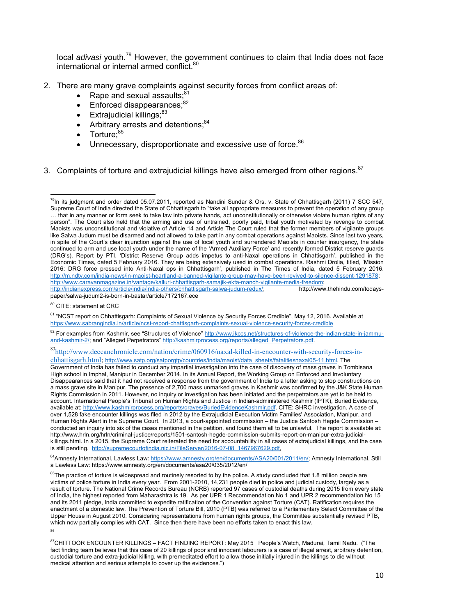local *adivasi* youth.79 However, the government continues to claim that India does not face international or internal armed conflict.<sup>80</sup>

- 2. There are many grave complaints against security forces from conflict areas of:
	- Rape and sexual assaults: $81$
	- $\bullet$  Enforced disappearances; $^{82}$
	- $\bullet$  Extrajudicial killings; $^{83}$
	- Arbitrary arrests and detentions;<sup>84</sup>
	- Torture:<sup>85</sup>

- Unnecessary, disproportionate and excessive use of force.<sup>86</sup>
- 3. Complaints of torture and extrajudicial killings have also emerged from other regions.<sup>87</sup>

80 CITE: statement at CRC

83http://www.deccanchronicle.com/nation/crime/060916/naxal-killed-in-encounter-with-security-forces-inchhattisgarh.html; http://www.satp.org/satporgtp/countries/india/maoist/data\_sheets/fatalitiesnaxal05-11.html. The

 $^{79}$ In its judgment and order dated 05.07.2011, reported as Nandini Sundar & Ors. v. State of Chhattisgarh (2011) 7 SCC 547, Supreme Court of India directed the State of Chhattisgarh to "take all appropriate measures to prevent the operation of any group … that in any manner or form seek to take law into private hands, act unconstitutionally or otherwise violate human rights of any person". The Court also held that the arming and use of untrained, poorly paid, tribal youth motivated by revenge to combat Maoists was unconstitutional and violative of Article 14 and Article The Court ruled that the former members of vigilante groups like Salwa Judum must be disarmed and not allowed to take part in any combat operations against Maoists. Since last two years, in spite of the Court's clear injunction against the use of local youth and surrendered Maoists in counter insurgency, the state continued to arm and use local youth under the name of the 'Armed Auxiliary Force' and recently formed District reserve guards (DRG's). Report by PTI, 'District Reserve Group adds impetus to anti-Naxal operations in Chhattisgarh', published in the Economic Times, dated 5 February 2016. They are being extensively used in combat operations. Rashmi Drolia, titled, 'Mission 2016: DRG force pressed into Anti-Naxal ops in Chhattisgarh', published in The Times of India, dated 5 February 2016. http://m.ndtv.com/india-news/in-maoist-heartland-a-banned-vigilante-group-may-have-been-revived-to-silence-dissent-1291878; http://www.caravanmagazine.in/vantage/kalluri-chhattisgarh-samajik-ekta-manch-vigilante-media-freedom; http://indianexpress.com/article/india/india-others/chhattisgarh-salwa-judum-redux/; http://www.thehindu.com/todayspaper/salwa-judum2-is-born-in-bastar/article7172167.ece

<sup>81 &</sup>quot;NCST report on Chhattisgarh: Complaints of Sexual Violence by Security Forces Credible", May 12, 2016. Available at https://www.sabrangindia.in/article/ncst-report-chattisgarh-complaints-sexual-violence-security-forces-credible

<sup>82</sup> For examples from Kashmir, see "Structures of Violence" http://www.jkccs.net/structures-of-violence-the-indian-state-in-jammuand-kashmir-2/; and "Alleged Perpetrators" http://kashmirprocess.org/reports/alleged\_Perpetrators.pdf.

Government of India has failed to conduct any impartial investigation into the case of discovery of mass graves in Tombisana High school in Imphal, Manipur in December 2014. In its Annual Report, the Working Group on Enforced and Involuntary Disappearances said that it had not received a response from the government of India to a letter asking to stop constructions on a mass grave site in Manipur. The presence of 2,700 mass unmarked graves in Kashmir was confirmed by the J&K State Human Rights Commission in 2011. However, no inquiry or investigation has been initiated and the perpetrators are yet to be held to account. International People's Tribunal on Human Rights and Justice in Indian-administered Kashmir (IPTK), Buried Evidence, available at: http://www.kashmirprocess.org/reports/graves/BuriedEvidenceKashmir.pdf. CITE: SHRC investigation. A case of over 1,528 fake encounter killings was filed in 2012 by the Extrajudicial Execution Victim Families' Association, Manipur, and Human Rights Alert in the Supreme Court. In 2013, a court-appointed commission – the Justice Santosh Hegde Commission – conducted an inquiry into six of the cases mentioned in the petition, and found them all to be unlawful. The report is available at: http://www.hrln.org/hrln/criminal-justice/reports/1501-santosh-hegde-commission-submits-report-on-manipur-extra-judicialkillings.html. In a 2015, the Supreme Court reiterated the need for accountability in all cases of extrajudicial killings, and the case is still pending. http://supremecourtofindia.nic.in/FileServer/2016-07-08\_1467967629.pdf,

<sup>84</sup>Amnesty International, Lawless Law: https://www.amnesty.org/en/documents/ASA20/001/2011/en/; Amnesty International, Still a Lawless Law: https://www.amnesty.org/en/documents/asa20/035/2012/en/

<sup>&</sup>lt;sup>85</sup>The practice of torture is widespread and routinely resorted to by the police. A study concluded that 1.8 million people are victims of police torture in India every year. From 2001-2010, 14,231 people died in police and judicial custody, largely as a result of torture. The National Crime Records Bureau (NCRB) reported 97 cases of custodial deaths during 2015 from every state of India, the highest reported from Maharashtra is 19. As per UPR 1 Recommendation No 1 and UPR 2 recommendation No 15 and its 2011 pledge, India committed to expedite ratification of the Convention against Torture (CAT). Ratification requires the enactment of a domestic law. The Prevention of Torture Bill, 2010 (PTB) was referred to a Parliamentary Select Committee of the Upper House in August 2010. Considering representations from human rights groups, the Committee substantially revised PTB, which now partially complies with CAT. Since then there have been no efforts taken to enact this law. 86

<sup>&</sup>lt;sup>87</sup>CHITTOOR ENCOUNTER KILLINGS – FACT FINDING REPORT: May 2015 People's Watch, Madurai, Tamil Nadu. ("The fact finding team believes that this case of 20 killings of poor and innocent labourers is a case of illegal arrest, arbitrary detention, custodial torture and extra-judicial killing, with premeditated effort to allow those initially injured in the killings to die without medical attention and serious attempts to cover up the evidences.")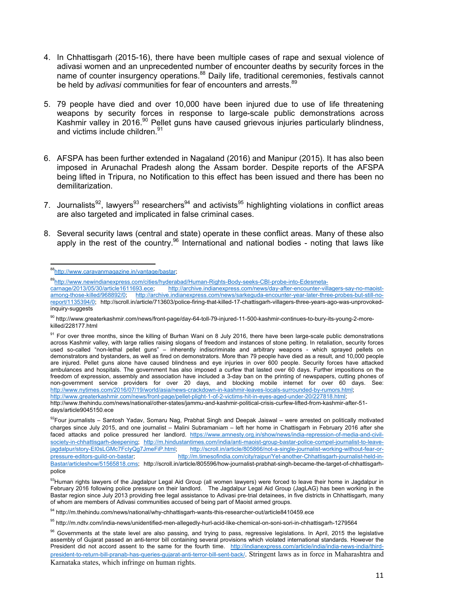- 4. In Chhattisgarh (2015-16), there have been multiple cases of rape and sexual violence of adivasi women and an unprecedented number of encounter deaths by security forces in the name of counter insurgency operations.<sup>88</sup> Daily life, traditional ceremonies, festivals cannot be held by *adivasi* communities for fear of encounters and arrests.<sup>89</sup>
- 5. 79 people have died and over 10,000 have been injured due to use of life threatening weapons by security forces in response to large-scale public demonstrations across Kashmir valley in 2016.<sup>90</sup> Pellet guns have caused grievous injuries particularly blindness, and victims include children.<sup>91</sup>
- 6. AFSPA has been further extended in Nagaland (2016) and Manipur (2015). It has also been imposed in Arunachal Pradesh along the Assam border. Despite reports of the AFSPA being lifted in Tripura, no Notification to this effect has been issued and there has been no demilitarization.
- 7. Journalists<sup>92</sup>, lawyers<sup>93</sup> researchers<sup>94</sup> and activists<sup>95</sup> highlighting violations in conflict areas are also targeted and implicated in false criminal cases.
- 8. Several security laws (central and state) operate in these conflict areas. Many of these also apply in the rest of the country.<sup>96</sup> International and national bodies - noting that laws like

<sup>89</sup>http://www.newindianexpress.com/cities/hyderabad/Human-Rights-Body-seeks-CBI-probe-into-Edesmeta-<br>carnage/2013/05/30/article1611693.ece; http://archive.indianexpress.com/news/day-after-encounter-vill

http://www.greaterkashmir.com/news/front-page/pellet-plight-1-of-2-victims-hit-in-eyes-aged-under-20/227818.html;

<sup>&</sup>lt;sup>88</sup>http://www.caravanmagazine.in/vantage/bastar;

http://archive.indianexpress.com/news/day-after-encounter-villagers-say-no-maoistamong-those-killed/968892/0; http://archive.indianexpress.com/news/sarkeguda-encounter-year-later-three-probes-but-still-noreport/1135394/0; http://scroll.in/article/713603/police-firing-that-killed-17-chattisgarh-villagers-three-years-ago-was-unprovokedinquiry-suggests

<sup>90</sup> http://www.greaterkashmir.com/news/front-page/day-64-toll-79-injured-11-500-kashmir-continues-to-bury-its-young-2-morekilled/228177.html

<sup>&</sup>lt;sup>91</sup> For over three months, since the killing of Burhan Wani on 8 July 2016, there have been large-scale public demonstrations across Kashmir valley, with large rallies raising slogans of freedom and instances of stone pelting. In retaliation, security forces used so-called "non-lethal pellet guns" – inherently indiscriminate and arbitrary weapons - which sprayed pellets on demonstrators and bystanders, as well as fired on demonstrators. More than 79 people have died as a result, and 10,000 people are injured. Pellet guns alone have caused blindness and eye injuries in over 600 people. Security forces have attacked ambulances and hospitals. The government has also imposed a curfew that lasted over 60 days. Further impositions on the freedom of expression, assembly and association have included a 3-day ban on the printing of newspapers, cutting phones of non-government service providers for over 20 days, and blocking mobile internet for over 60 days. See: http://www.nytimes.com/2016/07/19/world/asia/news-crackdown-in-kashmir-leaves-locals-surrounded-by-rumors.html;

http://www.thehindu.com/news/national/other-states/jammu-and-kashmir-political-crisis-curfew-lifted-from-kashmir-after-51 days/article9045150.ece

 $^{92}$ Four journalists – Santosh Yadav, Somaru Nag, Prabhat Singh and Deepak Jaiswal – were arrested on politically motivated charges since July 2015, and one journalist – Malini Subramaniam – left her home in Chattisgarh in February 2016 after she faced attacks and police pressured her landlord. https://www.amnesty.org.in/show/news/india-repression-of-media-and-civilsociety-in-chhattisgarh-deepening; http://m.hindustantimes.com/india/anti-maoist-group-bastar-police-compel-journalist-to-leavejagdalpur/story-EI0sLGMc7FcIyQg7JmeFiP.html; http://scroll.in/article/805866/not-a-single-journalist-working-without-fear-orpressure-editors-guild-on-bastar; http://m.timesofindia.com/city/raipur/Yet-another-Chhattisgarh-journalist-held-in-Bastar/articleshow/51565818.cms; http://scroll.in/article/805596/how-journalist-prabhat-singh-became-the-target-of-chhattisgarhpolice

<sup>93</sup>Human rights lawyers of the Jagdalpur Legal Aid Group (all women lawyers) were forced to leave their home in Jagdalpur in February 2016 following police pressure on their landlord. The Jagdalpur Legal Aid Group (JagLAG) has been working in the Bastar region since July 2013 providing free legal assistance to Adivasi pre-trial detainees, in five districts in Chhattisgarh, many of whom are members of Adivasi communities accused of being part of Maoist armed groups.

<sup>94</sup> http://m.thehindu.com/news/national/why-chhattisgarh-wants-this-researcher-out/article8410459.ece

<sup>95</sup> http://m.ndtv.com/india-news/unidentified-men-allegedly-hurl-acid-like-chemical-on-soni-sori-in-chhattisgarh-1279564

<sup>&</sup>lt;sup>96</sup> Governments at the state level are also passing, and trying to pass, regressive legislations. In April, 2015 the legislative assembly of Gujarat passed an anti-terror bill containing several provisions which violated international standards. However the President did not accord assent to the same for the fourth time. http://indianexpress.com/article/india/india-news-india/thirdpresident-to-return-bill-pranab-has-queries-gujarat-anti-terror-bill-sent-back/. Stringent laws as in force in Maharashtra and Karnataka states, which infringe on human rights.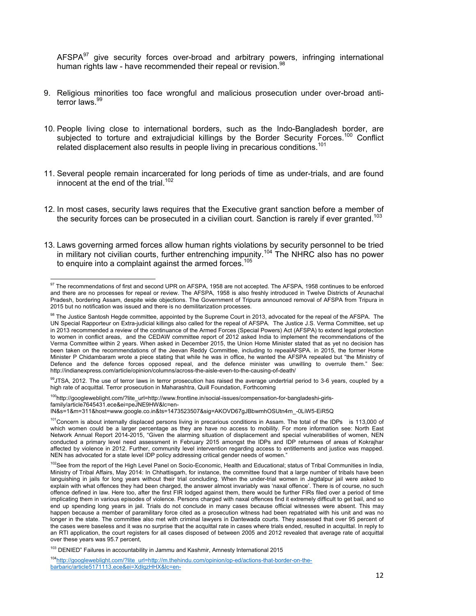AFSPA $97$  give security forces over-broad and arbitrary powers, infringing international human rights law - have recommended their repeal or revision.<sup>98</sup>

- 9. Religious minorities too face wrongful and malicious prosecution under over-broad antiterror laws.<sup>99</sup>
- 10. People living close to international borders, such as the Indo-Bangladesh border, are subjected to torture and extrajudicial killings by the Border Security Forces.<sup>100</sup> Conflict related displacement also results in people living in precarious conditions.<sup>101</sup>
- 11. Several people remain incarcerated for long periods of time as under-trials, and are found innocent at the end of the trial.<sup>102</sup>
- 12. In most cases, security laws requires that the Executive grant sanction before a member of the security forces can be prosecuted in a civilian court. Sanction is rarely if ever granted.<sup>103</sup>
- 13. Laws governing armed forces allow human rights violations by security personnel to be tried in military not civilian courts, further entrenching impunity.<sup>104</sup> The NHRC also has no power to enquire into a complaint against the armed forces.<sup>105</sup>

99JTSA, 2012. The use of terror laws in terror prosecution has raised the average undertrial period to 3-6 years, coupled by a high rate of acquittal. Terror prosecution in Maharashtra, Quill Foundation, Forthcoming

<sup>100</sup>http://googleweblight.com/?lite\_url=http://www.frontline.in/social-issues/compensation-for-bangladeshi-girlsfamily/article7645431.ece&ei=peJNE9HW&lc=en-

IN&s=1&m=311&host=www.google.co.in&ts=1473523507&sig=AKOVD67gJBbwmhOSUtn4m\_-0LiW5-EiR5Q

<sup>103</sup> DENIED" Failures in accountability in Jammu and Kashmir, Amnesty International 2015

  $97$  The recommendations of first and second UPR on AFSPA, 1958 are not accepted. The AFSPA, 1958 continues to be enforced and there are no processes for repeal or review. The AFSPA, 1958 is also freshly introduced in Twelve Districts of Arunachal Pradesh, bordering Assam, despite wide objections. The Government of Tripura announced removal of AFSPA from Tripura in 2015 but no notification was issued and there is no demilitarization processes.

<sup>98</sup> The Justice Santosh Hegde committee, appointed by the Supreme Court in 2013, advocated for the repeal of the AFSPA. The UN Special Rapporteur on Extra-judicial killings also called for the repeal of AFSPA. The Justice J.S. Verma Committee, set up in 2013 recommended a review of the continuance of the Armed Forces (Special Powers) Act (AFSPA) to extend legal protection to women in conflict areas, and the CEDAW committee report of 2012 asked India to implement the recommendations of the Verma Committee within 2 years. When asked in December 2015, the Union Home Minister stated that as yet no decision has been taken on the recommendations of the Jeevan Reddy Committee, including to repealAFSPA. in 2015, the former Home Minister P Chidambaram wrote a piece stating that while he was in office, he wanted the AFSPA repealed but "the Ministry of Defence and the defence forces opposed repeal, and the defence minister was unwilling to overrule them." See: http://indianexpress.com/article/opinion/columns/across-the-aisle-even-to-the-causing-of-death/

<sup>&</sup>lt;sup>101</sup>Concern is about internally displaced persons living in precarious conditions in Assam. The total of the IDPs is 113,000 of which women could be a larger percentage as they are have no access to mobility. For more information see: North East Network Annual Report 2014-2015, "Given the alarming situation of displacement and special vulnerabilities of women, NEN conducted a primary level need assessment in February 2015 amongst the IDPs and IDP returnees of areas of Kokrajhar affected by violence in 2012. Further, community level intervention regarding access to entitlements and justice was mapped. NEN has advocated for a state level IDP policy addressing critical gender needs of women."

<sup>&</sup>lt;sup>102</sup>See from the report of the High Level Panel on Socio-Economic, Health and Educational; status of Tribal Communities in India, Ministry of Tribal Affairs, May 2014: In Chhattisgarh, for instance, the committee found that a large number of tribals have been languishing in jails for long years without their trial concluding. When the under-trial women in Jagdalpur jail were asked to explain with what offences they had been charged, the answer almost invariably was 'naxal offence'. There is of course, no such offence defined in law. Here too, after the first FIR lodged against them, there would be further FIRs filed over a period of time implicating them in various episodes of violence. Persons charged with naxal offences find it extremely difficult to get bail, and so end up spending long years in jail. Trials do not conclude in many cases because official witnesses were absent. This may happen because a member of paramilitary force cited as a prosecution witness had been repatriated with his unit and was no longer in the state. The committee also met with criminal lawyers in Dantewada courts. They assessed that over 95 percent of the cases were baseless and it was no surprise that the acquittal rate in cases where trials ended, resulted in acquittal. In reply to an RTI application, the court registers for all cases disposed of between 2005 and 2012 revealed that average rate of acquittal over these years was 95.7 percent,

<sup>104</sup>http://googleweblight.com/?lite\_url=http://m.thehindu.com/opinion/op-ed/actions-that-border-on-thebarbaric/article5171113.ece&ei=XdlqzHHX&lc=en-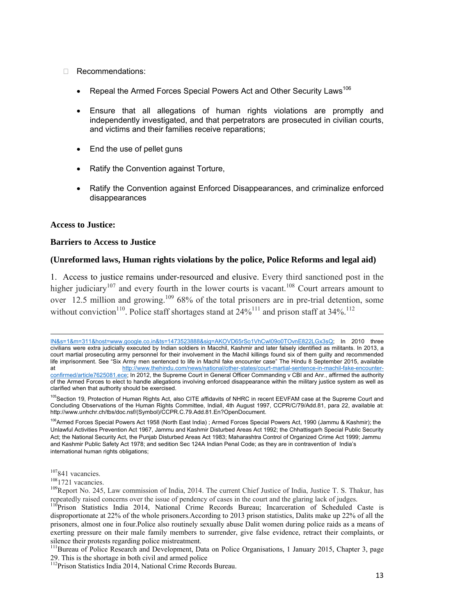#### □ Recommendations:

- Repeal the Armed Forces Special Powers Act and Other Security Laws<sup>106</sup>
- Ensure that all allegations of human rights violations are promptly and independently investigated, and that perpetrators are prosecuted in civilian courts, and victims and their families receive reparations;
- End the use of pellet guns
- Ratify the Convention against Torture,
- Ratify the Convention against Enforced Disappearances, and criminalize enforced disappearances

#### **Access to Justice:**

#### **Barriers to Access to Justice**

#### **(Unreformed laws, Human rights violations by the police, Police Reforms and legal aid)**

1. Access to justice remains under-resourced and elusive. Every third sanctioned post in the higher judiciary<sup>107</sup> and every fourth in the lower courts is vacant.<sup>108</sup> Court arrears amount to over 12.5 million and growing.<sup>109</sup> 68% of the total prisoners are in pre-trial detention, some without conviction<sup>110</sup>. Police staff shortages stand at  $24\%$ <sup>111</sup> and prison staff at 34%.<sup>112</sup>

<u> 1989 - Johann Stoff, fransk politik (f. 1989)</u>

<sup>106</sup>Armed Forces Special Powers Act 1958 (North East India) ; Armed Forces Special Powers Act, 1990 (Jammu & Kashmir); the Unlawful Activities Prevention Act 1967, Jammu and Kashmir Disturbed Areas Act 1992; the Chhattisgarh Special Public Security Act; the National Security Act, the Punjab Disturbed Areas Act 1983; Maharashtra Control of Organized Crime Act 1999; Jammu and Kashmir Public Safety Act 1978; and sedition Sec 124A Indian Penal Code; as they are in contravention of India's international human rights obligations;

<sup>107</sup>841 vacancies.<br><sup>108</sup>1721 vacancies.<br><sup>109</sup>Report No. 245, Law commission of India, 2014. The current Chief Justice of India, Justice T. S. Thakur, has repeatedly raised concerns over the issue of pendency of cases in the court and the glaring lack of judges.

IN&s=1&m=311&host=www.google.co.in&ts=1473523888&sig=AKOVD65rSo1VhCwl09o0TOvnE822LGx3sQ; In 2010 three civilians were extra judicially executed by Indian soldiers in Macchil, Kashmir and later falsely identified as militants. In 2013, a court martial prosecuting army personnel for their involvement in the Machil killings found six of them guilty and recommended life imprisonment. See "Six Army men sentenced to life in Machil fake encounter case" The Hindu 8 September 2015, available at metal-sentence-in-machil-fake-encounter-<br>at http://www.thehindu.com/news/national/other-states/court-martial-sentence-in-machil-fake-encounterconfirmed/article7625081.ece; In 2012, the Supreme Court in General Officer Commanding v CBI and Anr., affirmed the authority of the Armed Forces to elect to handle allegations involving enforced disappearance within the military justice system as well as clarified when that authority should be exercised.

<sup>&</sup>lt;sup>105</sup>Section 19, Protection of Human Rights Act, also CITE affidavits of NHRC in recent EEVFAM case at the Supreme Court and Concluding Observations of the Human Rights Committee, Indiaǁ, 4th August 1997, CCPR/C/79/Add.81, para 22, available at: http://www.unhchr.ch/tbs/doc.nsf/(Symbol)/CCPR.C.79.Add.81.En?OpenDocument.

<sup>&</sup>lt;sup>110</sup>Prison Statistics India 2014, National Crime Records Bureau; Incarceration of Scheduled Caste is disproportionate at 22% of the whole prisoners.According to 2013 prison statistics, Dalits make up 22% of all the prisoners, almost one in four.Police also routinely sexually abuse Dalit women during police raids as a means of exerting pressure on their male family members to surrender, give false evidence, retract their complaints, or silence their protests regarding police mistreatment.

<sup>&</sup>lt;sup>111</sup>Bureau of Police Research and Development, Data on Police Organisations, 1 January 2015, Chapter 3, page 29. This is the shortage in both civil and armed police

<sup>&</sup>lt;sup>112</sup>Prison Statistics India 2014, National Crime Records Bureau.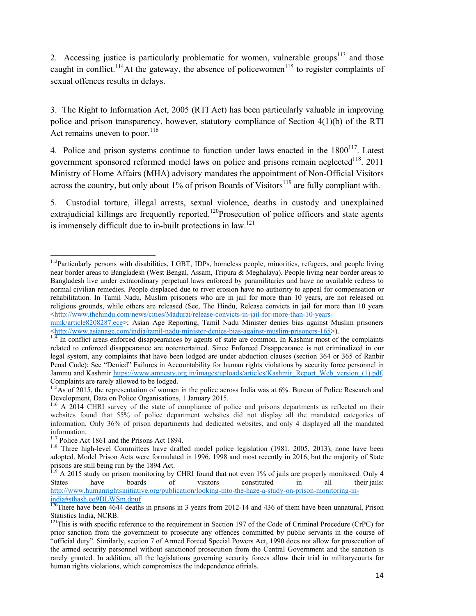2. Accessing justice is particularly problematic for women, vulnerable groups $113$  and those caught in conflict.<sup>114</sup>At the gateway, the absence of policewomen<sup>115</sup> to register complaints of sexual offences results in delays.

3. The Right to Information Act, 2005 (RTI Act) has been particularly valuable in improving police and prison transparency, however, statutory compliance of Section 4(1)(b) of the RTI Act remains uneven to poor. $116$ 

4. Police and prison systems continue to function under laws enacted in the  $1800^{117}$ . Latest government sponsored reformed model laws on police and prisons remain neglected $118$ . 2011 Ministry of Home Affairs (MHA) advisory mandates the appointment of Non-Official Visitors across the country, but only about  $1\%$  of prison Boards of Visitors<sup>119</sup> are fully compliant with.

5. Custodial torture, illegal arrests, sexual violence, deaths in custody and unexplained extrajudicial killings are frequently reported.<sup>120</sup>Prosecution of police officers and state agents is immensely difficult due to in-built protections in  $\text{law}$ <sup>121</sup>

 <sup>113</sup>Particularly persons with disabilities, LGBT, IDPs, homeless people, minorities, refugees, and people living near border areas to Bangladesh (West Bengal, Assam, Tripura & Meghalaya). People living near border areas to Bangladesh live under extraordinary perpetual laws enforced by paramilitaries and have no available redress to normal civilian remedies. People displaced due to river erosion have no authority to appeal for compensation or rehabilitation. In Tamil Nadu, Muslim prisoners who are in jail for more than 10 years, are not released on religious grounds, while others are released (See, The Hindu, Release convicts in jail for more than 10 years <http://www.thehindu.com/news/cities/Madurai/release-convicts-in-jail-for-more-than-10-years-

mmk/article8208287.ece>; Asian Age Reporting, Tamil Nadu Minister denies bias against Muslim prisoners  $\frac{\text{th}}{114}$  In conflict areas enforced disappearances by agents of state are common. In Kashmir most of the complaints  $\frac{114}{114}$  In conflict areas enforced disappearances by agents of state are common. In Kashmir m

related to enforced disappearance are notentertained. Since Enforced Disappearance is not criminalized in our legal system, any complaints that have been lodged are under abduction clauses (section 364 or 365 of Ranbir Penal Code); See "Denied" Failures in Accountability for human rights violations by security force personnel in Jammu and Kashmir https://www.amnesty.org.in/images/uploads/articles/Kashmir\_Report\_Web\_version\_(1).pdf. Complaints are rarely allowed to be lodged.

<sup>&</sup>lt;sup>115</sup>As of 2015, the representation of women in the police across India was at 6%. Bureau of Police Research and Development, Data on Police Organisations, 1 January 2015.

<sup>&</sup>lt;sup>116</sup> A 2014 CHRI survey of the state of compliance of police and prisons departments as reflected on their websites found that 55% of police department websites did not display all the mandated categories of information. Only 36% of prison departments had dedicated websites, and only 4 displayed all the mandated information.<br><sup>117</sup> Police Act 1861 and the Prisons Act 1894.

<sup>&</sup>lt;sup>118</sup> Three high-level Committees have drafted model police legislation (1981, 2005, 2013), none have been adopted. Model Prison Acts were formulated in 1996, 1998 and most recently in 2016, but the majority of State prisons are still being run by the 1894 Act.

<sup>&</sup>lt;sup>119</sup> A 2015 study on prison monitoring by CHRI found that not even 1% of jails are properly monitored. Only 4 States have boards of visitors constituted in all their jails: http://www.humanrightsinitiative.org/publication/looking-into-the-haze-a-study-on-prison-monitoring-inindia#sthash.eo9DLWSm.dpuf

 $120$ There have been 4644 deaths in prisons in 3 years from 2012-14 and 436 of them have been unnatural, Prison Statistics India, NCRB.

<sup>&</sup>lt;sup>121</sup>This is with specific reference to the requirement in Section 197 of the Code of Criminal Procedure (CrPC) for prior sanction from the government to prosecute any offences committed by public servants in the course of "official duty". Similarly, section 7 of Armed Forced Special Powers Act, 1990 does not allow for prosecution of the armed security personnel without sanctionof prosecution from the Central Government and the sanction is rarely granted. In addition, all the legislations governing security forces allow their trial in militarycourts for human rights violations, which compromises the independence oftrials.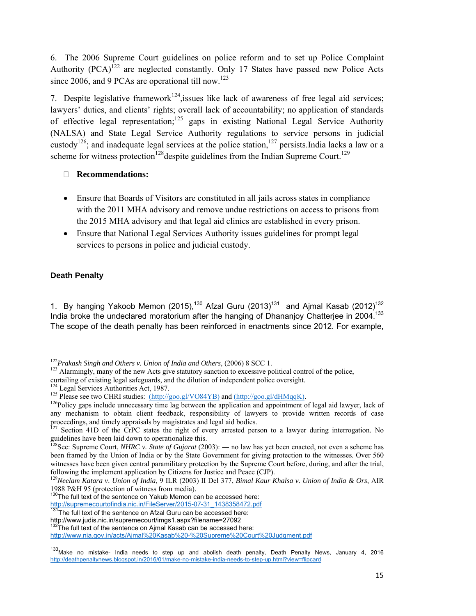6. The 2006 Supreme Court guidelines on police reform and to set up Police Complaint Authority  $(PCA)^{122}$  are neglected constantly. Only 17 States have passed new Police Acts since 2006, and 9 PCAs are operational till now.<sup>123</sup>

7. Despite legislative framework<sup>124</sup>, issues like lack of awareness of free legal aid services; lawyers' duties, and clients' rights; overall lack of accountability; no application of standards of effective legal representation;<sup>125</sup> gaps in existing National Legal Service Authority (NALSA) and State Legal Service Authority regulations to service persons in judicial custody<sup>126</sup>; and inadequate legal services at the police station,<sup>127</sup> persists.India lacks a law or a scheme for witness protection<sup>128</sup> despite guidelines from the Indian Supreme Court.<sup>129</sup>

#### **Recommendations:**

- Ensure that Boards of Visitors are constituted in all jails across states in compliance with the 2011 MHA advisory and remove undue restrictions on access to prisons from the 2015 MHA advisory and that legal aid clinics are established in every prison.
- Ensure that National Legal Services Authority issues guidelines for prompt legal services to persons in police and judicial custody.

# **Death Penalty**

1. By hanging Yakoob Memon (2015),<sup>130</sup> Afzal Guru (2013)<sup>131</sup> and Ajmal Kasab (2012)<sup>132</sup> India broke the undeclared moratorium after the hanging of Dhananjoy Chatterjee in  $2004$ .<sup>133</sup> The scope of the death penalty has been reinforced in enactments since 2012. For example,

http://supremecourtofindia.nic.in/FileServer/2015-07-31\_1438358472.pdf<br><sup>131</sup>The full text of the sentence on Afzal Guru can be accessed here:

 $122$ Prakash Singh and Others v. Union of India and Others, (2006) 8 SCC 1.

<sup>&</sup>lt;sup>123</sup> Alarmingly, many of the new Acts give statutory sanction to excessive political control of the police, curtailing of existing legal safeguards, and the dilution of independent police oversight.<br><sup>124</sup> Legal Services Authorities Act, 1987.

<sup>&</sup>lt;sup>125</sup> Please see two CHRI studies:  $(http://goo.gl/VO84YB)$  and  $(http://goo.gl/dHMqqK)$ .<br><sup>126</sup>Policy gaps include unnecessary time lag between the application and appointment of legal aid lawyer, lack of any mechanism to obtain client feedback, responsibility of lawyers to provide written records of case proceedings, and timely appraisals by magistrates and legal aid bodies.

 $127$  Section 41D of the CrPC states the right of every arrested person to a lawyer during interrogation. No guidelines have been laid down to operationalize this.

<sup>128</sup>See: Supreme Court, *NHRC v. State of Gujarat* (2003): ― no law has yet been enacted, not even a scheme has been framed by the Union of India or by the State Government for giving protection to the witnesses. Over 560 witnesses have been given central paramilitary protection by the Supreme Court before, during, and after the trial, following the implement application by Citizens for Justice and Peace (CJP).

<sup>129</sup>*Neelam Katara v. Union of India*, 9 ILR (2003) II Del 377, *Bimal Kaur Khalsa v. Union of India & Ors*, AIR 1988 P&H 95 (protection of witness from media).

<sup>&</sup>lt;sup>130</sup>The full text of the sentence on Yakub Memon can be accessed here:

http://www.judis.nic.in/supremecourt/imgs1.aspx?filename=27092

 $132$ The full text of the sentence on Aimal Kasab can be accessed here:

http://www.nia.gov.in/acts/Ajmal%20Kasab%20-%20Supreme%20Court%20Judgment.pdf

<sup>133</sup>Make no mistake- India needs to step up and abolish death penalty, Death Penalty News, January 4, 2016 http://deathpenaltynews.blogspot.in/2016/01/make-no-mistake-india-needs-to-step-up.html?view=flipcard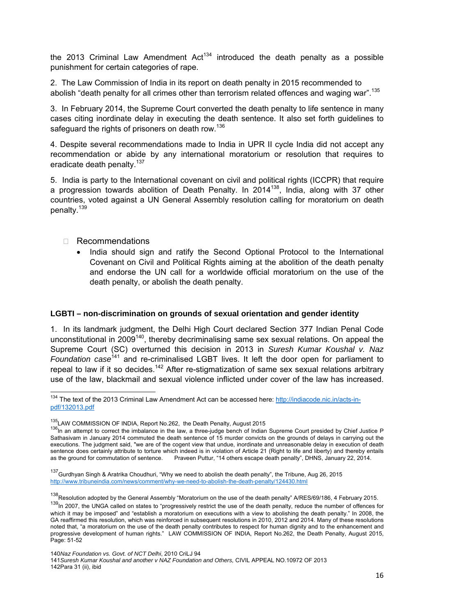the 2013 Criminal Law Amendment  $Act^{134}$  introduced the death penalty as a possible punishment for certain categories of rape.

2. The Law Commission of India in its report on death penalty in 2015 recommended to abolish "death penalty for all crimes other than terrorism related offences and waging war".<sup>135</sup>

3. In February 2014, the Supreme Court converted the death penalty to life sentence in many cases citing inordinate delay in executing the death sentence. It also set forth guidelines to safeguard the rights of prisoners on death row.<sup>136</sup>

4. Despite several recommendations made to India in UPR II cycle India did not accept any recommendation or abide by any international moratorium or resolution that requires to eradicate death penalty.<sup>137</sup>

5. India is party to the International covenant on civil and political rights (ICCPR) that require a progression towards abolition of Death Penalty. In  $2014^{138}$ , India, along with 37 other countries, voted against a UN General Assembly resolution calling for moratorium on death penalty.<sup>139</sup>

□ Recommendations

• India should sign and ratify the Second Optional Protocol to the International Covenant on Civil and Political Rights aiming at the abolition of the death penalty and endorse the UN call for a worldwide official moratorium on the use of the death penalty, or abolish the death penalty.

#### **LGBTI – non-discrimination on grounds of sexual orientation and gender identity**

1. In its landmark judgment, the Delhi High Court declared Section 377 Indian Penal Code unconstitutional in 2009<sup>140</sup>, thereby decriminalising same sex sexual relations. On appeal the Supreme Court (SC) overturned this decision in 2013 in *Suresh Kumar Koushal v. Naz Foundation case*141 and re-criminalised LGBT lives. It left the door open for parliament to repeal to law if it so decides.<sup>142</sup> After re-stigmatization of same sex sexual relations arbitrary use of the law, blackmail and sexual violence inflicted under cover of the law has increased.

140*Naz Foundation vs. Govt. of NCT Delhi*, 2010 CriLJ 94

141*Suresh Kumar Koushal and another v NAZ Foundation and Others,* CIVIL APPEAL NO.10972 OF 2013 142Para 31 (ii), ibid

<sup>&</sup>lt;sup>134</sup> The text of the 2013 Criminal Law Amendment Act can be accessed here: http://indiacode.nic.in/acts-inpdf/132013.pdf

<sup>&</sup>lt;sup>135</sup>LAW COMMISSION OF INDIA, Report No.262, the Death Penalty, August 2015<br><sup>136</sup>In an attempt to correct the imbalance in the law, a three-judge bench of Indian Supreme Court presided by Chief Justice P Sathasivam in January 2014 commuted the death sentence of 15 murder convicts on the grounds of delays in carrying out the executions. The judgment said, "we are of the cogent view that undue, inordinate and unreasonable delay in execution of death sentence does certainly attribute to torture which indeed is in violation of Article 21 (Right to life and liberty) and thereby entails as the ground for commutation of sentence. Praveen Puttur, "14 others escape death pen Praveen Puttur, "14 others escape death penalty", DHNS, January 22, 2014.

<sup>&</sup>lt;sup>137</sup>Gurdhyan Singh & Aratrika Choudhuri, "Why we need to abolish the death penalty", the Tribune, Aug 26, 2015 http://www.tribuneindia.com/news/comment/why-we-need-to-abolish-the-death-penalty/124430.html

<sup>&</sup>lt;sup>138</sup>Resolution adopted by the General Assembly "Moratorium on the use of the death penalty" A/RES/69/186, 4 February 2015.<br><sup>139</sup>In 2007, the UNGA called on states to "progressively restrict the use of the death penalty, which it may be imposed" and "establish a moratorium on executions with a view to abolishing the death penalty." In 2008, the GA reaffirmed this resolution, which was reinforced in subsequent resolutions in 2010, 2012 and 2014. Many of these resolutions noted that, "a moratorium on the use of the death penalty contributes to respect for human dignity and to the enhancement and progressive development of human rights." LAW COMMISSION OF INDIA, Report No.262, the Death Penalty, August 2015, Page: 51-52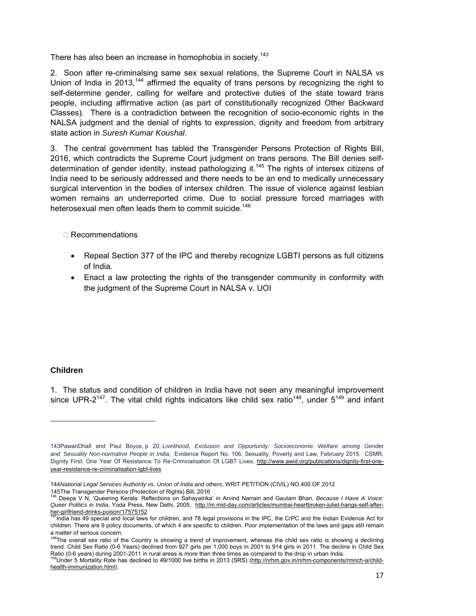There has also been an increase in homophobia in society.<sup>143</sup>

2. Soon after re-criminalsing same sex sexual relations, the Supreme Court in NALSA vs Union of India in 2013,<sup>144</sup> affirmed the equality of trans persons by recognizing the right to self-determine gender, calling for welfare and protective duties of the state toward trans people, including affirmative action (as part of constitutionally recognized Other Backward Classes). There is a contradiction between the recognition of socio-economic rights in the NALSA judgment and the denial of rights to expression, dignity and freedom from arbitrary state action in *Suresh Kumar Koushal*.

3. The central government has tabled the Transgender Persons Protection of Rights Bill, 2016, which contradicts the Supreme Court judgment on trans persons. The Bill denies selfdetermination of gender identity, instead pathologizing it.145 The rights of intersex citizens of India need to be seriously addressed and there needs to be an end to medically unnecessary surgical intervention in the bodies of intersex children. The issue of violence against lesbian women remains an underreported crime. Due to social pressure forced marriages with heterosexual men often leads them to commit suicide.<sup>146</sup>

#### Recommendations

- Repeal Section 377 of the IPC and thereby recognize LGBTI persons as full citizens of India.
- Enact a law protecting the rights of the transgender community in conformity with the judgment of the Supreme Court in NALSA v. UOI

#### **Children**

1. The status and condition of children in India have not seen any meaningful improvement since UPR-2<sup>147</sup>. The vital child rights indicators like child sex ratio<sup>148</sup>, under  $5^{149}$  and infant

<sup>143</sup>PawanDhall and Paul Boyce, p 20, *Livelihood, Exclusion and Opportunity: Socioeconomic Welfare among Gender and Sexuality Non-normative People in India*, Evidence Report No. 106, Sexuality, Poverty and Law, February 2015. CSMR, Dignity First: One Year Of Resistance To Re-Criminalisation Of LGBT Lives, http://www.awid.org/publications/dignity-first-oneyear-resistance-re-criminalisation-lgbt-lives

<sup>144</sup>*National Legal Services Authority vs. Union of India and others*, WRIT PETITION (CIVIL) NO.400 OF 2012

<sup>145</sup>The Transgender Persons (Protection of Rights) Bill, 2016 146 Deepa V N, 'Queering Kerala: Reflections on Sahayatrika' in Arvind Narrain and Gautam Bhan, *Because I Have A Voice: Queer Politics in India*, Yoda Press, New Delhi, 2005; http://m.mid-day.com/articles/mumbai-heartbroken-juliet-hangs-self-afterher-girlfriend-drinks-poison/17575152

<sup>&</sup>lt;sup>7</sup>India has 49 special and local laws for children, and 78 legal provisions in the IPC, the CrPC and the Indian Evidence Act for children. There are 9 policy documents, of which 4 are specific to children. Poor implementation of the laws and gaps still remain

a matter of serious concern.<br><sup>148</sup>The overall sex ratio of the Country is showing a trend of improvement, whereas the child sex ratio is showing a declining trend. Child Sex Ratio (0-6 Years) declined from 927 girls per 1,000 boys in 2001 to 914 girls in 2011. The decline in Child Sex

Ratio (0-6 years) during 2001-2011 in rural areas is more than three times as compared to the drop in urban India.<br><sup>149</sup>Under 5 Mortality Rate has declined to 49/1000 live births in 2013 (SRS) (<u>http://nrhm.gov.in/nrhm-com</u> health-immunization.html).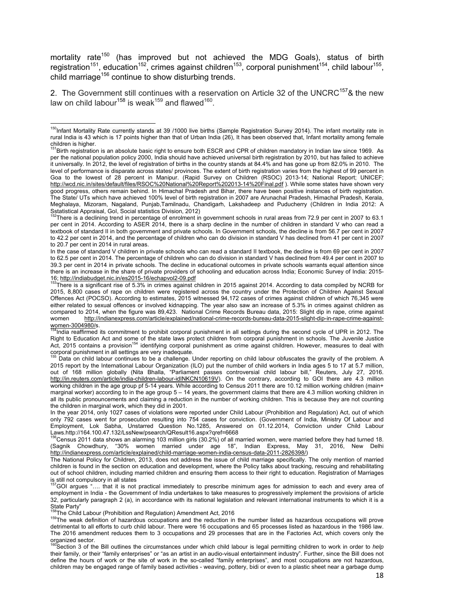mortality rate<sup>150</sup> (has improved but not achieved the MDG Goals), status of birth registration<sup>151</sup>, education<sup>152</sup>, crimes against children<sup>153</sup>, corporal punishment<sup>154</sup>, child labour<sup>155</sup>, child marriage<sup>156</sup> continue to show disturbing trends.

2. The Government still continues with a reservation on Article 32 of the UNCRC<sup>157</sup>& the new law on child labour<sup>158</sup> is weak<sup>159</sup> and flawed<sup>160</sup>.

In the case of standard V children in private schools who can read a standard II textbook, the decline is from 69 per cent in 2007 to 62.5 per cent in 2014. The percentage of children who can do division in standard V has declined from 49.4 per cent in 2007 to 39.3 per cent in 2014 in private schools. The decline in educational outcomes in private schools warrants equal attention since there is an increase in the share of private providers of schooling and education across India; Economic Survey of India: 2015- 16; http://indiabudget.nic.in/es2015-16/echapvol2-09.pdf

 ${}^{3}$ There is a significant rise of 5.3% in crimes against children in 2015 against 2014. According to data compiled by NCRB for 2015, 8,800 cases of rape on children were registered across the country under the Protection of Children Against Sexual Offences Act (POCSO). According to estimates, 2015 witnessed 94,172 cases of crimes against children of which 76,345 were either related to sexual offences or involved kidnapping. The year also saw an increase of 5.3% in crimes against children as compared to 2014, when the figure was 89,423. National Crime Records Bureau data, 2015: Slight dip in rape, crime against women http://indianexpress.com/article/explained/national-crime-records-bureau-data-2015-slight-dip-in-rape-crime-against-<br>women-3004980/s.<br><sup>154</sup>lndia coefficeed its commitment to accurative

<sup>4</sup>India reaffirmed its commitment to prohibit corporal punishment in all settings during the second cycle of UPR in 2012. The Right to Education Act and some of the state laws protect children from corporal punishment in schools. The Juvenile Justice Act, 2015 contains a provision<sup>154</sup> identifying corporal punishment as crime against children. However, measures to deal with

corporal punishment in all settings are very inadequate.<br><sup>155</sup> Data on child labour continues to be a challenge. Under reporting on child labour obfuscates the gravity of the problem. A 2015 report by the International Labour Organization (ILO) put the number of child workers in India ages 5 to 17 at 5.7 million, out of 168 million globally (Nita Bhalla, "Parliament passes controversial child labour bill," Reuters, July 27, 2016. http://in.reuters.com/article/india-children-labour-idINKCN10619V). On the contrary, according to GOI there are 4.3 million working children in the age group pf 5-14 years. While according to Census 2011 there are 10.12 million working children (main+ marginal worker) according to in the age group 5 – 14 years, the government claims that there are 4.3 million working children in all its public pronouncements and claiming a reduction in the number of working children. This is because they are not counting the children in marginal work, which they did in 2001.

In the year 2014, only 1027 cases of violations were reported under Child Labour (Prohibition and Regulation) Act, out of which only 792 cases went for prosecution resulting into 754 cases for conviction. (Government of India, Ministry Of Labour and Employment, Lok Sabha, Unstarred Question No.1285, Answered on 01.12.2014, Conviction under Child Labour Laws.http://164.100.47.132/LssNew/psearch/QResult16.aspx?qref=6668<br><sup>156</sup>Census 2011 data shows an alarming 103 million girls (30.2%) of all married women, were married before they had turned 18.

(Sagnik Chowdhury, "30% women married under age 18", Indian Express, May 31, 2016, New Delhi http://indianexpress.com/article/explained/child-marriage-women-india-census-data-2011-2826398/)

The National Policy for Children, 2013, does not address the issue of child marriage specifically. The only mention of married children is found in the section on education and development, where the Policy talks about tracking, rescuing and rehabilitating out of school children, including married children and ensuring them access to their right to education. Registration of Marriages is still not compulsory in all states

157GOI argues "…. that it is not practical immediately to prescribe minimum ages for admission to each and every area of employment in India - the Government of India undertakes to take measures to progressively implement the provisions of article 32, particularly paragraph 2 (a), in accordance with its national legislation and relevant international instruments to which it is a State Party"<br><sup>158</sup>The Child Labour (Prohibition and Regulation) Amendment Act, 2016

<sup>159</sup>The weak definition of hazardous occupations and the reduction in the number listed as hazardous occupations will prove detrimental to all efforts to curb child labour. There were 16 occupations and 65 processes listed as hazardous in the 1986 law. The 2016 amendment reduces them to 3 occupations and 29 processes that are in the Factories Act, which covers only the organized sector.

<sup>160</sup>Section 3 of the Bill outlines the circumstances under which child labour is legal permitting children to work in order to *help* their family, or their "family enterprises" or "as an artist in an audio-visual entertainment industry". Further, since the Bill does not define the hours of work or the site of work in the so-called "family enterprises", and most occupations are not hazardous, children may be engaged range of family based activities - weaving, pottery, bidi or even to a plastic sheet near a garbage dump

 <sup>150</sup>Infant Mortality Rate currently stands at 39 /1000 live births (Sample Registration Survey 2014). The infant mortality rate in rural India is 43 which is 17 points higher than that of Urban India (26), It has been observed that, Infant mortality among female children is higher.

<sup>&</sup>lt;sup>151</sup>Birth registration is an absolute basic right to ensure both ESCR and CPR of children mandatory in Indian law since 1969. As per the national population policy 2000, India should have achieved universal birth registration by 2010, but has failed to achieve it universally. In 2012, the level of registration of births in the country stands at 84.4% and has gone up from 82.0% in 2010. The level of performance is disparate across states/ provinces. The extent of birth registration varies from the highest of 99 percent in Goa to the lowest of 28 percent in Manipur. (Rapid Survey on Children (RSOC) 2013-14; National Report; UNICEF; http://wcd.nic.in/sites/default/files/RSOC%20National%20Report%202013-14%20Final.pdf ). While some states have shown very good progress, others remain behind. In Himachal Pradesh and Bihar, there have been positive instances of birth registration. The State/ UTs which have achieved 100% level of birth registration in 2007 are Arunachal Pradesh, Himachal Pradesh, Kerala, Meghalaya, Mizoram, Nagaland, Punjab,Tamilnadu, Chandigarh, Lakshadeep and Puducherry (Children in India 2012: A Sstatistical Appraisal, GoI, Social statistics Division, 2012)

<sup>152</sup>There is a declining trend in percentage of enrolment in government schools in rural areas from 72.9 per cent in 2007 to 63.1 per cent in 2014. According to ASER 2014, there is a sharp decline in the number of children in standard V who can read a textbook of standard II in both government and private schools. In Government schools, the decline is from 56.7 per cent in 2007 to 42.2 per cent in 2014, and the percentage of children who can do division in standard V has declined from 41 per cent in 2007 to 20.7 per cent in 2014 in rural areas.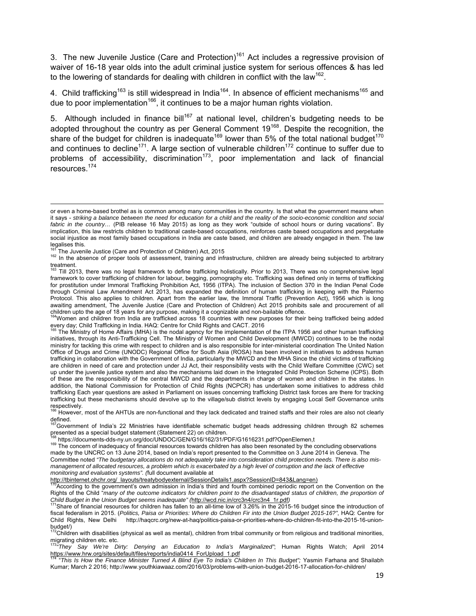3. The new Juvenile Justice (Care and Protection)<sup>161</sup> Act includes a regressive provision of waiver of 16-18 year olds into the adult criminal justice system for serious offences & has led to the lowering of standards for dealing with children in conflict with the law<sup>162</sup>.

4. Child trafficking<sup>163</sup> is still widespread in India<sup>164</sup>. In absence of efficient mechanisms<sup>165</sup> and due to poor implementation<sup>166</sup>, it continues to be a major human rights violation.

5. Although included in finance bill<sup>167</sup> at national level, children's budgeting needs to be adopted throughout the country as per General Comment 19<sup>168</sup>. Despite the recognition, the share of the budget for children is inadequate<sup>169</sup> lower than 5% of the total national budget<sup>170</sup> and continues to decline<sup>171</sup>. A large section of vulnerable children<sup>172</sup> continue to suffer due to problems of accessibility, discrimination<sup>173</sup>, poor implementation and lack of financial resources.174

<sup>164</sup>Women and children from India are trafficked across 18 countries with new purposes for their being trafficked being added

http://tbinternet.ohchr.org/\_layouts/treatybodyexternal/SessionDetails1.aspx?SessionID=843&Lang=en)

or even a home-based brothel as is common among many communities in the country. Is that what the government means when it says - *striking a balance between the need for education for a child and the reality of the socio-economic condition and social fabric in the country…* (PIB release 16 May 2015) as long as they work "outside of school hours or during vacations". By implication, this law restricts children to traditional caste-based occupations, reinforces caste based occupations and perpetuate social injustice as most family based occupations in India are caste based, and children are already engaged in them. The law legalises this.<br><sup>161</sup> The Juvenile Justice (Care and Protection of Children) Act, 2015

<sup>&</sup>lt;sup>162</sup> In the absence of proper tools of assessment, training and infrastructure, children are already being subjected to arbitrary treatment.

<sup>163</sup> Till 2013, there was no legal framework to define trafficking holistically. Prior to 2013, There was no comprehensive legal framework to cover trafficking of children for labour, begging, pornography etc. Trafficking was defined only in terms of trafficking for prostitution under Immoral Trafficking Prohibition Act, 1956 (ITPA). The inclusion of Section 370 in the Indian Penal Code through Criminal Law Amendment Act 2013, has expanded the definition of human trafficking in keeping with the Palermo Protocol. This also applies to children. Apart from the earlier law, the Immoral Traffic (Prevention Act), 1956 which is long awaiting amendment, The Juvenile Justice (Care and Protection of Children) Act 2015 prohibits sale and procurement of all children upto the age of 18 years for any purpose, making it a cognizable and non-bailable offence.

every day; Child Trafficking in India. HAQ: Centre for Child Rights and CACT. 2016<br><sup>165</sup> The Ministry of Home Affairs (MHA) is the nodal agency for the implementation of the ITPA 1956 and other human trafficking initiatives, through its Anti-Trafficking Cell. The Ministry of Women and Child Development (MWCD) continues to be the nodal ministry for tackling this crime with respect to children and is also responsible for inter-ministerial coordination The United Nation Office of Drugs and Crime (UNODC) Regional Office for South Asia (ROSA) has been involved in initiatives to address human trafficking in collaboration with the Government of India, particularly the MWCD and the MHA Since the child victims of trafficking are children in need of care and protection under JJ Act, their responsibility vests with the Child Welfare Committee (CWC) set up under the juvenile justice system and also the mechanisms laid down in the Integrated Child Protection Scheme (ICPS). Both of these are the responsibility of the central MWCD and the departments in charge of women and children in the states. In addition, the National Commission for Protection of Child Rights (NCPCR) has undertaken some initiatives to address child trafficking Each year questions are asked in Parliament on issues concerning trafficking District task forces are there for tracking trafficking but these mechanisms should devolve up to the village/sub district levels by engaging Local Self Governance units respectively.

<sup>&</sup>lt;sup>166</sup> However, most of the AHTUs are non-functional and they lack dedicated and trained staffs and their roles are also not clearly defined.

<sup>&</sup>lt;sup>167</sup>Government of India's 22 Ministries have identifiable schematic budget heads addressing children through 82 schemes presented as a special budget statement (Statement 22) on children.<br><sup>168</sup> https://documents-dds-ny.un.org/doc/UNDOC/GEN/G16/162/31/PDF/G1616231.pdf?OpenElemen,t

 $169$  The concern of inadequacy of financial resources towards children has also been resonated by the concluding observations made by the UNCRC on 13 June 2014, based on India's report presented to the Committee on 3 June 2014 in Geneva. The Committee noted *"The budgetary allocations do not adequately take into consideration child protection needs. There is also mismanagement of allocated resources, a problem which is exacerbated by a high level of corruption and the lack of effective monitoring and evaluation systems". (*full document available at

According to the government's own admission in India's third and fourth combined periodic report on the Convention on the Rights of the Child "*many of the outcome indicators for children point to the disadvantaged status of children, the proportion of*<br>Child Budget in the Union Budget seems inadequate" (http://wcd.nic.in/crc3n4/crc3n4 1r.pdf

<sup>&</sup>lt;sup>1</sup>Share of financial resources for children has fallen to an all-time low of 3.26% in the 2015-16 budget since the introduction of fiscal federalism in 2015. (*Politics, Paisa or Priorities: Where do Children Fir into the Union Budget 2015-16?"*, HAQ: Centre for Child Rights, New Delhi http://haqcrc.org/new-at-haq/politics-paisa-or-priorities-where-do-children-fit-into-the-2015-16-unionbudget/)

<sup>172</sup>Children with disabilities (physical as well as mental), children from tribal community or from religious and traditional minorities, migrating children etc. etc.

<sup>&</sup>lt;sup>73</sup>"They Say We're Dirty: Denying an Education to India's Marginalized"; Human Rights Watch; April 2014

https://www.hrw.org/sites/default/files/reports/india0414 ForUpload 1.pdf<br><sup>174</sup> "*This Is How the Finance Minister Turned A Blind Eye To India's Children In This Budget";* Yasmin Farhana and Shailabh Kumar; March 2 2016; http://www.youthkiawaaz.com/2016/03/problems-with-union-budget-2016-17-allocation-for-children/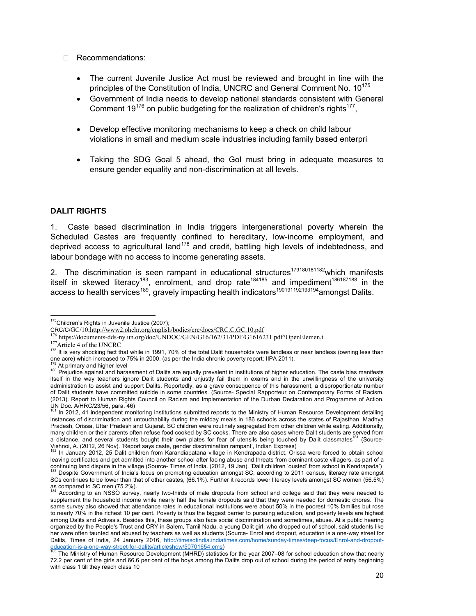- □ Recommendations:
	- The current Juvenile Justice Act must be reviewed and brought in line with the principles of the Constitution of India, UNCRC and General Comment No. 10<sup>175</sup>
	- Government of India needs to develop national standards consistent with General Comment  $19^{176}$  on public budgeting for the realization of children's rights<sup>177</sup>.
	- Develop effective monitoring mechanisms to keep a check on child labour violations in small and medium scale industries including family based enterpri
	- Taking the SDG Goal 5 ahead, the Gol must bring in adequate measures to ensure gender equality and non-discrimination at all levels.

#### **DALIT RIGHTS**

1. Caste based discrimination in India triggers intergenerational poverty wherein the Scheduled Castes are frequently confined to hereditary, low-income employment, and deprived access to agricultural land<sup>178</sup> and credit, battling high levels of indebtedness, and labour bondage with no access to income generating assets.

2. The discrimination is seen rampant in educational structures<sup>179180181182</sup>which manifests itself in skewed literacy<sup>183</sup>, enrolment, and drop rate<sup>184185</sup> and impediment<sup>186187188</sup> in the access to health services<sup>189</sup>, gravely impacting health indicators<sup>190191192193194</sup>amongst Dalits.

  $175$ Children's Rights in Juvenile Justice (2007);

CRC/C/GC/10;http://www2.ohchr.org/english/bodies/crc/docs/CRC.C.GC.10.pdf<br><sup>176</sup> https://documents-dds-ny.un.org/doc/UNDOC/GEN/G16/162/31/PDF/G1616231.pdf?OpenElemen,t<br><sup>177</sup> Article 4 of the UNCRC<br><sup>178</sup> It is very shocking one acre) which increased to 75% in 2000. (as per the India chronic poverty report: IIPA 2011).

<sup>&</sup>lt;sup>179</sup> At primary and higher level<br><sup>180</sup> Prejudice against and harassment of Dalits are equally prevalent in institutions of higher education. The caste bias manifests itself in the way teachers ignore Dalit students and unjustly fail them in exams and in the unwillingness of the university administration to assist and support Dalits. Reportedly, as a grave consequence of this harassment, a disproportionate number of Dalit students have committed suicide in some countries. (Source- Special Rapporteur on Contemporary Forms of Racism. (2013). Report to Human Rights Council on Racism and Implementation of the Durban Declaration and Programme of Action. UN Doc. A/HRC/23/56, para. 46)

<sup>&</sup>lt;sup>81</sup> In 2012, 41 independent monitoring institutions submitted reports to the Ministry of Human Resource Development detailing instances of discrimination and untouchability during the midday meals in 186 schools across the states of Rajasthan, Madhya Pradesh, Orissa, Uttar Pradesh and Gujarat. SC children were routinely segregated from other children while eating. Additionally, many children or their parents often refuse food cooked by SC cooks. There are also cases where Dalit students are served from a distance, and several students bought their own plates for fear of utensils being touched by Dalit classmates<sup>181</sup> (Source-Vishnoi, A. (2012, 26 Nov). 'Report says caste, gender discrimination rampant', Indian Express)

<sup>182</sup> In January 2012, 25 Dalit children from Karandiapatana village in Kendrapada district, Orissa were forced to obtain school leaving certificates and get admitted into another school after facing abuse and threats from dominant caste villagers, as part of a continuing land dispute in the village (Source-Times of India. (2012, 19 Jan). 'Dalit children 'ousted' from school in Kendrapada')<br><sup>183</sup> Despite Government of India's focus on promoting education amongst SC, according to

SCs continues to be lower than that of other castes, (66.1%). Further it records lower literacy levels amongst SC women (56.5%) as compared to SC men (75.2%).

<sup>184</sup> According to an NSSO survey, nearly two-thirds of male dropouts from school and college said that they were needed to supplement the household income while nearly half the female dropouts said that they were needed for domestic chores. The same survey also showed that attendance rates in educational institutions were about 50% in the poorest 10% families but rose to nearly 70% in the richest 10 per cent. Poverty is thus the biggest barrier to pursuing education, and poverty levels are highest among Dalits and Adivasis. Besides this, these groups also face social discrimination and sometimes, abuse. At a public hearing organized by the People's Trust and CRY in Salem, Tamil Nadu, a young Dalit girl, who dropped out of school, said students like her were often taunted and abused by teachers as well as students (Source- Enrol and dropout, education is a one-way street for Dalits, Times of India, 24 January 2016, http://timesofindia.indiatimes.com/home/sunday-times/deep-focus/Enrol-and-dropouteducation-is-a-one-way-street-for-dalits/articleshow/50701654.cms)<br>
<sup>185</sup> The Ministry of Human Resource Development (MHRD) statistics for the year 2007–08 for school education show that nearly

<sup>72.2</sup> per cent of the girls and 66.6 per cent of the boys among the Dalits drop out of school during the period of entry beginning with class 1 till they reach class 10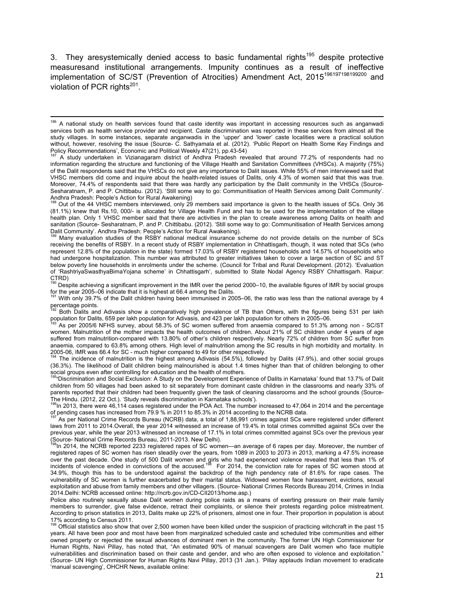3. They aresystemically denied access to basic fundamental rights<sup>195</sup> despite protective measuresand institutional arrangements. Impunity continues as a result of ineffective implementation of SC/ST (Prevention of Atrocities) Amendment Act, 2015<sup>196197198199200</sup> and violation of PCR rights $^{201}$ .

Out of the 44 VHSC members interviewed, only 29 members said importance is given to the health issues of SCs. Only 36 (81.1%) knew that Rs.10, 000/- is allocated for Village Health Fund and has to be used for the implementation of the village health plan. Only 1 VHSC member said that there are activities in the plan to create awareness among Dalits on health and sanitation (Source- Sesharatnam, P. and P. Chittibabu. (2012). 'Still some way to go: Communitisation of Health Services among Dalit Community'. Andhra Pradesh: People's Action for Rural Awakening).

Many evaluation studies of the RSBY national medical insurance scheme do not provide details on the number of SCs receiving the benefits of RSBY. In a recent study of RSBY implementation in Chhattisgarh, though, it was noted that SCs (who represent 12.8% of the population in the state) formed 17.03% of RSBY registered households and 14.57% of households who had undergone hospitalization. This number was attributed to greater initiatives taken to cover a large section of SC and ST below poverty line households in enrolments under the scheme. (Council for Tribal and Rural Development. (2012). 'Evaluation of 'RashtriyaSwasthyaBimaYojana scheme' in Chhattisgarh', submitted to State Nodal Agency RSBY Chhattisgarh. Raipur:

CTRD)<br><sup>190</sup> Despite achieving a significant improvement in the IMR over the period 2000–10, the available figures of IMR by social groups

for the year 2005–06 indicate that it is highest at 66.4 among the Dalits.<br><sup>191</sup> With only 39.7% of the Dalit children having been immunised in 2005–06, the ratio was less than the national average by 4 percentage points.

192 Both Dalits and Adivasis show a comparatively high prevalence of TB than Others, with the figures being 531 per lakh population for Dalits, 659 per lakh population for Adivasis, and 423 per lakh population for others in 2005–06.

As per 2005/6 NFHS survey, about 58.3% of SC women suffered from anaemia compared to 51.3% among non - SC/ST women. Malnutrition of the mother impacts the health outcomes of children. About 21% of SC children under 4 years of age suffered from malnutrition-compared with 13.80% of other's children respectively. Nearly 72% of children from SC suffer from anaemia, compared to 63.8% among others. High level of malnutrition among the SC results in high morbidity and mortality. In 2005-06, IMR was 66.4 for SC - much higher compared to 49 for other respectively.

The incidence of malnutrition is the highest among Adivasis (54.5%), followed by Dalits (47.9%), and other social groups (36.3%). The likelihood of Dalit children being malnourished is about 1.4 times higher than that of children belonging to other social groups even after controlling for education and the health of mothers.

<sup>195</sup>**'**Discrimination and Social Exclusion: A Study on the Development Experience of Dalits in Karnataka' found that 13.7% of Dalit children from 50 villages had been asked to sit separately from dominant caste children in the classrooms and nearly 33% of parents reported that their children had been frequently given the task of cleaning classrooms and the school grounds (Source-The Hindu. (2012, 22 Oct.). 'Study reveals discrimination in Karnataka schools').<br><sup>196</sup>In 2013, there were 46,114 cases registered under the POA Act. The number increased to 47,064 in 2014 and the percentage

of pending cases has increased from 79.9 % in 2011 to 85.3% in 2014 according to the NCRB data.

As per National Crime Records Bureau (NCRB) data, a total of 1,88,991 crimes against SCs were registered under different laws from 2011 to 2014.Overall, the year 2014 witnessed an increase of 19.4% in total crimes committed against SCs over the previous year, while the year 2013 witnessed an increase of 17.1% in total crimes committed against SCs over the previous year (Source- National Crime Records Bureau, 2011-2013. New Delhi).

<sup>3</sup>In 2014, the NCRB reported 2233 registered rapes of SC women—an average of 6 rapes per day. Moreover, the number of registered rapes of SC women has risen steadily over the years, from 1089 in 2003 to 2073 in 2013, marking a 47.5% increase over the past decade. One study of 500 Dalit women and girls who had experienced violence revealed that less than 1% of<br>incidents of violence ended in convictions of the accused.<sup>198</sup> For 2014, the conviction rate for rape 34.9%, though this has to be understood against the backdrop of the high pendency rate of 81.6% for rape cases. The vulnerability of SC women is further exacerbated by their marital status. Widowed women face harassment, evictions, sexual exploitation and abuse from family members and other villagers. (Source- National Crimes Records Bureau 2014, Crimes in India 2014.Delhi: NCRB accessed online: http://ncrb.gov.in/CD-CII2013/home.asp.)

Police also routinely sexually abuse Dalit women during police raids as a means of exerting pressure on their male family members to surrender, give false evidence, retract their complaints, or silence their protests regarding police mistreatment. According to prison statistics in 2013, Dalits make up 22% of prisoners, almost one in four. Their proportion in population is about

17% according to Census 2011.<br><sup>199</sup> Official statistics also show that over 2,500 women have been killed under the suspicion of practicing witchcraft in the past 15 years. All have been poor and most have been from marginalized scheduled caste and scheduled tribe communities and either owned property or rejected the sexual advances of dominant men in the community. The former UN High Commissioner for Human Rights, Navi Pillay, has noted that, "An estimated 90% of manual scavengers are Dalit women who face multiple vulnerabilities and discrimination based on their caste and gender, and who are often exposed to violence and exploitation." (Source- UN High Commissioner for Human Rights Navi Pillay, 2013 (31 Jan.). 'Pillay applauds Indian movement to eradicate 'manual scavenging', OHCHR News, available online:

<sup>&</sup>lt;sup>186</sup> A national study on health services found that caste identity was important in accessing resources such as anganwadi services both as health service provider and recipient. Caste discrimination was reported in these services from almost all the study villages. In some instances, separate anganwadis in the 'upper' and 'lower' caste localities were a practical solution without, however, resolving the issue (Source- C. Sathyamala et al. (2012). 'Public Report on Health Some Key Findings and Policy Recommendations', Economic and Political Weekly 47(21), pp.43-54)

<sup>187</sup> A study undertaken in Vizianagaram district of Andhra Pradesh revealed that around 77.2% of respondents had no information regarding the structure and functioning of the Village Health and Sanitation Committees (VHSCs). A majority (75%) of the Dalit respondents said that the VHSCs do not give any importance to Dalit issues. While 55% of men interviewed said that VHSC members did come and inquire about the health-related issues of Dalits, only 4.3% of women said that this was true. Moreover, 74.4% of respondents said that there was hardly any participation by the Dalit community in the VHSCs (Source-Sesharatnam, P. and P. Chittibabu. (2012). 'Still some way to go: Communitisation of Health Services among Dalit Community'. Andhra Pradesh: People's Action for Rural Awakening)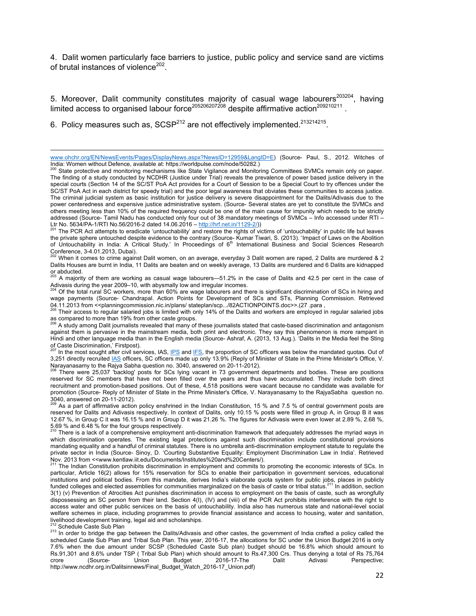4. Dalit women particularly face barriers to justice, public policy and service sand are victims of brutal instances of violence<sup>202</sup>.

5. Moreover, Dalit community constitutes majority of casual wage labourers<sup>203204</sup>, having limited access to organised labour force<sup>205206207208</sup> despite affirmative action<sup>209210211</sup>.

6. Policy measures such as,  $SCSP<sup>212</sup>$  are not effectively implemented.<sup>213214215</sup>.

The PCR Act attempts to eradicate 'untouchability' and restore the rights of victims of 'untouchability' in public life but leaves the private sphere untouched despite evidence to the contrary (Source- Kumar Tiwari, S. (2013). 'Impact of Laws on the Abolition<br>of Untouchability in India: A Critical Study.' In Proceedings of 6<sup>th</sup> International Business Conference, 3-4.01.2013, Dubai).

When it comes to crime against Dalit women, on an average, everyday 3 Dalit women are raped, 2 Dalits are murdered & 2 Dalits Houses are burnt in India, 11 Dalits are beaten and on weekly average, 13 Dalits are murdered and 6 Dalits are kidnapped or abducted.

203 A majority of them are working as casual wage labourers—51.2% in the case of Dalits and 42.5 per cent in the case of Adivasis during the year 2009–10, with abysmally low and irregular incomes.<br><sup>204</sup> Of the total rural SC workers, more than 60% are wage labourers and there is significant discrimination of SCs in hiring and

wage payments (Source- Chandrapal. Action Points for Development of SCs and STs, Planning Commission. Retrieved 04.11.2013 from <<planningcommission.nic.in/plans/ stateplan/scp.../82ACTIONPOINTS.doc>>.(27.para,<br><sup>205</sup> Their access to regular salaried jobs is limited with only 14% of the Dalits and workers are employed in regular sala

as compared to more than 19% from other caste groups.

A study among Dalit journalists revealed that many of these journalists stated that caste-based discrimination and antagonism against them is pervasive in the mainstream media, both print and electronic. They say this phenomenon is more rampant in Hindi and other language media than in the English media (Source- Ashraf, A. (2013, 13 Aug.). 'Dalits in the Media feel the Sting of Caste Discrimination,' Firstpost).

In the most sought after civil services, IAS, IPS and IFS, the proportion of SC officers was below the mandated quotas. Out of 3,251 directly recruited **IAS** officers, SC officers made up only 13.9% (Reply of Minister of State in the Prime Minister's Office, V. Narayanasamy to the Rajya Sabha question no. 3040, answered on 20-11-2012).

<sup>208</sup> There were 25,037 'backlog' posts for SCs lying vacant in 73 government departments and bodies. These are positions reserved for SC members that have not been filled over the years and thus have accumulated. They include both direct recruitment and promotion-based positions. Out of these, 4,518 positions were vacant because no candidate was available for promotion (Source- Reply of Minister of State in the Prime Minister's Office, V. Narayanasamy to the RajyaSabha question no. 3040, answered on 20-11-2012).

As a part of affirmative action policy enshrined in the Indian Constitution, 15 % and 7.5 % of central government posts are reserved for Dalits and Adivasis respectively. In context of Dalits, only 10.15 % posts were filled in group A, in Group B it was 12.67 %, in Group C it was 16.15 % and in Group D it was 21.26 %. The figures for Adivasis were even lower at 2.89 %, 2.68 %, 5.69 % and 6.48 % for the four groups respectively.

There is a lack of a comprehensive employment anti-discrimination framework that adequately addresses the myriad ways in which discrimination operates. The existing legal protections against such discrimination include constitutional provisions mandating equality and a handful of criminal statutes. There is no umbrella anti-discrimination employment statute to regulate the private sector in India (Source- Sinoy, D. 'Courting Substantive Equality: Employment Discrimination Law in India'. Retrieved Nov. 2013 from <<www.kentlaw.iit.edu/Documents/Institutes%20and%20Centers/).<br><sup>211</sup> The Indian Constitution prohibits discrimination in employment and commits to promoting the economic interests of SCs. In

particular, Article 16(2) allows for 15% reservation for SCs to enable their participation in government services, educational institutions and political bodies. From this mandate, derives India's elaborate quota system for public jobs, places in publicly funded colleges and elected assemblies for communities marginalized on the basis of caste or tribal status.<sup>211</sup> In addition, section 3(1) (v) Prevention of Atrocities Act punishes discrimination in access to employment on the basis of caste, such as wrongfully dispossessing an SC person from their land. Section 4(I), (IV) and (viii) of the PCR Act prohibits interference with the right to access water and other public services on the basis of untouchability. India also has numerous state and national-level social welfare schemes in place, including programmes to provide financial assistance and access to housing, water and sanitation, livelihood development training, legal aid and scholarships.

<sup>212</sup> Schedule Caste Sub Plan<br><sup>213</sup> In order to bridge the gap between the Dalits/Adivasis and other castes, the government of India crafted a policy called the scheduled Caste Sub Plan and Tribal Sub Plan. This year, 2016-17, the allocations for SC under the Union Budget 2016 is only 7.6% when the due amount under SCSP (Scheduled Caste Sub plan) budget should be 16.8% which should amount to Rs.91,301 and 8.6% under TSP (Tribal Sub Plan) which should amount to Rs.47,300 Crs. Thus denying a total of Rs 75,764<br>:crore (Source- Union Budget 2016-17-The Dalit Adivasi Perspective crore (Source- Union Budget 2016-17-The Dalit Adivasi Perspective; http://www.ncdhr.org.in/Dalitsinnews/Final\_Budget\_Watch\_2016-17\_Union.pdf)

 www.ohchr.org/EN/NewsEvents/Pages/DisplayNews.aspx?NewsID=12959&LangID=E) (Source- Paul, S., 2012. Witches of India: Women without Defence, available at: https://worldpulse.com/node/50282.)

<sup>&</sup>lt;sup>200</sup> State protective and monitoring mechanisms like State Vigilance and Monitoring Committees SVMCs remain only on paper. The finding of a study conducted by NCDHR (Justice under Trial) reveals the prevalence of power based justice delivery in the special courts (Section 14 of the SC/ST PoA Act provides for a Court of Session to be a Special Court to try offences under the SC/ST PoA Act in each district for speedy trial) and the poor legal awareness that obviates these communities to access justice. The criminal judicial system as basic institution for justice delivery is severe disappointment for the Dalits/Adivasis due to the power centeredness and expensive justice administrative system. (Source- Several states are yet to constitute the SVMCs and others meeting less than 10% of the required frequency could be one of the main cause for impunity which needs to be strictly addressed (Source- Tamil Nadu has conducted only four out of 38 mandatory meetings of SVMCs – Info accessed under RTI –  $\frac{1}{2}$ , No. 5634/PA-1/RTI No.56/2016-2 dated 14.06.2016 – http://hrf.net.in/1129-2/)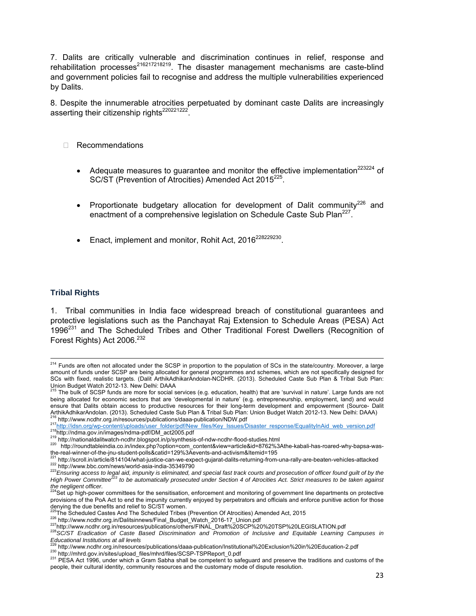7. Dalits are critically vulnerable and discrimination continues in relief, response and rehabilitation processes<sup>216217218219</sup>. The disaster management mechanisms are caste-blind and government policies fail to recognise and address the multiple vulnerabilities experienced by Dalits.

8. Despite the innumerable atrocities perpetuated by dominant caste Dalits are increasingly asserting their citizenship rights<sup>220221222</sup>.

- □ Recommendations
	- Adequate measures to guarantee and monitor the effective implementation $^{223224}$  of SC/ST (Prevention of Atrocities) Amended Act 2015<sup>225</sup>.
	- Proportionate budgetary allocation for development of Dalit community<sup>226</sup> and enactment of a comprehensive legislation on Schedule Caste Sub Plan<sup>227</sup>.
	- Enact, implement and monitor, Rohit Act, 2016<sup>228229230</sup>

#### **Tribal Rights**

1. Tribal communities in India face widespread breach of constitutional guarantees and protective legislations such as the Panchayat Raj Extension to Schedule Areas (PESA) Act  $1996<sup>231</sup>$  and The Scheduled Tribes and Other Traditional Forest Dwellers (Recognition of Forest Rights) Act 2006.<sup>232</sup>

<sup>&</sup>lt;sup>214</sup> Funds are often not allocated under the SCSP in proportion to the population of SCs in the state/country. Moreover, a large amount of funds under SCSP are being allocated for general programmes and schemes, which are not specifically designed for SCs with fixed, realistic targets. (Dalit ArthikAdhikarAndolan-NCDHR. (2013). Scheduled Caste Sub Plan & Tribal Sub Plan:

Union Budget Watch 2012-13. New Delhi: DAAA<br><sup>215</sup> The bulk of SCSP funds are more for social services (e.g. education, health) that are 'survival in nature'. Large funds are not being allocated for economic sectors that are 'developmental in nature' (e.g. entrepreneurship, employment, land) and would ensure that Dalits obtain access to productive resources for their long-term development and empowerment (Source- Dalit ArthikAdhikarAndolan. (2013). Scheduled Caste Sub Plan & Tribal Sub Plan: Union Budget Watch 2012-13. New Delhi: DAAA)<br><sup>216</sup> http://www.ncdhr.org.in/resources/publications/daaa-publication/NDW.pdf

<sup>217</sup> http://idsn.org/wp-content/uploads/user\_folder/pdf/New\_files/Key\_Issues/Disaster\_response/EqualityInAid\_web\_version.pdf<br>218 http://idsn.org/wp-content/uploads/user\_folder/pdf/New\_files/Key\_Issues/Disaster\_response/Equa

the-real-winner-of-the-jnu-student-polls&catid=129%3Aevents-and-activism&Itemid=195

<sup>&</sup>lt;sup>221</sup> http://scroll.in/article/814104/what-justice-can-we-expect-gujarat-dalits-returning-from-una-rally-are-beaten-vehicles-attacked<br><sup>222</sup> http://www.bbc.com/news/world-asia-india-35349790<br><sup>223</sup>Ensuring access to legal ai

*High Power Committee223 to be automatically prosecuted under Section 4 of Atrocities Act. Strict measures to be taken against the negligent officer.*  224Set up high-power committees for the sensitisation, enforcement and monitoring of government line departments on protective

provisions of the PoA Act to end the impunity currently enjoyed by perpetrators and officials and enforce punitive action for those denying the due benefits and relief to SC/ST women.<br>225 The Scheduled Castes And The Scheduled Tribes (Prevention Of Atrocities) Amended Act, 2015

<sup>228</sup> http://www.ncdhr.org.in/Dalitsinnews/Final\_Budget\_Watch\_2016-17\_Union.pdf<br>227 http://www.ncdhr.org.in/Dalitsinnews/Final\_Budget\_Watch\_2016-17\_Union.pdf<br>228 SC/ST Eradication of Caste Based Discrimination and Promotion *Educational Institutions at all levels*

<sup>230</sup> http://mhrd.gov.in/sites/upload\_files/mhrd/files/SCSP-TSPReport\_0.pdf<br>231 PESA Act 1996, under which a Gram Sabha shall be competent to safeguard and preserve the traditions and customs of the people, their cultural identity, community resources and the customary mode of dispute resolution.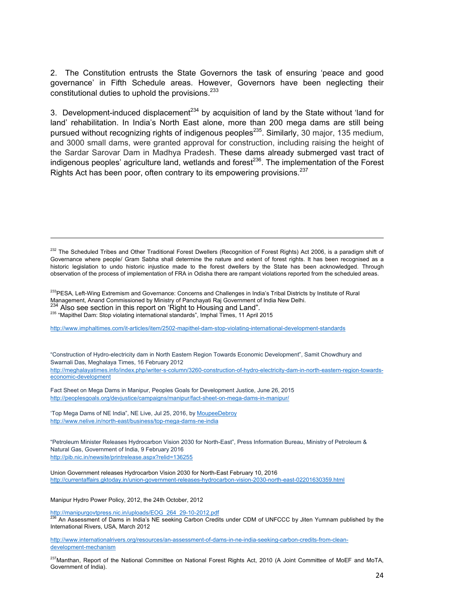2. The Constitution entrusts the State Governors the task of ensuring 'peace and good governance' in Fifth Schedule areas. However, Governors have been neglecting their constitutional duties to uphold the provisions.<sup>233</sup>

3. Development-induced displacement<sup>234</sup> by acquisition of land by the State without 'land for land' rehabilitation. In India's North East alone, more than 200 mega dams are still being pursued without recognizing rights of indigenous peoples<sup>235</sup>. Similarly, 30 major, 135 medium, and 3000 small dams, were granted approval for construction, including raising the height of the Sardar Sarovar Dam in Madhya Pradesh. These dams already submerged vast tract of indigenous peoples' agriculture land, wetlands and forest $^{236}$ . The implementation of the Forest Rights Act has been poor, often contrary to its empowering provisions.<sup>237</sup>

<sup>232</sup> The Scheduled Tribes and Other Traditional Forest Dwellers (Recognition of Forest Rights) Act 2006, is a paradigm shift of Governance where people/ Gram Sabha shall determine the nature and extent of forest rights. It has been recognised as a historic legislation to undo historic injustice made to the forest dwellers by the State has been acknowledged. Through observation of the process of implementation of FRA in Odisha there are rampant violations reported from the scheduled areas.

<sup>233</sup>PESA, Left-Wing Extremism and Governance: Concerns and Challenges in India's Tribal Districts by Institute of Rural Management, Anand Commissioned by Ministry of Panchayati Raj Government of India New Delhi.

<sup>234</sup> Also see section in this report on 'Right to Housing and Land".<br><sup>235</sup> "Mapithel Dam: Stop violating international standards", Imphal Times, 11 April 2015

http://www.imphaltimes.com/it-articles/item/2502-mapithel-dam-stop-violating-international-development-standards

"Construction of Hydro-electricity dam in North Eastern Region Towards Economic Development", Samit Chowdhury and Swarnali Das, Meghalaya Times, 16 February 2012 http://meghalayatimes.info/index.php/writer-s-column/3260-construction-of-hydro-electricity-dam-in-north-eastern-region-towardseconomic-development

Fact Sheet on Mega Dams in Manipur, Peoples Goals for Development Justice, June 26, 2015 http://peoplesgoals.org/devjustice/campaigns/manipur/fact-sheet-on-mega-dams-in-manipur/

'Top Mega Dams of NE India", NE Live, Jul 25, 2016, by MoupeeDebroy http://www.nelive.in/north-east/business/top-mega-dams-ne-india

"Petroleum Minister Releases Hydrocarbon Vision 2030 for North-East", Press Information Bureau, Ministry of Petroleum & Natural Gas, Government of India, 9 February 2016 http://pib.nic.in/newsite/printrelease.aspx?relid=136255

Union Government releases Hydrocarbon Vision 2030 for North-East February 10, 2016 http://currentaffairs.gktoday.in/union-government-releases-hydrocarbon-vision-2030-north-east-02201630359.html

Manipur Hydro Power Policy, 2012, the 24th October, 2012

http://manipurgovtpress.nic.in/uploads/EOG\_264\_29-10-2012.pdf

 $^8$  An Assessment of Dams in India's NE seeking Carbon Credits under CDM of UNFCCC by Jiten Yumnam published by the International Rivers, USA, March 2012

http://www.internationalrivers.org/resources/an-assessment-of-dams-in-ne-india-seeking-carbon-credits-from-cleandevelopment-mechanism

<sup>237</sup>Manthan, Report of the National Committee on National Forest Rights Act, 2010 (A Joint Committee of MoEF and MoTA, Government of India).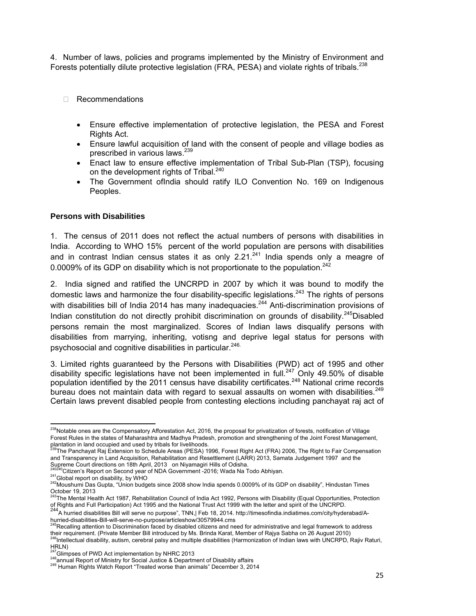4. Number of laws, policies and programs implemented by the Ministry of Environment and Forests potentially dilute protective legislation (FRA, PESA) and violate rights of tribals.<sup>238</sup>

- Recommendations
	- Ensure effective implementation of protective legislation, the PESA and Forest Rights Act.
	- Ensure lawful acquisition of land with the consent of people and village bodies as prescribed in various laws.<sup>239</sup>
	- Enact law to ensure effective implementation of Tribal Sub-Plan (TSP), focusing on the development rights of Tribal.<sup>240</sup>
	- The Government of India should ratify ILO Convention No. 169 on Indigenous Peoples.

#### **Persons with Disabilities**

1. The census of 2011 does not reflect the actual numbers of persons with disabilities in India. According to WHO 15% percent of the world population are persons with disabilities and in contrast Indian census states it as only  $2.21<sup>241</sup>$  India spends only a meagre of 0.0009% of its GDP on disability which is not proportionate to the population.<sup>242</sup>

2. India signed and ratified the UNCRPD in 2007 by which it was bound to modify the domestic laws and harmonize the four disability-specific legislations.<sup>243</sup> The rights of persons with disabilities bill of India 2014 has many inadequacies.<sup>244</sup> Anti-discrimination provisions of Indian constitution do not directly prohibit discrimination on grounds of disability.<sup>245</sup>Disabled persons remain the most marginalized. Scores of Indian laws disqualify persons with disabilities from marrying, inheriting, votisng and deprive legal status for persons with psychosocial and cognitive disabilities in particular.<sup>246.</sup>

3. Limited rights guaranteed by the Persons with Disabilities (PWD) act of 1995 and other disability specific legislations have not been implemented in full.<sup>247</sup> Only 49.50% of disable population identified by the 2011 census have disability certificates.<sup>248</sup> National crime records bureau does not maintain data with regard to sexual assaults on women with disabilities.<sup>249</sup> Certain laws prevent disabled people from contesting elections including panchayat raj act of

<sup>&</sup>lt;sup>238</sup>Notable ones are the Compensatory Afforestation Act, 2016, the proposal for privatization of forests, notification of Village Forest Rules in the states of Maharashtra and Madhya Pradesh, promotion and strengthening of the Joint Forest Management,

plantation in land occupied and used by tribals for livelihoods.<br><sup>239</sup>The Panchayat Raj Extension to Schedule Areas (PESA) 1996, Forest Right Act (FRA) 2006, The Right to Fair Compensation and Transparency in Land Acquisition, Rehabilitation and Resettlement (LARR) 2013, Samata Judgement 1997 and the

Supreme Court directions on 18th April, 2013 on Niyamagiri Hills of Odisha.<br><sup>240240</sup>Citizen's Report on Second year of NDA Government -2016; Wada Na Todo Abhiyan.

<sup>241</sup> Global report on disability, by WHO<br><sup>242</sup>Moushumi Das Gupta, "Union budgets since 2008 show India spends 0.0009% of its GDP on disability", Hindustan Times October 19, 2013

 ${}^{3}$ The Mental Health Act 1987, Rehabilitation Council of India Act 1992, Persons with Disability (Equal Opportunities, Protection of Rights and Full Participation) Act 1995 and the National Trust Act 1999 with the letter and spirit of the UNCRPD.<br><sup>244</sup>A hurried disabilities Bill will serve no purpose", TNN, Feb 18, 2014. http://timesofindia.indiatime

hurried-disabilities-Bill-will-serve-no-purpose/articleshow/30579944.cms

<sup>&</sup>lt;sup>245</sup>Recalling attention to Discrimination faced by disabled citizens and need for administrative and legal framework to address<br>their requirement. (Private Member Bill introduced by Ms. Brinda Karat, Member of Rajya Sabha

<sup>&</sup>lt;sup>46</sup>Intellectual disability, autism, cerebral palsy and multiple disabilities (Harmonization of Indian laws with UNCRPD, Rajiv Raturi, HRLN)<br><sup>247</sup>Glimpses of PWD Act implementation by NHRC 2013

<sup>&</sup>lt;sup>248</sup>annual Report of Ministry for Social Justice & Department of Disability affairs<br><sup>249</sup> Human Rights Watch Report "Treated worse than animals" December 3, 2014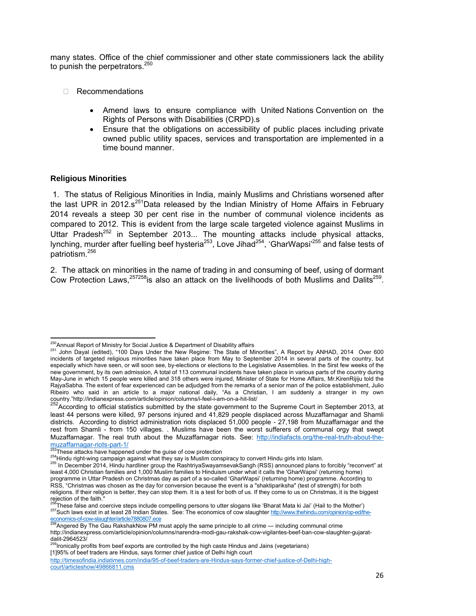many states. Office of the chief commissioner and other state commissioners lack the ability to punish the perpetrators. $250$ 

- □ Recommendations
	- Amend laws to ensure compliance with United Nations Convention on the Rights of Persons with Disabilities (CRPD).s
	- Ensure that the obligations on accessibility of public places including private owned public utility spaces, services and transportation are implemented in a time bound manner.

#### **Religious Minorities**

 1. The status of Religious Minorities in India, mainly Muslims and Christians worsened after the last UPR in 2012. $s^{25}$ Data released by the Indian Ministry of Home Affairs in February 2014 reveals a steep 30 per cent rise in the number of communal violence incidents as compared to 2012. This is evident from the large scale targeted violence against Muslims in Uttar Pradesh<sup>252</sup> in September 2013... The mounting attacks include physical attacks, lynching, murder after fuelling beef hysteria<sup>253</sup>, Love Jihad<sup>254</sup>, 'GharWapsi<sup>'255</sup> and false tests of patriotism.<sup>256</sup>

2. The attack on minorities in the name of trading in and consuming of beef, using of dormant Cow Protection Laws,<sup>257258</sup>is also an attack on the livelihoods of both Muslims and Dalits<sup>259</sup>.

<sup>&</sup>lt;sup>250</sup> Annual Report of Ministry for Social Justice & Department of Disability affairs

<sup>251</sup> John Dayal (edited), "100 Days Under the New Regime: The State of Minorities", A Report by ANHAD, 2014 Over 600 incidents of targeted religious minorities have taken place from May to September 2014 in several parts of the country, but especially which have seen, or will soon see, by-elections or elections to the Legislative Assemblies. In the 5irst few weeks of the new government, by its own admission, A total of 113 communal incidents have taken place in various parts of the country during May-June in which 15 people were killed and 318 others were injured, Minister of State for Home Affairs, Mr.KirenRijiju told the RajyaSabha. The extent of fear experienced can be adjudged from the remarks of a senior man of the police establishment, Julio Ribeiro who said in an article to a major national daily, "As a Christian, I am suddenly a stranger in my own country."http://indianexpress.com/article/opinion/columns/i-feel-i-am-on-a-hit-list/<br><sup>252</sup>According to official statistics submitted by the state government to the Supreme Court in September 2013, at

least 44 persons were killed, 97 persons injured and 41,829 people displaced across Muzaffarnagar and Shamli districts. According to district administration riots displaced 51,000 people - 27,198 from Muzaffarnagar and the rest from Shamli - from 150 villages. . Muslims have been the worst sufferers of communal orgy that swept Muzaffarnagar. The real truth about the Muzaffarnagar riots. See: http://indiafacts.org/the-real-truth-about-themuzaffarnagar-riots-part-1/<br>
<sup>253</sup>These attacks have happened under the guise of cow protection

<sup>254</sup> Hindu right-wing campaign against what they say is Muslim conspiracy to convert Hindu girls into Islam.<br>254 Hindu right-wing campaign against what they say is Muslim conspiracy to convert Hindu girls into Islam.<br>255 In least 4,000 Christian families and 1,000 Muslim families to Hinduism under what it calls the 'GharWapsi' (returning home) programme in Uttar Pradesh on Christmas day as part of a so-called 'GharWapsi' (returning home) programme. According to RSS, "Christmas was chosen as the day for conversion because the event is a "shaktipariksha" (test of strength) for both religions. If their religion is better, they can stop them. It is a test for both of us. If they come to us on Christmas, it is the biggest rejection of the faith."<br><sup>256</sup>These false and coercive steps include compelling persons to utter slogans like 'Bharat Mata ki Jai' (Hail to the Mother')

<sup>257</sup> Such laws exist in at least 28 Indian States. See: The economics of cow slaughter http://www.thehindu.com/opinion/op-ed/the-

<sup>&</sup>lt;u>economics-of-cow-slaughter/article7880807.ece</u><br><sup>258</sup>Angered By The Gau RakshakNow PM must apply the same principle to all crime — including communal crime http://indianexpress.com/article/opinion/columns/narendra-modi-gau-rakshak-cow-vigilantes-beef-ban-cow-slaughter-gujaratdalit-2964523/

 $9$ Ironically profits from beef exports are controlled by the high caste Hindus and Jains (vegetarians) [1]95% of beef traders are Hindus, says former chief justice of Delhi high court

http://timesofindia.indiatimes.com/india/95-of-beef-traders-are-Hindus-says-former-chief-justice-of-Delhi-highcourt/articleshow/49866811.cms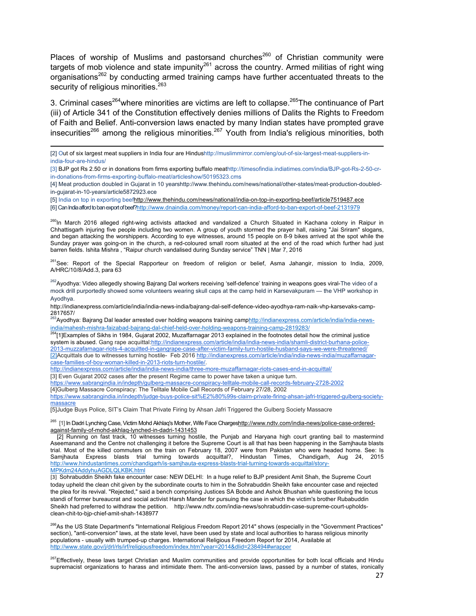Places of worship of Muslims and pastorsand churches<sup>260</sup> of Christian community were targets of mob violence and state impunity<sup>261</sup> across the country. Armed militias of right wing organisations<sup>262</sup> by conducting armed training camps have further accentuated threats to the security of religious minorities.<sup>263</sup>

3. Criminal cases<sup>264</sup> where minorities are victims are left to collapse.<sup>265</sup>The continuance of Part (iii) of Article 341 of the Constitution effectively denies millions of Dalits the Rights to Freedom of Faith and Belief. Anti-conversion laws enacted by many Indian states have prompted grave insecurities<sup>266</sup> among the religious minorities.<sup>267</sup> Youth from India's religious minorities, both

<sup>260</sup>In March 2016 alleged right-wing activists attacked and vandalized a Church Situated in Kachana colony in Raipur in Chhattisgarh injuring five people including two women. A group of youth stormed the prayer hall, raising "Jai Sriram" slogans, and began attacking the worshippers. According to eye witnesses, around 15 people on 8-9 bikes arrived at the spot while the Sunday prayer was going-on in the church, a red-coloured small room situated at the end of the road which further had just barren fields. Ishita Mishra , "Raipur church vandalised during Sunday service" TNN | Mar 7, 2016

<sup>261</sup>See: Report of the Special Rapporteur on freedom of religion or belief, Asma Jahangir, mission to India, 2009, A/HRC/10/8/Add.3, para 63

<sup>262</sup>Ayodhya: Video allegedly showing Bajrang Dal workers receiving 'self-defence' training in weapons goes viral-The video of a mock drill purportedly showed some volunteers wearing skull caps at the camp held in Karsevakpuram — the VHP workshop in Ayodhya.

http://indianexpress.com/article/india/india-news-india/bajrang-dal-self-defence-video-ayodhya-ram-naik-vhp-karsevaks-camp-2817657/<br><sup>263</sup>Ayodhya: Bajrang Dal leader arrested over holding weapons training camp<u>http://indianexpress.com/article/india/india-new</u>s-

http://indianexpress.com/article/india/india-news-india/three-more-muzaffarnagar-riots-cases-end-in-acquittal/

[3] Even Gujarat 2002 cases after the present Regime came to power have taken a unique turn.

https://www.sabrangindia.in/indepth/gulberg-massacre-conspiracy-telltale-mobile-call-records-february-2728-2002

[4]Gulberg Massacre Conspiracy: The Telltale Mobile Call Records of February 27/28, 2002

https://www.sabrangindia.in/indepth/judge-buys-police-sit%E2%80%99s-claim-private-firing-ahsan-jafri-triggered-gulberg-societymassacre

[5]Judge Buys Police, SIT's Claim That Private Firing by Ahsan Jafri Triggered the Gulberg Society Massacre

<sup>265</sup> [1] In Dadri Lynching Case, Victim Mohd Akhlaq's Mother, Wife Face Chargeshttp://www.ndtv.com/india-news/police-case-orderedagainst-family-of-mohd-akhlaq-lynched-in-dadri-1431453

 [2] Running on fast track, 10 witnesses turning hostile, the Punjab and Haryana high court granting bail to mastermind Aseemanand and the Centre not challenging it before the Supreme Court is all that has been happening in the Samjhauta blasts trial. Most of the killed commuters on the train on February 18, 2007 were from Pakistan who were headed home. See: Is Samjhauta Express blasts trial turning towards acquittal?, Hindustan Times, Chandigarh, Aug 24, 2015 http://www.hindustantimes.com/chandigarh/is-samjhauta-express-blasts-trial-turning-towards-acquittal/story-MPKdm24AddyhuAGDLQLKBK.html

[3] Sohrabuddin Sheikh fake encounter case: NEW DELHI: In a huge relief to BJP president Amit Shah, the Supreme Court today upheld the clean chit given by the subordinate courts to him in the Sohrabuddin Sheikh fake encounter case and rejected the plea for its revival. "Rejected," said a bench comprising Justices SA Bobde and Ashok Bhushan while questioning the locus standi of former bureaucrat and social activist Harsh Mander for pursuing the case in which the victim's brother Rubabuddin Sheikh had preferred to withdraw the petition. http://www.ndtv.com/india-news/sohrabuddin-case-supreme-court-upholdsclean-chit-to-bjp-chief-amit-shah-1438977

<sup>266</sup>As the US State Department's "International Religious Freedom Report 2014" shows (especially in the "Government Practices" section), "anti-conversion" laws, at the state level, have been used by state and local authorities to harass religious minority populations - usually with trumped-up charges. International Religious Freedom Report for 2014, Available at http://www.state.gov/j/drl/rls/irf/religiousfreedom/index.htm?year=2014&dlid=238494#wrapper

<sup>267</sup>Effectively, these laws target Christian and Muslim communities and provide opportunities for both local officials and Hindu supremacist organizations to harass and intimidate them. The anti-conversion laws, passed by a number of states, ironically

<sup>[2]</sup> Out of six largest meat suppliers in India four are Hindushttp://muslimmirror.com/eng/out-of-six-largest-meat-suppliers-inindia-four-are-hindus/

<sup>[3]</sup> BJP got Rs 2.50 cr in donations from firms exporting buffalo meathttp://timesofindia.indiatimes.com/india/BJP-got-Rs-2-50-crin-donations-from-firms-exporting-buffalo-meat/articleshow/50195323.cms

<sup>[4]</sup> Meat production doubled in Gujarat in 10 yearshttp://www.thehindu.com/news/national/other-states/meat-production-doubledin-gujarat-in-10-years/article5872923.ece

<sup>[5]</sup> India on top in exporting beefhttp://www.thehindu.com/news/national/india-on-top-in-exporting-beef/article7519487.ece

<sup>[6]</sup> Can India afford to ban export of beef?http://www.dnaindia.com/money/report-can-india-afford-to-ban-export-of-beef-2131979

india/mahesh-mishra-faizabad-bajrang-dal-chief-held-over-holding-weapons-training-camp-2819283/

<sup>&</sup>lt;sup>264</sup>[1]Examples of Sikhs in 1984, Gujarat 2002, Muzaffarnagar 2013 explained in the footnotes detail how the criminal justice system is abused. Gang rape acquittal:http://indianexpress.com/article/india/india-news-india/shamli-district-burhana-police-2013-muzzafarnagar-riots-4-acquitted-in-gangrape-case-after-victim-family-turn-hostile-husband-says-we-were-threatened/ [2]Acquittals due to witnesses turning hostile- Feb 2016 http://indianexpress.com/article/india/india-news-india/muzaffarnagarcase-families-of-boy-woman-killed-in-2013-riots-turn-hostile/.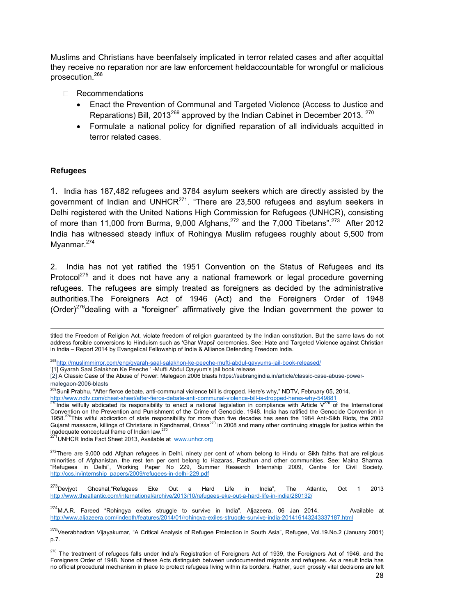Muslims and Christians have beenfalsely implicated in terror related cases and after acquittal they receive no reparation nor are law enforcement heldaccountable for wrongful or malicious prosecution.<sup>268</sup>

- Recommendations
	- Enact the Prevention of Communal and Targeted Violence (Access to Justice and Reparations) Bill, 2013<sup>269</sup> approved by the Indian Cabinet in December 2013. <sup>270</sup>
	- Formulate a national policy for dignified reparation of all individuals acquitted in terror related cases.

#### **Refugees**

1. India has 187,482 refugees and 3784 asylum seekers which are directly assisted by the government of Indian and UNHCR $^{271}$ . "There are 23,500 refugees and asylum seekers in Delhi registered with the United Nations High Commission for Refugees (UNHCR), consisting of more than 11,000 from Burma, 9,000 Afghans, $^{272}$  and the 7,000 Tibetans". $^{273}$  After 2012 India has witnessed steady influx of Rohingya Muslim refugees roughly about 5,500 from Myanmar.<sup>274</sup>

2. India has not yet ratified the 1951 Convention on the Status of Refugees and its Protocol $^{275}$  and it does not have any a national framework or legal procedure governing refugees. The refugees are simply treated as foreigners as decided by the administrative authorities.The Foreigners Act of 1946 (Act) and the Foreigners Order of 1948 (Order)<sup>276</sup> dealing with a "foreigner" affirmatively give the Indian government the power to

<sup>268</sup>http://muslimmirror.com/eng/gyarah-saal-salakhon-ke-peeche-mufti-abdul-qayyums-jail-book-released/

'[1] Gyarah Saal Salakhon Ke Peeche ' -Mufti Abdul Qayyum's jail book release

<sup>271</sup>UNHCR India Fact Sheet 2013, Available at www.unhcr.org

<sup>272</sup>There are 9,000 odd Afghan refugees in Delhi, ninety per cent of whom belong to Hindu or Sikh faiths that are religious minorities of Afghanistan, the rest ten per cent belong to Hazaras, Pasthun and other communities. See: Maina Sharma, "Refugees in Delhi", Working Paper No 229, Summer Research Internship 2009, Centre for Civil Society. http://ccs.in/internship\_papers/2009/refugees-in-delhi-229.pdf

 $^{273}$ Devjyot Ghoshal, "Refugees Eke Out a Hard Life in India", The Atlantic, Oct 1 2013 http://www.theatlantic.com/international/archive/2013/10/refugees-eke-out-a-hard-life-in-india/280132/

 $^{274}$ M.A.R. Fareed "Rohingya exiles struggle to survive in India", Aljazeera, 06 Jan 2014. Available at http://www.aljazeera.com/indepth/features/2014/01/rohingya-exiles-struggle-survive-india-201416143243337187.html

 titled the Freedom of Religion Act, violate freedom of religion guaranteed by the Indian constitution. But the same laws do not address forcible conversions to Hinduism such as 'Ghar Wapsi' ceremonies. See: Hate and Targeted Violence against Christian in India – Report 2014 by Evangelical Fellowship of India & Alliance Defending Freedom India.

<sup>[2]</sup> A Classic Case of the Abuse of Power: Malegaon 2006 blasts https://sabrangindia.in/article/classic-case-abuse-powermalegaon-2006-blasts

<sup>&</sup>lt;sup>269</sup>Sunil Prabhu, "After fierce debate, anti-communal violence bill is dropped. Here's why," NDTV, February 05, 2014.

http://www.ndtv.com/cheat-sheet/after-fierce-debate-anti-communal-violence-bill-is-dropped-heres-why-549881<br><sup>270</sup>India wilfully abdicated its responsibility to enact a national legislation in compliance with Article V<sup>270</sup> Convention on the Prevention and Punishment of the Crime of Genocide, 1948. India has ratified the Genocide Convention in 1958.<sup>270</sup>This wilful abdication of state responsibility for more than five decades has seen the 1984 Anti-Sikh Riots, the 2002 Gujarat massacre, killings of Christians in Kandhamal, Orissa<sup>270</sup> in 2008 and many other continuing struggle for justice within the inadequate conceptual frame of Indian law.<sup>270</sup>

<sup>&</sup>lt;sup>275</sup>Veerabhadran Vijayakumar, "A Critical Analysis of Refugee Protection in South Asia", Refugee, Vol.19.No.2 (January 2001) p.7.

<sup>&</sup>lt;sup>276</sup> The treatment of refugees falls under India's Registration of Foreigners Act of 1939, the Foreigners Act of 1946, and the Foreigners Order of 1948. None of these Acts distinguish between undocumented migrants and refugees. As a result India has no official procedural mechanism in place to protect refugees living within its borders. Rather, such grossly vital decisions are left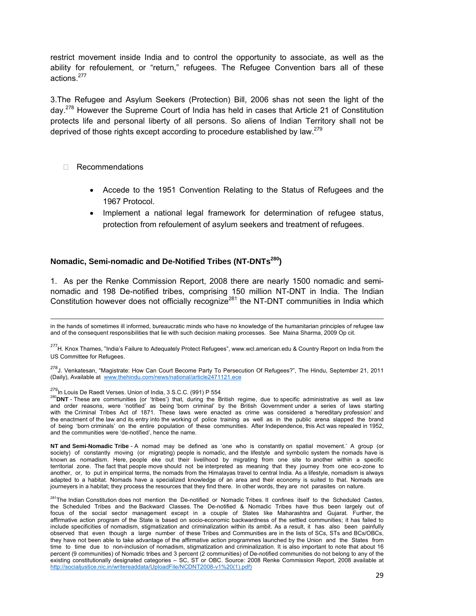restrict movement inside India and to control the opportunity to associate, as well as the ability for refoulement, or "return," refugees. The Refugee Convention bars all of these actions.<sup>277</sup>

3.The Refugee and Asylum Seekers (Protection) Bill, 2006 shas not seen the light of the day.278 However the Supreme Court of India has held in cases that Article 21 of Constitution protects life and personal liberty of all persons. So aliens of Indian Territory shall not be deprived of those rights except according to procedure established by law.<sup>279</sup>

#### Recommendations

- Accede to the 1951 Convention Relating to the Status of Refugees and the 1967 Protocol.
- Implement a national legal framework for determination of refugee status, protection from refoulement of asylum seekers and treatment of refugees.

#### **Nomadic, Semi-nomadic and De-Notified Tribes (NT-DNTs280)**

1. As per the Renke Commission Report, 2008 there are nearly 1500 nomadic and seminomadic and 198 De-notified tribes, comprising 150 million NT-DNT in India. The Indian Constitution however does not officially recognize<sup>281</sup> the NT-DNT communities in India which

**NT and Semi-Nomadic Tribe** - A nomad may be defined as 'one who is constantly on spatial movement.' A group (or society) of constantly moving (or migrating) people is nomadic, and the lifestyle and symbolic system the nomads have is known as nomadism. Here, people eke out their livelihood by migrating from one site to another within a specific territorial zone. The fact that people move should not be interpreted as meaning that they journey from one eco-zone to another, or, to put in empirical terms, the nomads from the Himalayas travel to central India. As a lifestyle, nomadism is always adapted to a habitat. Nomads have a specialized knowledge of an area and their economy is suited to that. Nomads are journeyers in a habitat; they process the resources that they find there. In other words, they are not parasites on nature.

 in the hands of sometimes ill informed, bureaucratic minds who have no knowledge of the humanitarian principles of refugee law and of the consequent responsibilities that lie with such decision making processes. See Maina Sharma, 2009 Op cit.

<sup>&</sup>lt;sup>277</sup>H. Knox Thames, "India's Failure to Adequately Protect Refugees", www.wcl.american.edu & Country Report on India from the US Committee for Refugees.

<sup>278</sup>J. Venkatesan, "Magistrate: How Can Court Become Party To Persecution Of Refugees?", The Hindu, September 21, 2011 (Daily), Available at www.thehindu.com/news/national/article2471121.ece

<sup>&</sup>lt;sup>279</sup>In Louis De Raedt Verses. Union of India, 3 S.C.C. (991) P 554<br><sup>280</sup>DNT - These are communities (or 'tribes') that, during the British regime, due to specific administrative as well as law and order reasons, were 'notified' as being 'born criminal' by the British Government under a series of laws starting with the Criminal Tribes Act of 1871. These laws were enacted as crime was considered a 'hereditary profession' and the enactment of the law and its entry into the working of police training as well as in the public arena slapped the brand of being 'born criminals' on the entire population of these communities. After Independence, this Act was repealed in 1952, and the communities were 'de-notified', hence the name.

<sup>&</sup>lt;sup>281</sup>The Indian Constitution does not mention the De-notified or Nomadic Tribes. It confines itself to the Scheduled Castes, the Scheduled Tribes and the Backward Classes. The De-notified & Nomadic Tribes have thus been largely out of focus of the social sector management except in a couple of States like Maharashtra and Gujarat. Further, the affirmative action program of the State is based on socio-economic backwardness of the settled communities; it has failed to include specificities of nomadism, stigmatization and criminalization within its ambit. As a result, it has also been painfully observed that even though a large number of these Tribes and Communities are in the lists of SCs, STs and BCs/OBCs, they have not been able to take advantage of the affirmative action programmes launched by the Union and the States from time to time due to non-inclusion of nomadism, stigmatization and criminalization. It is also important to note that about 16 percent (9 communities) of Nomadic tribes and 3 percent (2 communities) of De-notified communities do not belong to any of the existing constitutionally designated categories – SC, ST or OBC. Source: 2008 Renke Commission Report, 2008 available at http://socialjustice.nic.in/writereaddata/UploadFile/NCDNT2008-v1%20(1).pdf)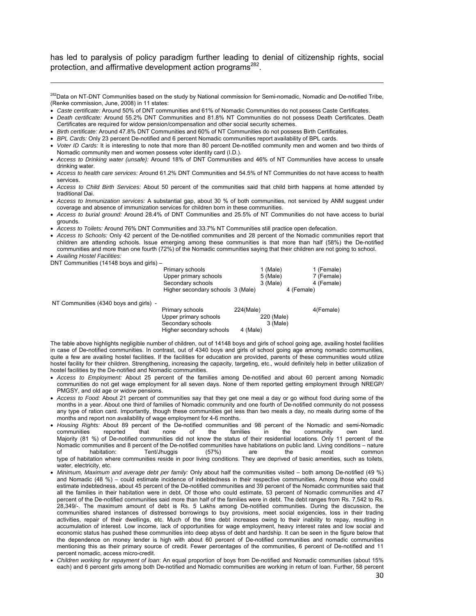has led to paralysis of policy paradigm further leading to denial of citizenship rights, social protection, and affirmative development action programs<sup>282</sup>.

<sup>282</sup>Data on NT-DNT Communities based on the study by National commission for Semi-nomadic, Nomadic and De-notified Tribe, (Renke commission, June, 2008) in 11 states:

- *Caste certificate:* Around 50% of DNT communities and 61% of Nomadic Communities do not possess Caste Certificates.
- *Death certificate:* Around 55.2% DNT Communities and 81.8% NT Communities do not possess Death Certificates. Death Certificates are required for widow pension/compensation and other social security schemes.
- *Birth certificate:* Around 47.8% DNT Communities and 60% of NT Communities do not possess Birth Certificates.
- *BPL Cards:* Only 23 percent De-notified and 6 percent Nomadic communities report availability of BPL cards.
- *Voter ID Cards:* It is interesting to note that more than 80 percent De-notified community men and women and two thirds of Nomadic community men and women possess voter identity card (I.D.).
- *Access to Drinking water (unsafe):* Around 18% of DNT Communities and 46% of NT Communities have access to unsafe drinking water.
- *Access to health care services:* Around 61.2% DNT Communities and 54.5% of NT Communities do not have access to health services.
- *Access to Child Birth Services:* About 50 percent of the communities said that child birth happens at home attended by traditional Dai.
- *Access to Immunization services:* A substantial gap, about 30 % of both communities, not serviced by ANM suggest under coverage and absence of immunization services for children born in these communities.
- *Access to burial ground:* Around 28.4% of DNT Communities and 25.5% of NT Communities do not have access to burial grounds.
- *Access to Toilets:* Around 76% DNT Communities and 33.7% NT Communities still practice open defecation.
- *Access to Schools:* Only 42 percent of the De-notified communities and 28 percent of the Nomadic communities report that children are attending schools. Issue emerging among these communities is that more than half (58%) the De-notified communities and more than one fourth (72%) of the Nomadic communities saying that their children are not going to school. • *Availing Hostel Facilities:*

DNT Communities (14148 boys and girls) –

| Primary schools                   | 1 (Male) | 1 (Female) |
|-----------------------------------|----------|------------|
| Upper primary schools             | 5 (Male) | 7 (Female) |
| Secondary schools                 | 3 (Male) | 4 (Female) |
| Higher secondary schools 3 (Male) |          | 4 (Female) |

NT Communities (4340 boys and girls) -

| Primary schools          | 224(Male)  | 4(Female) |
|--------------------------|------------|-----------|
| Upper primary schools    | 220 (Male) |           |
| Secondary schools        | 3 (Male)   |           |
| Higher secondary schools | 4 (Male)   |           |

The table above highlights negligible number of children, out of 14148 boys and girls of school going age, availing hostel facilities in case of De-notified communities. In contrast, out of 4340 boys and girls of school going age among nomadic communities, quite a few are availing hostel facilities. If the facilities for education are provided, parents of these communities would utilize hostel facility for their children. Strengthening, increasing the capacity, targeting, etc., would definitely help in better utilization of hostel facilities by the De-notified and Nomadic communities.

- *Access to Employment:* About 25 percent of the families among De-notified and about 60 percent among Nomadic communities do not get wage employment for all seven days. None of them reported getting employment through NREGP/ PMGSY, and old age or widow pensions.
- *Access to Food:* About 21 percent of communities say that they get one meal a day or go without food during some of the months in a year. About one third of families of Nomadic community and one fourth of De-notified community do not possess any type of ration card. Importantly, though these communities get less than two meals a day, no meals during some of the months and report non availability of wage employment for 4-6 months.
- *Housing Rights:* About 89 percent of the De-notified communities and 98 percent of the Nomadic and semi-Nomadic communities reported that none of the families in the community own land. Majority (81 %) of De-notified communities did not know the status of their residential locations. Only 11 percent of the Nomadic communities and 8 percent of the De-notified communities have habitations on public land. Living conditions – nature of habitation: Tent/Jhuggis (57%) are the most common type of habitation where communities reside in poor living conditions. They are deprived of basic amenities, such as toilets, water, electricity, etc.
- *Minimum, Maximum and average debt per family:* Only about half the communities visited both among De-notified (49 %) and Nomadic (48 %) – could estimate incidence of indebtedness in their respective communities. Among those who could estimate indebtedness, about 45 percent of the De-notified communities and 39 percent of the Nomadic communities said that all the families in their habitation were in debt. Of those who could estimate, 53 percent of Nomadic communities and 47 percent of the De-notified communities said more than half of the families were in debt. The debt ranges from Rs. 7,542 to Rs. 28,349/-. The maximum amount of debt is Rs. 5 Lakhs among De-notified communities. During the discussion, the communities shared instances of distressed borrowings to buy provisions, meet social exigencies, loss in their trading activities, repair of their dwellings, etc. Much of the time debt increases owing to their inability to repay, resulting in accumulation of interest. Low income, lack of opportunities for wage employment, heavy interest rates and low social and economic status has pushed these communities into deep abyss of debt and hardship. It can be seen in the figure below that the dependence on money lender is high with about 60 percent of De-notified communities and nomadic communities mentioning this as their primary source of credit. Fewer percentages of the communities, 6 percent of De-notified and 11 percent nomadic, access micro-credit.
- *Children working for repayment of loan*: An equal proportion of boys from De-notified and Nomadic communities (about 15% each) and 6 percent girls among both De-notified and Nomadic communities are working in return of loan. Further, 58 percent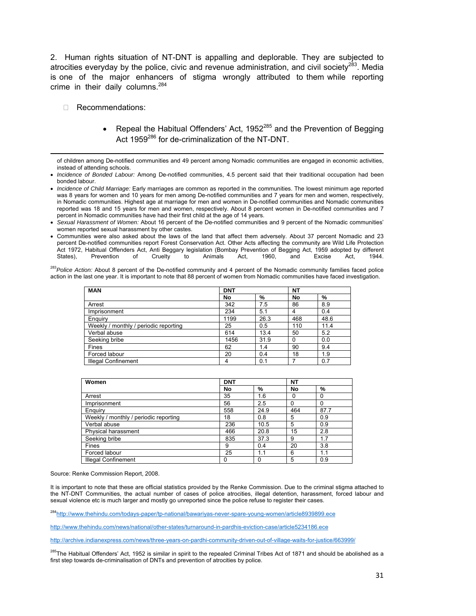2. Human rights situation of NT-DNT is appalling and deplorable. They are subjected to atrocities everyday by the police, civic and revenue administration, and civil society<sup>283</sup>. Media is one of the major enhancers of stigma wrongly attributed to them while reporting crime in their daily columns.<sup>284</sup>

- Recommendations:
	- Repeal the Habitual Offenders' Act, 1952 $285$  and the Prevention of Begging Act 1959<sup>286</sup> for de-criminalization of the NT-DNT.

• Communities were also asked about the laws of the land that affect them adversely. About 37 percent Nomadic and 23 percent De-notified communities report Forest Conservation Act. Other Acts affecting the community are Wild Life Protection Act 1972, Habitual Offenders Act, Anti Beggary legislation (Bombay Prevention of Begging Act, 1959 adopted by different<br>States), Prevention of Cruelty to Animals Act, 1960, and Excise Act, 1944. States), Prevention of Cruelty to Animals Act, 1960, and Excise Act, 1944.

<sup>283</sup>*Police Action:* About 8 percent of the De-notified community and 4 percent of the Nomadic community families faced police action in the last one year. It is important to note that 88 percent of women from Nomadic communities have faced investigation.

| <b>MAN</b>                            | <b>DNT</b> |      | NΤ  |      |
|---------------------------------------|------------|------|-----|------|
|                                       | No         | %    | No  | %    |
| Arrest                                | 342        | 7.5  | 86  | 8.9  |
| Imprisonment                          | 234        | 5.1  | 4   | 0.4  |
| Enguiry                               | 1199       | 26.3 | 468 | 48.6 |
| Weekly / monthly / periodic reporting | 25         | 0.5  | 110 | 11.4 |
| Verbal abuse                          | 614        | 13.4 | 50  | 5.2  |
| Seeking bribe                         | 1456       | 31.9 | 0   | 0.0  |
| Fines                                 | 62         | 1.4  | 90  | 9.4  |
| Forced labour                         | 20         | 0.4  | 18  | 1.9  |
| <b>Illegal Confinement</b>            | 4          | 0.1  |     | 0.7  |

| Women                                 | <b>DNT</b> |      | <b>NT</b> |          |
|---------------------------------------|------------|------|-----------|----------|
|                                       | No         | %    | No        | %        |
| Arrest                                | 35         | 1.6  | 0         | $\Omega$ |
| Imprisonment                          | 56         | 2.5  | 0         | 0        |
| Enguiry                               | 558        | 24.9 | 464       | 87.7     |
| Weekly / monthly / periodic reporting | 18         | 0.8  | 5         | 0.9      |
| Verbal abuse                          | 236        | 10.5 | 5         | 0.9      |
| Physical harassment                   | 466        | 20.8 | 15        | 2.8      |
| Seeking bribe                         | 835        | 37.3 | 9         | 1.7      |
| Fines                                 | 9          | 0.4  | 20        | 3.8      |
| Forced labour                         | 25         | 1.1  | 6         | 1.1      |
| Illegal Confinement                   | 0          | 0    | 5         | 0.9      |

Source: Renke Commission Report, 2008.

It is important to note that these are official statistics provided by the Renke Commission. Due to the criminal stigma attached to the NT-DNT Communities, the actual number of cases of police atrocities, illegal detention, harassment, forced labour and sexual violence etc is much larger and mostly go unreported since the police refuse to register their cases.

<sup>284</sup>http://www.thehindu.com/todays-paper/tp-national/bawariyas-never-spare-young-women/article8939899.ece

http://www.thehindu.com/news/national/other-states/turnaround-in-pardhis-eviction-case/article5234186.ece

http://archive.indianexpress.com/news/three-years-on-pardhi-community-driven-out-of-village-waits-for-justice/663999/

<sup>285</sup>The Habitual Offenders' Act, 1952 is similar in spirit to the repealed Criminal Tribes Act of 1871 and should be abolished as a first step towards de-criminalisation of DNTs and prevention of atrocities by police.

 of children among De-notified communities and 49 percent among Nomadic communities are engaged in economic activities, instead of attending schools.

<sup>•</sup> *Incidence of Bonded Labour:* Among De-notified communities, 4.5 percent said that their traditional occupation had been bonded labour.

<sup>•</sup> *Incidence of Child Marriage:* Early marriages are common as reported in the communities. The lowest minimum age reported was 8 years for women and 10 years for men among De-notified communities and 7 years for men and women, respectively, in Nomadic communities. Highest age at marriage for men and women in De-notified communities and Nomadic communities reported was 18 and 15 years for men and women, respectively. About 8 percent women in De-notified communities and 7 percent in Nomadic communities have had their first child at the age of 14 years.

<sup>•</sup> *Sexual Harassment of Women:* About 16 percent of the De-notified communities and 9 percent of the Nomadic communities' women reported sexual harassment by other castes.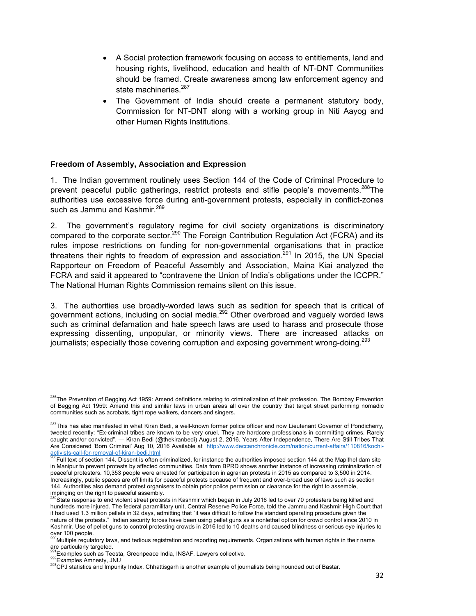- A Social protection framework focusing on access to entitlements, land and housing rights, livelihood, education and health of NT-DNT Communities should be framed. Create awareness among law enforcement agency and state machineries.<sup>287</sup>
- The Government of India should create a permanent statutory body, Commission for NT-DNT along with a working group in Niti Aayog and other Human Rights Institutions.

#### **Freedom of Assembly, Association and Expression**

1. The Indian government routinely uses Section 144 of the Code of Criminal Procedure to prevent peaceful public gatherings, restrict protests and stifle people's movements.<sup>288</sup>The authorities use excessive force during anti-government protests, especially in conflict-zones such as Jammu and Kashmir.<sup>289</sup>

2. The government's regulatory regime for civil society organizations is discriminatory compared to the corporate sector.<sup>290</sup> The Foreign Contribution Regulation Act (FCRA) and its rules impose restrictions on funding for non-governmental organisations that in practice threatens their rights to freedom of expression and association.<sup>291</sup> In 2015, the UN Special Rapporteur on Freedom of Peaceful Assembly and Association, Maina Kiai analyzed the FCRA and said it appeared to "contravene the Union of India's obligations under the ICCPR." The National Human Rights Commission remains silent on this issue.

3. The authorities use broadly-worded laws such as sedition for speech that is critical of government actions, including on social media.<sup>292</sup> Other overbroad and vaguely worded laws such as criminal defamation and hate speech laws are used to harass and prosecute those expressing dissenting, unpopular, or minority views. There are increased attacks on journalists; especially those covering corruption and exposing government wrong-doing.<sup>293</sup>

<sup>&</sup>lt;sup>286</sup>The Prevention of Begging Act 1959: Amend definitions relating to criminalization of their profession. The Bombay Prevention of Begging Act 1959: Amend this and similar laws in urban areas all over the country that target street performing nomadic communities such as acrobats, tight rope walkers, dancers and singers.

<sup>&</sup>lt;sup>287</sup>This has also manifested in what Kiran Bedi, a well-known former police officer and now Lieutenant Governor of Pondicherry, tweeted recently: "Ex-criminal tribes are known to be very cruel. They are hardcore professionals in committing crimes. Rarely caught and/or convicted". — Kiran Bedi (@thekiranbedi) August 2, 2016, Years After Independence, There Are Still Tribes That Are Considered 'Born Criminal' Aug 10, 2016 Available at http://www.deccanchronicle.com/nation/current-affairs/110816/kochi-

activists-call-for-removal-of-kiran-bedi.html<br><sup>288</sup>Full text of section 144. Dissent is often criminalized, for instance the authorities imposed section 144 at the Mapithel dam site in Manipur to prevent protests by affected communities. Data from BPRD shows another instance of increasing criminalization of peaceful protesters. 10,353 people were arrested for participation in agrarian protests in 2015 as compared to 3,500 in 2014. Increasingly, public spaces are off limits for peaceful protests because of frequent and over-broad use of laws such as section 144. Authorities also demand protest organisers to obtain prior police permission or clearance for the right to assemble,

impinging on the right to peaceful assembly.<br><sup>289</sup>State response to end violent street protests in Kashmir which began in July 2016 led to over 70 protesters being killed and hundreds more injured. The federal paramilitary unit, Central Reserve Police Force, told the Jammu and Kashmir High Court that it had used 1.3 million pellets in 32 days, admitting that "it was difficult to follow the standard operating procedure given the nature of the protests." Indian security forces have been using pellet guns as a nonlethal option for crowd control since 2010 in Kashmir. Use of pellet guns to control protesting crowds in 2016 led to 10 deaths and caused blindness or serious eye injuries to over 100 people.

<sup>&</sup>lt;sup>90</sup>Multiple regulatory laws, and tedious registration and reporting requirements. Organizations with human rights in their name are particularly targeted.

<sup>&</sup>lt;sup>291</sup>Examples such as Teesta, Greenpeace India, INSAF, Lawyers collective.<br><sup>292</sup>Examples Amnesty, JNU<br><sup>293</sup>CPJ statistics and Impunity Index. Chhattisgarh is another example of journalists being hounded out of Bastar.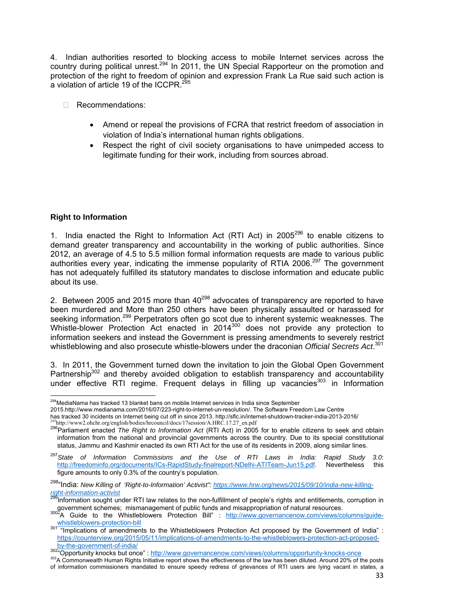4. Indian authorities resorted to blocking access to mobile Internet services across the country during political unrest.294 In 2011, the UN Special Rapporteur on the promotion and protection of the right to freedom of opinion and expression Frank La Rue said such action is a violation of article 19 of the ICCPR.<sup>295</sup>

- □ Recommendations:
	- Amend or repeal the provisions of FCRA that restrict freedom of association in violation of India's international human rights obligations.
	- Respect the right of civil society organisations to have unimpeded access to legitimate funding for their work, including from sources abroad.

#### **Right to Information**

1. India enacted the Right to Information Act (RTI Act) in 2005<sup>296</sup> to enable citizens to demand greater transparency and accountability in the working of public authorities. Since 2012, an average of 4.5 to 5.5 million formal information requests are made to various public authorities every year, indicating the immense popularity of RTIA 2006.<sup>297</sup> The government has not adequately fulfilled its statutory mandates to disclose information and educate public about its use.

2. Between 2005 and 2015 more than  $40^{298}$  advocates of transparency are reported to have been murdered and More than 250 others have been physically assaulted or harassed for seeking information.<sup>299</sup> Perpetrators often go scot due to inherent systemic weaknesses. The Whistle-blower Protection Act enacted in 2014<sup>300</sup> does not provide any protection to information seekers and instead the Government is pressing amendments to severely restrict whistleblowing and also prosecute whistle-blowers under the draconian *Official Secrets Act*. 301

3. In 2011, the Government turned down the invitation to join the Global Open Government Partnership<sup>302</sup> and thereby avoided obligation to establish transparency and accountability under effective RTI regime. Frequent delays in filling up vacancies<sup>303</sup> in Information

 <sup>294</sup>MediaNama has tracked 13 blanket bans on mobile Internet services in India since September

<sup>2015.</sup>http://www.medianama.com/2016/07/223-right-to-internet-un-resolution/. The Software Freedom Law Centre has tracked 30 incidents on Internet being cut off in since 2013. http://sflc.in/internet-shutdown-tracker-india-2013-2016/<br><sup>295</sup>http://www2.ohchr.org/english/bodies/hrcouncil/docs/17session/A.HRC.17.27\_en.pdf

<sup>&</sup>lt;sup>296</sup>Parliament enacted *The Right to Information Act* (RTI Act) in 2005 for to enable citizens to seek and obtain information from the national and provincial governments across the country. Due to its special constitutional status, Jammu and Kashmir enacted its own RTI Act for the use of its residents in 2009, along similar lines.

<sup>297</sup>*State of Information Commissions and the Use of RTI Laws in India: Rapid Study 3.0*: http://freedominfo.org/documents/ICs-RapidStudy-finalreport-NDelhi-ATITeam-Jun15.pdf. Nevertheless this figure amounts to only 0.3% of the country's population.

<sup>&</sup>lt;sup>298</sup>"India: New Killing of 'Right-to-Information' Activist": https://www.hrw.org/news/2015/09/10/india-new-killing-

*right-information-activist* 299Information sought under RTI law relates to the non-fulfillment of people's rights and entitlements, corruption in government schemes; mismanagement of public funds and misappropriation of natural resources.<br><sup>300</sup>"A Guide to the Whistleblowers Protection Bill" : http://www.governancenow.com/views/columns/guide-

whistleblowers-protection-bill<br><sup>301</sup> "Implications of amendments to the Whistleblowers Protection Act proposed by the Government of India" :

https://counterview.org/2015/05/11/implications-of-amendments-to-the-whistleblowers-protection-act-proposedby-the-government-of-india/<br>
302"Opportunity knocks but once": http://www.governancenow.com/views/columns/opportunity-knocks-once<br>
303A Commonwealth Human Rights Initiative report shows the effectiveness of the law has bee

of information commissioners mandated to ensure speedy redress of grievances of RTI users are lying vacant in states, a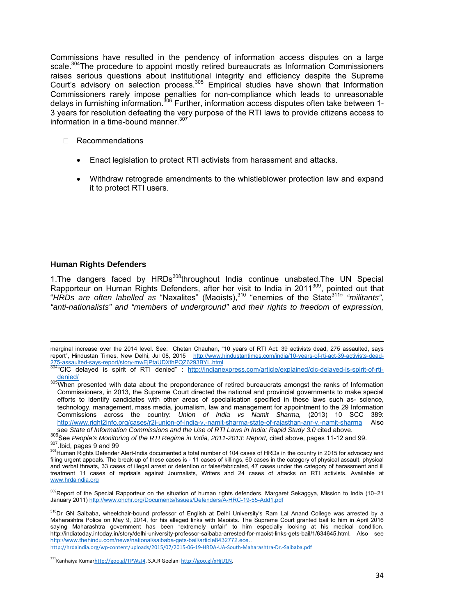Commissions have resulted in the pendency of information access disputes on a large scale.<sup>304</sup>The procedure to appoint mostly retired bureaucrats as Information Commissioners raises serious questions about institutional integrity and efficiency despite the Supreme Court's advisory on selection process.<sup>305</sup> Empirical studies have shown that Information Commissioners rarely impose penalties for non-compliance which leads to unreasonable delays in furnishing information.<sup>306</sup> Further, information access disputes often take between 1-3 years for resolution defeating the very purpose of the RTI laws to provide citizens access to information in a time-bound manner.<sup>307</sup>

- Recommendations
	- Enact legislation to protect RTI activists from harassment and attacks.
	- Withdraw retrograde amendments to the whistleblower protection law and expand it to protect RTI users.

#### **Human Rights Defenders**

1. The dangers faced by HRDs<sup>308</sup>throughout India continue unabated. The UN Special Rapporteur on Human Rights Defenders, after her visit to India in 2011<sup>309</sup>, pointed out that "HRDs are often labelled as "Naxalites" (Maoists),<sup>310</sup> "enemies of the State<sup>311</sup>" "militants", *"anti-nationalists" and "members of underground" and their rights to freedom of expression,* 

 marginal increase over the 2014 level. See: Chetan Chauhan, "10 years of RTI Act: 39 activists dead, 275 assaulted, says report", Hindustan Times, New Delhi, Jul 08, 2015 http://www.hindustantimes.com/india/10-years-of-rti-act-39-activists-dead-275-assaulted-says-report/story-mwEjPtaUDXthPQZ6293BYL.html<br><sup>304</sup>"CIC delayed is spirit of RTI denied" : <u>http://indianexpress.com/article/explained/cic-delayed-is-spirit-of-rti-</u>

denied/<br><sup>305</sup>When presented with data about the preponderance of retired bureaucrats amongst the ranks of Information Commissioners, in 2013, the Supreme Court directed the national and provincial governments to make special efforts to identify candidates with other areas of specialisation specified in these laws such as- science, technology, management, mass media, journalism, law and management for appointment to the 29 Information Commissions across the country: *Union of India vs Namit Sharma,* (2013) 10 SCC 389: http://www.right2info.org/cases/r2i-union-of-india-v.-namit-sharma-state-of-rajasthan-anr-v.-namit-sharma Also<br>see State of Information Commissions and the Use of RTI Laws in India: Rapid Study 3.0 cited above.

<sup>306&</sup>lt;br>307 See *People's Monitoring of the RTI Regime in India, 2011-2013: Report,* cited above, pages 11-12 and 99.<br><sup>307</sup> Human Rights Defender Alert-India documented a total number of 104 cases of HRDs in the country in 201

filing urgent appeals. The break-up of these cases is - 11 cases of killings, 60 cases in the category of physical assault, physical and verbal threats, 33 cases of illegal arrest or detention or false/fabricated, 47 cases under the category of harassment and ill treatment 11 cases of reprisals against Journalists, Writers and 24 cases of attacks on RTI activists. Available at www.hrdaindia.org

<sup>&</sup>lt;sup>309</sup>Report of the Special Rapporteur on the situation of human rights defenders, Margaret Sekaggya, Mission to India (10–21 January 2011) http://www.ohchr.org/Documents/Issues/Defenders/A-HRC-19-55-Add1.pdf

<sup>&</sup>lt;sup>310</sup>Dr GN Saibaba, wheelchair-bound professor of English at Delhi University's Ram Lal Anand College was arrested by a Maharashtra Police on May 9, 2014, for his alleged links with Maoists. The Supreme Court granted bail to him in April 2016 saying Maharashtra government has been "extremely unfair" to him especially looking at his medical condition. http://indiatoday.intoday.in/story/delhi-university-professor-saibaba-arrested-for-maoist-links-gets-bail/1/634645.html. Also see http://www.thehindu.com/news/national/saibaba-gets-bail/article8432772.ece..

http://hrdaindia.org/wp‐content/uploads/2015/07/2015‐06‐19‐HRDA‐UA‐South‐Maharashtra‐Dr.‐Saibaba.pdf

<sup>311</sup>Kanhaiya Kumarhttp://goo.gl/TPWsJ4, S.A.R Geelani http://goo.gl/xHjU1N,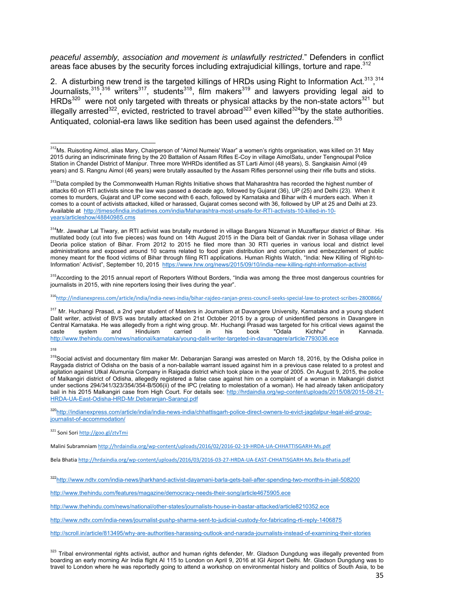*peaceful assembly, association and movement is unlawfully restricted*." Defenders in conflict areas face abuses by the security forces including extrajudicial killings, torture and rape.<sup>312</sup>

2. A disturbing new trend is the targeted killings of HRDs using Right to Information Act.<sup>313</sup>,<sup>314</sup> Journalists,<sup>315</sup>,<sup>316</sup> writers<sup>317</sup>, students<sup>318</sup>, film makers<sup>319</sup> and lawyers providing legal aid to HRDs<sup>320</sup> were not only targeted with threats or physical attacks by the non-state actors<sup>321</sup> but illegally arrested<sup>322</sup>, evicted, restricted to travel abroad<sup>323</sup> even killed<sup>324</sup>by the state authorities. Antiquated, colonial-era laws like sedition has been used against the defenders.  $325$ 

<sup>314</sup>Mr. Jawahar Lal Tiwary, an RTI activist was brutally murdered in village Bangara Nizamat in Muzaffarpur district of Bihar. His mutilated body (cut into five pieces) was found on 14th August 2015 in the Diara belt of Gandak river in Sohasa village under Deoria police station of Bihar. From 2012 to 2015 he filed more than 30 RTI queries in various local and district level administrations and exposed around 10 scams related to food grain distribution and corruption and embezzlement of public money meant for the flood victims of Bihar through filing RTI applications. Human Rights Watch, "India: New Killing of 'Right-to-Information' Activist", September 10, 2015 https://www.hrw.org/news/2015/09/10/india-new-killing-right-information-activist

<sup>315</sup>According to the 2015 annual report of Reporters Without Borders, "India was among the three most dangerous countries for journalists in 2015, with nine reporters losing their lives during the year".

316http://indianexpress.com/article/india/india‐news‐india/bihar‐rajdeo‐ranjan‐press‐council‐seeks‐special‐law‐to‐protect‐scribes‐2800866/

<sup>317</sup> Mr. Huchangi Prasad, a 2nd year student of Masters in Journalism at Davangere University, Karnataka and a young student Dalit writer, activist of BVS was brutally attacked on 21st October 2015 by a group of unidentified persons in Davangere in Central Karnataka. He was allegedly from a right wing group. Mr. Huchangi Prasad was targeted for his critical views against the caste system and Hinduism carried in his book "Odala Kichhu" in Kannada. http://www.thehindu.com/news/national/karnataka/young-dalit-writer-targeted-in-davanagere/article7793036.ece

318

<sup>320</sup>http://indianexpress.com/article/india/india-news-india/chhattisgarh-police-direct-owners-to-evict-jagdalpur-legal-aid-groupjournalist-of-accommodation/

<sup>321</sup> Soni Sori http://goo.gl/ztvTmi

Malini Subramniam http://hrdaindia.org/wp-content/uploads/2016/02/2016-02-19-HRDA-UA-CHHATTISGARH-Ms.pdf

Bela Bhatia http://hrdaindia.org/wp‐content/uploads/2016/03/2016‐03‐27‐HRDA‐UA‐EAST‐CHHATISGARH‐Ms.Bela‐Bhatia.pdf

322http://www.ndtv.com/india-news/jharkhand-activist-dayamani-barla-gets-bail-after-spending-two-months-in-jail-508200

http://www.thehindu.com/features/magazine/democracy-needs-their-song/article4675905.ece

http://www.thehindu.com/news/national/other-states/journalists-house-in-bastar-attacked/article8210352.ece

http://www.ndtv.com/india-news/journalist-pushp-sharma-sent-to-judicial-custody-for-fabricating-rti-reply-1406875

http://scroll.in/article/813495/why-are-authorities-harassing-outlook-and-narada-journalists-instead-of-examining-their-stories

<sup>323</sup> Tribal environmental rights activist, author and human rights defender, Mr. Gladson Dungdung was illegally prevented from boarding an early morning Air India flight AI 115 to London on April 9, 2016 at IGI Airport Delhi. Mr. Gladson Dungdung was to travel to London where he was reportedly going to attend a workshop on environmental history and politics of South Asia, to be

 $312$ Ms. Ruisoting Aimol, alias Mary, Chairperson of "Aimol Numeis' Waar" a women's rights organisation, was killed on 31 May 2015 during an indiscriminate firing by the 20 Battalion of Assam Rifles E-Coy in village AimolSatu, under Tengnoupal Police Station in Chandel District of Manipur. Three more WHRDs identified as ST Larti Aimol (48 years), S. Sangkaisin Aimol (49 years) and S. Rangnu Aimol (46 years) were brutally assaulted by the Assam Rifles personnel using their rifle butts and sticks.

<sup>&</sup>lt;sup>313</sup>Data compiled by the Commonwealth Human Rights Initiative shows that Maharashtra has recorded the highest number of attacks 60 on RTI activists since the law was passed a decade ago, followed by Gujarat (36), UP (25) and Delhi (23). When it comes to murders, Gujarat and UP come second with 6 each, followed by Karnataka and Bihar with 4 murders each. When it comes to a count of activists attacked, killed or harassed, Gujarat comes second with 36, followed by UP at 25 and Delhi at 23. Available at http://timesofindia.indiatimes.com/india/Maharashtra-most-unsafe-for-RTI-activists-10-killed-in-10 years/articleshow/48840985.cms

<sup>&</sup>lt;sup>319</sup>Social activist and documentary film maker Mr. Debaranjan Sarangi was arrested on March 18, 2016, by the Odisha police in Raygada district of Odisha on the basis of a non-bailable warrant issued against him in a previous case related to a protest and agitation against Utkal Alumunia Company in Raigada district which took place in the year of 2005. On August 9, 2015, the police of Malkangiri district of Odisha, allegedly registered a false case against him on a complaint of a woman in Malkangiri district under sections 294/341/323/354/354-B/506(ii) of the IPC (relating to molestation of a woman). He had already taken anticipatory bail in his 2015 Malkangiri case from High Court. For details see: http://hrdaindia.org/wp-content/uploads/2015/08/2015-08-21-HRDA-UA-East-Odisha-HRD-Mr.Debaranjan-Sarangi.pdf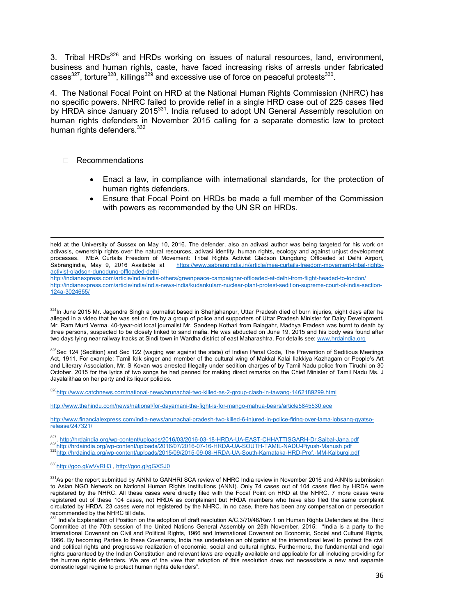3. Tribal HRDs<sup>326</sup> and HRDs working on issues of natural resources, land, environment, business and human rights, caste, have faced increasing risks of arrests under fabricated cases $327$ , torture $328$ , killings $329$  and excessive use of force on peaceful protests $330$ .

4. The National Focal Point on HRD at the National Human Rights Commission (NHRC) has no specific powers. NHRC failed to provide relief in a single HRD case out of 225 cases filed by HRDA since January 2015<sup>331</sup>. India refused to adopt UN General Assembly resolution on human rights defenders in November 2015 calling for a separate domestic law to protect human rights defenders.<sup>332</sup>

#### □ Recommendations

- Enact a law, in compliance with international standards, for the protection of human rights defenders.
- Ensure that Focal Point on HRDs be made a full member of the Commission with powers as recommended by the UN SR on HRDs.

held at the University of Sussex on May 10, 2016. The defender, also an adivasi author was being targeted for his work on adivasis, ownership rights over the natural resources, adivasi identity, human rights, ecology and against unjust development processes. MEA Curtails Freedom of Movement: Tribal Rights Activist Gladson Dungdung Offloaded at Delhi Airport, Sabrangindia, May 9, 2016 Available at https://www.sabrangindia.in/article/mea-curtails-freedom-movement-tribal-rightsactivist-gladson-dungdung-offloaded-delhi

http://indianexpress.com/article/india/india-others/greenpeace-campaigner-offloaded-at-delhi-from-flight-headed-to-london/ http://indianexpress.com/article/india/india-news-india/kudankulam-nuclear-plant-protest-sedition-supreme-court-of-india-section-124a-3024655/

324In June 2015 Mr. Jagendra Singh a journalist based in Shahjahanpur, Uttar Pradesh died of burn injuries, eight days after he alleged in a video that he was set on fire by a group of police and supporters of Uttar Pradesh Minister for Dairy Development, Mr. Ram Murti Verma. 40-tyear-old local journalist Mr. Sandeep Kothari from Balagahr, Madhya Pradesh was burnt to death by three persons, suspected to be closely linked to sand mafia. He was abducted on June 19, 2015 and his body was found after two days lying near railway tracks at Sindi town in Wardha district of east Maharashtra. For details see: www.hrdaindia.org

325Sec 124 (Sedition) and Sec 122 (waging war against the state) of Indian Penal Code, The Prevention of Seditious Meetings Act, 1911. For example: Tamil folk singer and member of the cultural wing of Makkal Kalai Ilakkiya Kazhagam or People's Art and Literary Association, Mr. S Kovan was arrested Illegally under sedition charges of by Tamil Nadu police from Tiruchi on 30 October, 2015 for the lyrics of two songs he had penned for making direct remarks on the Chief Minister of Tamil Nadu Ms. J Jayalalithaa on her party and its liquor policies.

326http://www.catchnews.com/national-news/arunachal-two-killed-as-2-group-clash-in-tawang-1462189299.html

http://www.thehindu.com/news/national/for-dayamani-the-fight-is-for-mango-mahua-bears/article5845530.ece

http://www.financialexpress.com/india-news/arunachal-pradesh-two-killed-6-injured-in-police-firing-over-lama-lobsang-gyatsorelease/247321/

<sup>327</sup>. http://hrdaindia.org/wp-content/uploads/2016/03/2016-03-18-HRDA-UA-EAST-CHHATTISGARH-Dr.Saibal-Jana.pdf<br><sup>328</sup>http://hrdaindia.org/wp-content/uploads/2016/07/2016-07-16-HRDA-UA-SOUTH-TAMIL-NADU-Piyush-Manush.pdf<br><sup>329</sup>

#### 330http://goo.gl/wVvRH3, http://goo.gl/gGXSJ0

331 As per the report submitted by AiNNI to GANHRI SCA review of NHRC India review in November 2016 and AiNNIs submission to Asian NGO Network on National Human Rights Institutions (ANNI). Only 74 cases out of 104 cases filed by HRDA were registered by the NHRC. All these cases were directly filed with the Focal Point on HRD at the NHRC. 7 more cases were registered out of these 104 cases, not HRDA as complainant but HRDA members who have also filed the same complaint circulated by HRDA. 23 cases were not registered by the NHRC. In no case, there has been any compensation or persecution recommended by the NHRC till date.

 $332$  India's Explanation of Position on the adoption of draft resolution A/C.3/70/46/Rev.1 on Human Rights Defenders at the Third Committee at the 70th session of the United Nations General Assembly on 25th November, 2015: "India is a party to the International Covenant on Civil and Political Rights, 1966 and International Covenant on Economic, Social and Cultural Rights, 1966. By becoming Parties to these Covenants, India has undertaken an obligation at the international level to protect the civil and political rights and progressive realization of economic, social and cultural rights. Furthermore, the fundamental and legal rights guaranteed by the Indian Constitution and relevant laws are equally available and applicable for all including providing for the human rights defenders. We are of the view that adoption of this resolution does not necessitate a new and separate domestic legal regime to protect human rights defenders".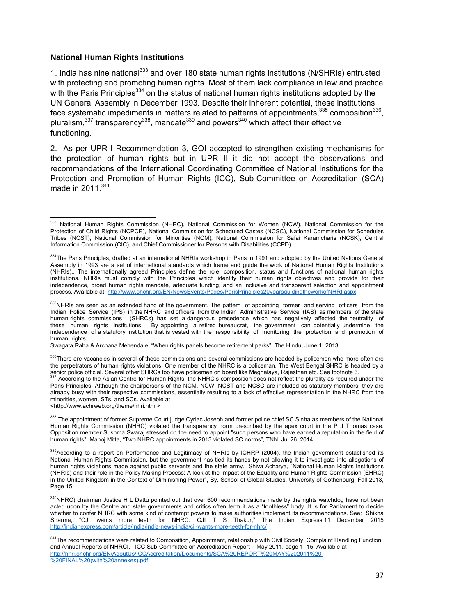#### **National Human Rights Institutions**

1. India has nine national<sup>333</sup> and over 180 state human rights institutions (N/SHRIs) entrusted with protecting and promoting human rights. Most of them lack compliance in law and practice with the Paris Principles<sup>334</sup> on the status of national human rights institutions adopted by the UN General Assembly in December 1993. Despite their inherent potential, these institutions face systematic impediments in matters related to patterns of appointments,<sup>335</sup> composition<sup>336</sup>, pluralism, $337$  transparency $338$ , mandate $339$  and powers $340$  which affect their effective functioning.

2. As per UPR I Recommendation 3, GOI accepted to strengthen existing mechanisms for the protection of human rights but in UPR II it did not accept the observations and recommendations of the International Coordinating Committee of National Institutions for the Protection and Promotion of Human Rights (ICC), Sub-Committee on Accreditation (SCA) made in  $2011^{341}$ 

Swagata Raha & Archana Mehendale, "When rights panels become retirement parks", The Hindu, June 1, 2013.

336There are vacancies in several of these commissions and several commissions are headed by policemen who more often are the perpetrators of human rights violations. One member of the NHRC is a policeman. The West Bengal SHRC is headed by a senior police official. Several other SHRCs too have policemen on board like Meghalaya, Rajasthan etc. See footnote 3.

337 According to the Asian Centre for Human Rights, the NHRC's composition does not reflect the plurality as required under the Paris Principles. Although the chairpersons of the NCM, NCW, NCST and NCSC are included as statutory members, they are already busy with their respective commissions, essentially resulting to a lack of effective representation in the NHRC from the minorities, women, STs, and SCs. Available at <http://www.achrweb.org/theme/nhri.html>

338 The appointment of former Supreme Court judge Cyriac Joseph and former police chief SC Sinha as members of the National Human Rights Commission (NHRC) violated the transparency norm prescribed by the apex court in the P J Thomas case. Opposition member Sushma Swaraj stressed on the need to appoint "such persons who have earned a reputation in the field of human rights". Manoj Mitta, "Two NHRC appointments in 2013 violated SC norms", TNN, Jul 26, 2014

<sup>&</sup>lt;sup>333</sup> National Human Rights Commission (NHRC), National Commission for Women (NCW), National Commission for the Protection of Child Rights (NCPCR), National Commission for Scheduled Castes (NCSC), National Commission for Schedules Tribes (NCST), National Commission for Minorities (NCM), National Commission for Safai Karamcharis (NCSK), Central Information Commission (CIC), and Chief Commissioner for Persons with Disabilities (CCPD).

<sup>&</sup>lt;sup>334</sup>The Paris Principles, drafted at an international NHRIs workshop in Paris in 1991 and adopted by the United Nations General Assembly in 1993 are a set of international standards which frame and guide the work of National Human Rights Institutions (NHRIs).. The internationally agreed Principles define the role, composition, status and functions of national human rights institutions. NHRIs must comply with the Principles which identify their human rights objectives and provide for their independence, broad human rights mandate, adequate funding, and an inclusive and transparent selection and appointment process. Available at http://www.ohchr.org/EN/NewsEvents/Pages/ParisPrinciples20yearsguidingtheworkofNHRI.aspx

<sup>335</sup>NHRIs are seen as an extended hand of the government. The pattern of appointing former and serving officers from the Indian Police Service (IPS) in the NHRC and officers from the Indian Administrative Service (IAS) as members of the state human rights commissions (SHRCs) has set a dangerous precedence which has negatively affected the neutrality of<br>these human rights institutions. By appointing a retired bureaucrat, the government can potentially undermine by appointing a retired bureaucrat, the government can potentially undermine the independence of a statutory institution that is vested with the responsibility of monitoring the protection and promotion of human rights.

<sup>339</sup> According to a report on Performance and Legitimacy of NHRIs by ICHRP (2004), the Indian government established its National Human Rights Commission, but the government has tied its hands by not allowing it to investigate into allegations of human rights violations made against public servants and the state army. Shiva Acharya, "National Human Rights Institutions (NHRIs) and their role in the Policy Making Process: A look at the Impact of the Equality and Human Rights Commission (EHRC) in the United Kingdom in the Context of Diminishing Power", By. School of Global Studies, University of Gothenburg, Fall 2013, Page 15

<sup>&</sup>lt;sup>340</sup>NHRC) chairman Justice H L Dattu pointed out that over 600 recommendations made by the rights watchdog have not been acted upon by the Centre and state governments and critics often term it as a "toothless" body. It is for Parliament to decide whether to confer NHRC with some kind of contempt powers to make authorities implement its recommendations. See: Shikha Sharma, "CJI wants more teeth for NHRC: CJI T S Thakur," The Indian Express,11 December 2015 http://indianexpress.com/article/india/india-news-india/cji-wants-more-teeth-for-nhrc/

<sup>341</sup> The recommendations were related to Composition, Appointment, relationship with Civil Society, Complaint Handling Function and Annual Reports of NHRCI. ICC Sub-Committee on Accreditation Report – May 2011, page 1 -15 Available at http://nhri.ohchr.org/EN/AboutUs/ICCAccreditation/Documents/SCA%20REPORT%20MAY%202011%20- %20FINAL%20(with%20annexes).pdf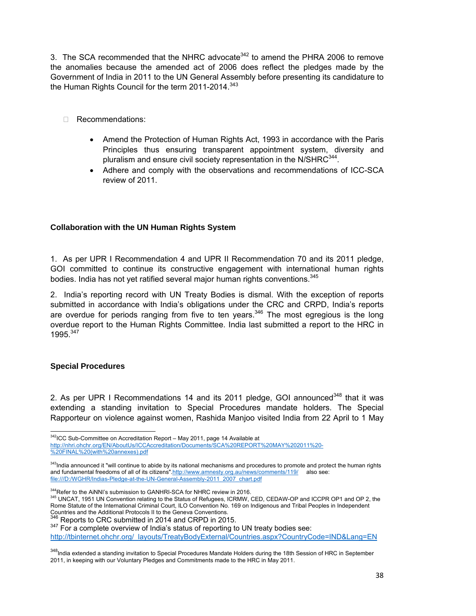3. The SCA recommended that the NHRC advocate<sup>342</sup> to amend the PHRA 2006 to remove the anomalies because the amended act of 2006 does reflect the pledges made by the Government of India in 2011 to the UN General Assembly before presenting its candidature to the Human Rights Council for the term 2011-2014.<sup>343</sup>

- Recommendations:
	- Amend the Protection of Human Rights Act, 1993 in accordance with the Paris Principles thus ensuring transparent appointment system, diversity and pluralism and ensure civil society representation in the N/SHRC $^{344}$ .
	- Adhere and comply with the observations and recommendations of ICC-SCA review of 2011.

### **Collaboration with the UN Human Rights System**

1. As per UPR I Recommendation 4 and UPR II Recommendation 70 and its 2011 pledge, GOI committed to continue its constructive engagement with international human rights bodies. India has not vet ratified several major human rights conventions.<sup>345</sup>

2. India's reporting record with UN Treaty Bodies is dismal. With the exception of reports submitted in accordance with India's obligations under the CRC and CRPD, India's reports are overdue for periods ranging from five to ten years.<sup>346</sup> The most egregious is the long overdue report to the Human Rights Committee. India last submitted a report to the HRC in 1995<sup>347</sup>

#### **Special Procedures**

2. As per UPR I Recommendations 14 and its 2011 pledge, GOI announced<sup>348</sup> that it was extending a standing invitation to Special Procedures mandate holders. The Special Rapporteur on violence against women, Rashida Manjoo visited India from 22 April to 1 May

347 For a complete overview of India's status of reporting to UN treaty bodies see:

http://tbinternet.ohchr.org/\_layouts/TreatyBodyExternal/Countries.aspx?CountryCode=IND&Lang=EN

  $342$ ICC Sub-Committee on Accreditation Report – May 2011, page 14 Available at

http://nhri.ohchr.org/EN/AboutUs/ICCAccreditation/Documents/SCA%20REPORT%20MAY%202011%20- %20FINAL%20(with%20annexes).pdf

<sup>&</sup>lt;sup>343</sup>India announced it "will continue to abide by its national mechanisms and procedures to promote and protect the human rights and fundamental freedoms of all of its citizens".http://www.amnesty.org.au/news/comments/119/ also see: file:///D:/WGHR/Indias-Pledge-at-the-UN-General-Assembly-2011\_2007\_chart.pdf

<sup>&</sup>lt;sup>344</sup>Refer to the AiNNI's submission to GANHRI-SCA for NHRC review in 2016.<br><sup>345</sup> UNCAT, 1951 UN Convention relating to the Status of Refugees, ICRMW, CED, CEDAW-OP and ICCPR OP1 and OP 2, the Rome Statute of the International Criminal Court, ILO Convention No. 169 on Indigenous and Tribal Peoples in Independent Countries and the Additional Protocols II to the Geneva Conventions.<br><sup>346</sup> Reports to CRC submitted in 2014 and CRPD in 2015.

<sup>&</sup>lt;sup>348</sup>India extended a standing invitation to Special Procedures Mandate Holders during the 18th Session of HRC in September 2011, in keeping with our Voluntary Pledges and Commitments made to the HRC in May 2011.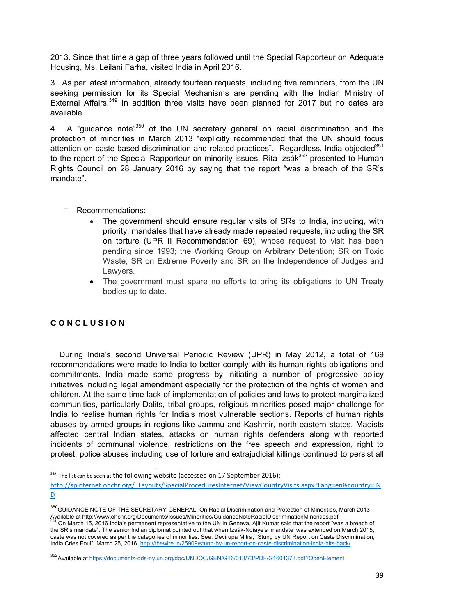2013. Since that time a gap of three years followed until the Special Rapporteur on Adequate Housing, Ms. Leilani Farha, visited India in April 2016.

3. As per latest information, already fourteen requests, including five reminders, from the UN seeking permission for its Special Mechanisms are pending with the Indian Ministry of External Affairs.<sup>349</sup> In addition three visits have been planned for 2017 but no dates are available.

4. A "guidance note<sup>"350</sup> of the UN secretary general on racial discrimination and the protection of minorities in March 2013 "explicitly recommended that the UN should focus attention on caste-based discrimination and related practices". Regardless, India objected<sup>351</sup> to the report of the Special Rapporteur on minority issues, Rita Izsák<sup>352</sup> presented to Human Rights Council on 28 January 2016 by saying that the report "was a breach of the SR's mandate".

- □ Recommendations:
	- The government should ensure regular visits of SRs to India, including, with priority, mandates that have already made repeated requests, including the SR on torture (UPR II Recommendation 69), whose request to visit has been pending since 1993; the Working Group on Arbitrary Detention; SR on Toxic Waste; SR on Extreme Poverty and SR on the Independence of Judges and Lawyers.
	- The government must spare no efforts to bring its obligations to UN Treaty bodies up to date.

# **C O N C L U S I O N**

 During India's second Universal Periodic Review (UPR) in May 2012, a total of 169 recommendations were made to India to better comply with its human rights obligations and commitments. India made some progress by initiating a number of progressive policy initiatives including legal amendment especially for the protection of the rights of women and children. At the same time lack of implementation of policies and laws to protect marginalized communities, particularly Dalits, tribal groups, religious minorities posed major challenge for India to realise human rights for India's most vulnerable sections. Reports of human rights abuses by armed groups in regions like Jammu and Kashmir, north-eastern states, Maoists affected central Indian states, attacks on human rights defenders along with reported incidents of communal violence, restrictions on the free speech and expression, right to protest, police abuses including use of torture and extrajudicial killings continued to persist all

350 GUIDANCE NOTE OF THE SECRETARY-GENERAL: On Racial Discrimination and Protection of Minorities, March 2013 Available at http://www.ohchr.org/Documents/Issues/Minorities/GuidanceNoteRacialDiscriminationMinorities.pdf<br><sup>351</sup> On Marsh 45, 0000 butble of the computer of the computation Minorities.pdf 351 On March 15, 2016 India's permanent representative to the UN in Geneva, Ajit Kumar said that the report "was a breach of the SR's mandate". The senior Indian diplomat pointed out that when Izsák-Ndiaye's 'mandate' was extended on March 2015, caste was not covered as per the categories of minorities. See: Devirupa Mitra, "Stung by UN Report on Caste Discrimination, India Cries Foul", March 25, 2016 http://thewire.in/25909/stung-by-un-report-on-caste-discrimination-india-hits-back/

<sup>&</sup>lt;sup>349</sup> The list can be seen at the following website (accessed on 17 September 2016):

http://spinternet.ohchr.org/\_Layouts/SpecialProceduresInternet/ViewCountryVisits.aspx?Lang=en&country=IN  $D$ 

<sup>&</sup>lt;sup>352</sup>Available at https:/<u>/documents-dds-ny.un.org/doc/UNDOC/GEN/G16/013/73/PDF/G1601373.pdf?OpenElement</u>